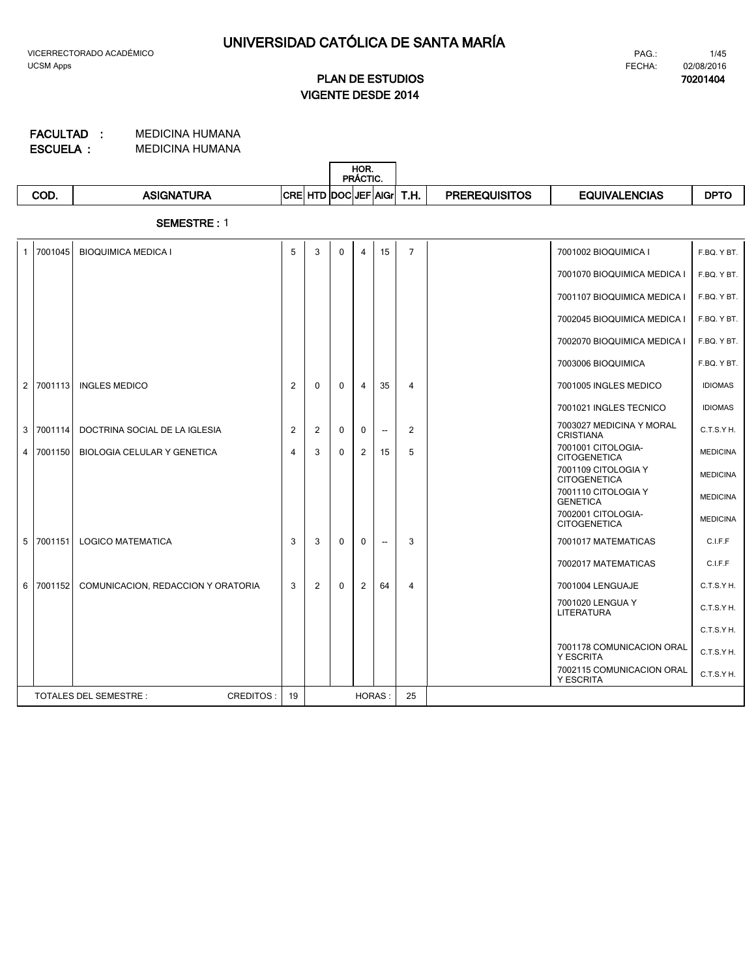**70201404**

# **VIGENTE DESDE 2014 PLAN DE ESTUDIOS**

MEDICINA HUMANA MEDICINA HUMANA **ESCUELA : FACULTAD :**

|      |                   |      | HOR.<br>PRÁCTIC.        |              |                      |                      |             |
|------|-------------------|------|-------------------------|--------------|----------------------|----------------------|-------------|
| COD. | <b>ASIGNATURA</b> | CREI | :  HTD  DOC  JEF   AIGr | T U .<br>ып. | <b>PREREQUISITOS</b> | <b>EQUIVALENCIAS</b> | <b>DPTC</b> |

**SEMESTRE :** 1

| $\mathbf{1}$ | 7001045   | <b>BIOQUIMICA MEDICA I</b>                       | 5  | 3            | $\Omega$     | $\overline{\mathbf{4}}$ | 15                       | $\overline{7}$ | 7001002 BIOQUIMICA I                          | F.BQ. Y BT.     |
|--------------|-----------|--------------------------------------------------|----|--------------|--------------|-------------------------|--------------------------|----------------|-----------------------------------------------|-----------------|
|              |           |                                                  |    |              |              |                         |                          |                | 7001070 BIOQUIMICA MEDICA I                   | F.BQ. Y BT.     |
|              |           |                                                  |    |              |              |                         |                          |                | 7001107 BIOQUIMICA MEDICA I                   | F.BQ. Y BT.     |
|              |           |                                                  |    |              |              |                         |                          |                | 7002045 BIOQUIMICA MEDICA I                   | F.BQ. Y BT.     |
|              |           |                                                  |    |              |              |                         |                          |                | 7002070 BIOQUIMICA MEDICA I                   | F.BQ. Y BT.     |
|              |           |                                                  |    |              |              |                         |                          |                | 7003006 BIOQUIMICA                            | F.BQ. Y BT.     |
|              | 2 7001113 | <b>INGLES MEDICO</b>                             | 2  | $\mathbf{0}$ | $\mathbf{0}$ | 4                       | 35                       | $\overline{4}$ | 7001005 INGLES MEDICO                         | <b>IDIOMAS</b>  |
|              |           |                                                  |    |              |              |                         |                          |                | 7001021 INGLES TECNICO                        | <b>IDIOMAS</b>  |
|              | 3 7001114 | DOCTRINA SOCIAL DE LA IGLESIA                    | 2  | 2            | $\mathbf{0}$ | $\mathbf{0}$            | $\overline{\phantom{a}}$ | 2              | 7003027 MEDICINA Y MORAL<br><b>CRISTIANA</b>  | C.T.S.YH.       |
| 4            | 7001150   | <b>BIOLOGIA CELULAR Y GENETICA</b>               | 4  | 3            | $\mathbf{0}$ | 2                       | 15                       | 5              | 7001001 CITOLOGIA-<br><b>CITOGENETICA</b>     | <b>MEDICINA</b> |
|              |           |                                                  |    |              |              |                         |                          |                | 7001109 CITOLOGIA Y<br><b>CITOGENETICA</b>    | <b>MEDICINA</b> |
|              |           |                                                  |    |              |              |                         |                          |                | 7001110 CITOLOGIA Y<br><b>GENETICA</b>        | <b>MEDICINA</b> |
|              |           |                                                  |    |              |              |                         |                          |                | 7002001 CITOLOGIA-<br><b>CITOGENETICA</b>     | <b>MEDICINA</b> |
| 5            | 7001151   | <b>LOGICO MATEMATICA</b>                         | 3  | 3            | $\mathbf{0}$ | $\mathbf{0}$            | $\overline{\phantom{a}}$ | 3              | 7001017 MATEMATICAS                           | C.I.F.F         |
|              |           |                                                  |    |              |              |                         |                          |                | 7002017 MATEMATICAS                           | C.I.F.F         |
|              | 6 7001152 | COMUNICACION, REDACCION Y ORATORIA               | 3  | 2            | $\Omega$     | $\overline{2}$          | 64                       | $\overline{4}$ | 7001004 LENGUAJE                              | C.T.S.Y H.      |
|              |           |                                                  |    |              |              |                         |                          |                | 7001020 LENGUA Y<br>LITERATURA                | C.T.S.Y H.      |
|              |           |                                                  |    |              |              |                         |                          |                |                                               | C.T.S.YH.       |
|              |           |                                                  |    |              |              |                         |                          |                | 7001178 COMUNICACION ORAL<br><b>Y ESCRITA</b> | C.T.S.Y H.      |
|              |           |                                                  |    |              |              |                         |                          |                | 7002115 COMUNICACION ORAL<br><b>Y ESCRITA</b> | C.T.S.Y H.      |
|              |           | <b>CREDITOS:</b><br><b>TOTALES DEL SEMESTRE:</b> | 19 |              |              | HORAS:                  |                          | 25             |                                               |                 |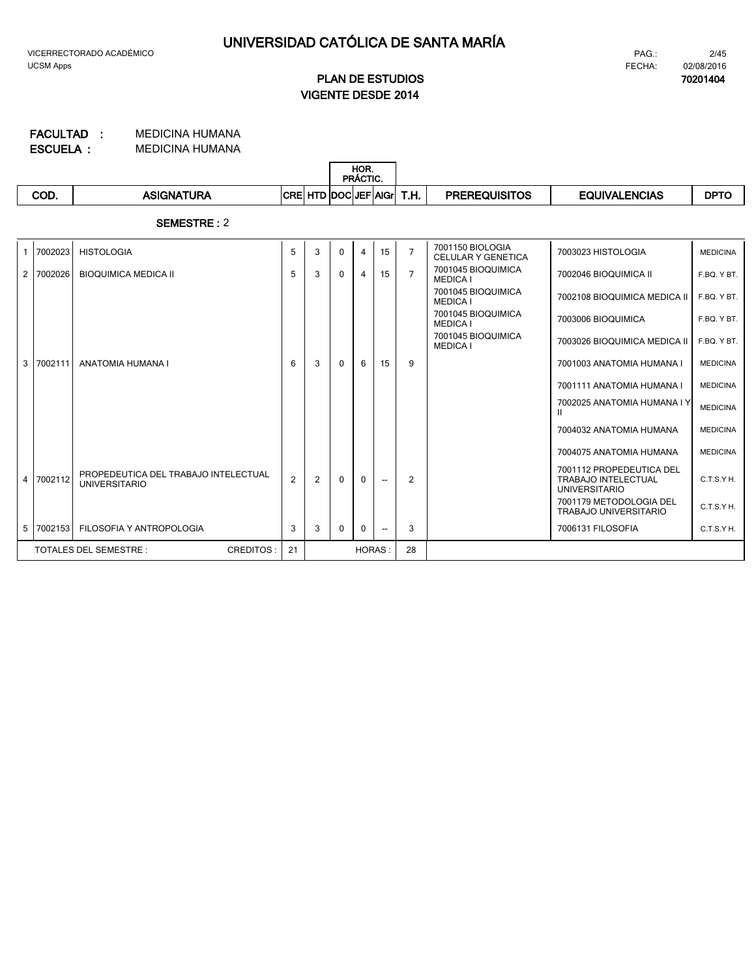**70201404**

# **VIGENTE DESDE 2014 PLAN DE ESTUDIOS**

MEDICINA HUMANA MEDICINA HUMANA **ESCUELA : FACULTAD :**

|      |                   |                          | HOR.<br>PRÁCTIC.                       |      |                      |               |             |
|------|-------------------|--------------------------|----------------------------------------|------|----------------------|---------------|-------------|
| COD. | <b>\SIGNATURA</b> | <b>CRE</b><br><b>HID</b> | <b>IDOCIJEF'</b><br>FIAIG <sub>L</sub> | T.H. | <b>PREREQUISITOS</b> | EQUIVALENCIAS | <b>DPTO</b> |

**SEMESTRE :** 2

| $\mathbf{1}$   | 7002023 | <b>HISTOLOGIA</b>                                            | 5              | 3 | $\Omega$     | 4             | 15 | $\overline{7}$ | 7001150 BIOLOGIA<br><b>CELULAR Y GENETICA</b> | 7003023 HISTOLOGIA                                                             | <b>MEDICINA</b> |
|----------------|---------|--------------------------------------------------------------|----------------|---|--------------|---------------|----|----------------|-----------------------------------------------|--------------------------------------------------------------------------------|-----------------|
| $\overline{2}$ | 7002026 | <b>BIOQUIMICA MEDICA II</b>                                  | 5              | 3 | $\mathbf{0}$ | 4             | 15 | $\overline{7}$ | 7001045 BIOQUIMICA<br><b>MEDICA I</b>         | 7002046 BIOQUIMICA II                                                          | F.BQ. Y BT.     |
|                |         |                                                              |                |   |              |               |    |                | 7001045 BIOQUIMICA<br><b>MEDICA I</b>         | 7002108 BIOQUIMICA MEDICA II                                                   | F.BQ. Y BT.     |
|                |         |                                                              |                |   |              |               |    |                | 7001045 BIOQUIMICA<br><b>MEDICA I</b>         | 7003006 BIOQUIMICA                                                             | F.BQ. Y BT.     |
|                |         |                                                              |                |   |              |               |    |                | 7001045 BIOQUIMICA<br><b>MEDICA I</b>         | 7003026 BIOQUIMICA MEDICA II                                                   | F.BQ. Y BT.     |
| 3              | 7002111 | ANATOMIA HUMANA I                                            | 6              | 3 | $\Omega$     | 6             | 15 | 9              |                                               | 7001003 ANATOMIA HUMANA I                                                      | <b>MEDICINA</b> |
|                |         |                                                              |                |   |              |               |    |                |                                               | 7001111 ANATOMIA HUMANA I                                                      | <b>MEDICINA</b> |
|                |         |                                                              |                |   |              |               |    |                |                                               | 7002025 ANATOMIA HUMANA I Y                                                    | <b>MEDICINA</b> |
|                |         |                                                              |                |   |              |               |    |                |                                               | 7004032 ANATOMIA HUMANA                                                        | <b>MEDICINA</b> |
|                |         |                                                              |                |   |              |               |    |                |                                               | 7004075 ANATOMIA HUMANA                                                        | <b>MEDICINA</b> |
| $\overline{4}$ | 7002112 | PROPEDEUTICA DEL TRABAJO INTELECTUAL<br><b>UNIVERSITARIO</b> | $\overline{2}$ | 2 | $\mathbf{0}$ | $\Omega$      |    | 2              |                                               | 7001112 PROPEDEUTICA DEL<br><b>TRABAJO INTELECTUAL</b><br><b>UNIVERSITARIO</b> | C.T.S.Y H.      |
|                |         |                                                              |                |   |              |               |    |                |                                               | 7001179 METODOLOGIA DEL<br>TRABAJO UNIVERSITARIO                               | C.T.S.Y H.      |
| 5 <sup>5</sup> | 7002153 | FILOSOFIA Y ANTROPOLOGIA                                     | 3              | 3 | 0            | $\Omega$      |    | 3              |                                               | 7006131 FILOSOFIA                                                              | C.T.S.Y H.      |
|                |         | CREDITOS:<br><b>TOTALES DEL SEMESTRE:</b>                    | 21             |   |              | <b>HORAS:</b> |    | 28             |                                               |                                                                                |                 |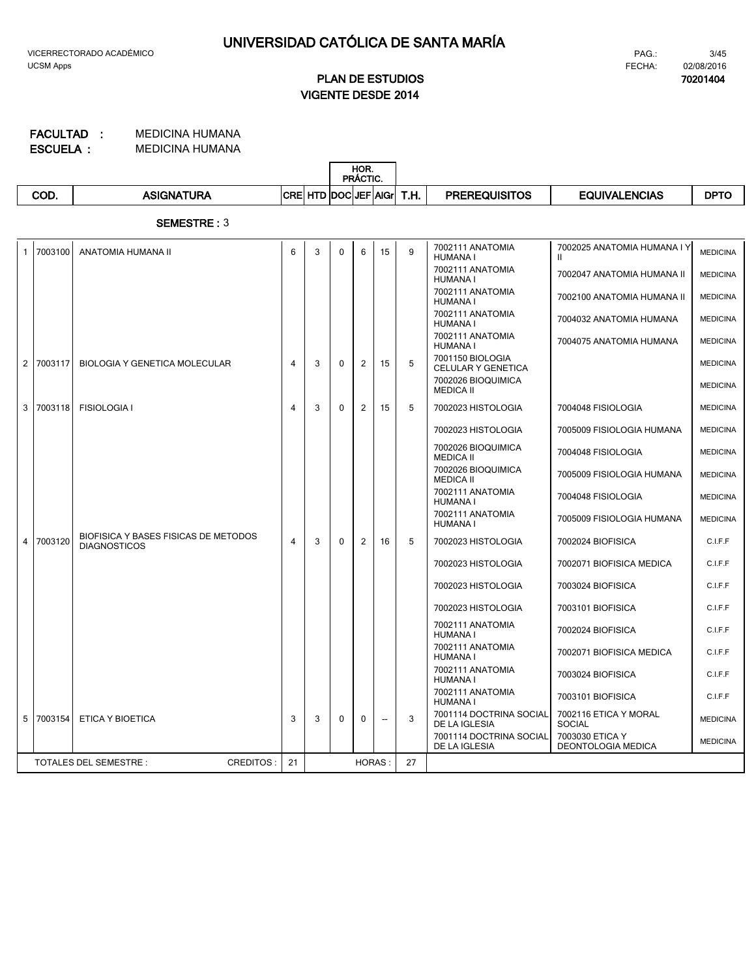# **VIGENTE DESDE 2014 PLAN DE ESTUDIOS**

MEDICINA HUMANA MEDICINA HUMANA **ESCUELA : FACULTAD :**

|      |            |             |                     | HOR.<br>PRÁCTIC. |      |                      |                      |             |
|------|------------|-------------|---------------------|------------------|------|----------------------|----------------------|-------------|
| COD. | ASIGNATURA | <b>ICRE</b> | . HTD DOCIJEF AIGri |                  | T.H. | <b>PREREQUISITOS</b> | <b>EQUIVALENCIAS</b> | <b>DPTO</b> |

**SEMESTRE :** 3

| $\mathbf{1}$ | 7003100   | ANATOMIA HUMANA II                                          | 6  | 3 | $\Omega$ | 6             | 15                       | 9  | 7002111 ANATOMIA<br><b>HUMANA I</b>      | 7002025 ANATOMIA HUMANA I Y<br>Ш.      | <b>MEDICINA</b> |
|--------------|-----------|-------------------------------------------------------------|----|---|----------|---------------|--------------------------|----|------------------------------------------|----------------------------------------|-----------------|
|              |           |                                                             |    |   |          |               |                          |    | 7002111 ANATOMIA<br><b>HUMANA I</b>      | 7002047 ANATOMIA HUMANA II             | <b>MEDICINA</b> |
|              |           |                                                             |    |   |          |               |                          |    | 7002111 ANATOMIA<br><b>HUMANA I</b>      | 7002100 ANATOMIA HUMANA II             | <b>MEDICINA</b> |
|              |           |                                                             |    |   |          |               |                          |    | 7002111 ANATOMIA<br><b>HUMANA I</b>      | 7004032 ANATOMIA HUMANA                | <b>MEDICINA</b> |
|              |           |                                                             |    |   |          |               |                          |    | 7002111 ANATOMIA<br><b>HUMANA I</b>      | 7004075 ANATOMIA HUMANA                | <b>MEDICINA</b> |
|              | 2 7003117 | <b>BIOLOGIA Y GENETICA MOLECULAR</b>                        | 4  | 3 | $\Omega$ | 2             | 15                       | 5  | 7001150 BIOLOGIA<br>CELULAR Y GENETICA   |                                        | <b>MEDICINA</b> |
|              |           |                                                             |    |   |          |               |                          |    | 7002026 BIOQUIMICA<br><b>MEDICA II</b>   |                                        | <b>MEDICINA</b> |
| 3            | 7003118   | <b>FISIOLOGIA I</b>                                         | 4  | 3 | $\Omega$ | 2             | 15                       | 5  | 7002023 HISTOLOGIA                       | 7004048 FISIOLOGIA                     | <b>MEDICINA</b> |
|              |           |                                                             |    |   |          |               |                          |    | 7002023 HISTOLOGIA                       | 7005009 FISIOLOGIA HUMANA              | <b>MEDICINA</b> |
|              |           |                                                             |    |   |          |               |                          |    | 7002026 BIOQUIMICA<br><b>MEDICA II</b>   | 7004048 FISIOLOGIA                     | <b>MEDICINA</b> |
|              |           |                                                             |    |   |          |               |                          |    | 7002026 BIOQUIMICA<br><b>MEDICA II</b>   | 7005009 FISIOLOGIA HUMANA              | <b>MEDICINA</b> |
|              |           |                                                             |    |   |          |               |                          |    | 7002111 ANATOMIA<br><b>HUMANA I</b>      | 7004048 FISIOLOGIA                     | <b>MEDICINA</b> |
|              |           |                                                             |    |   |          |               |                          |    | 7002111 ANATOMIA<br><b>HUMANA I</b>      | 7005009 FISIOLOGIA HUMANA              | <b>MEDICINA</b> |
| 4            | 7003120   | BIOFISICA Y BASES FISICAS DE METODOS<br><b>DIAGNOSTICOS</b> | 4  | 3 | $\Omega$ | 2             | 16                       | 5  | 7002023 HISTOLOGIA                       | 7002024 BIOFISICA                      | C.I.F.F         |
|              |           |                                                             |    |   |          |               |                          |    | 7002023 HISTOLOGIA                       | 7002071 BIOFISICA MEDICA               | C.I.F.F         |
|              |           |                                                             |    |   |          |               |                          |    | 7002023 HISTOLOGIA                       | 7003024 BIOFISICA                      | C.I.F.F         |
|              |           |                                                             |    |   |          |               |                          |    | 7002023 HISTOLOGIA                       | 7003101 BIOFISICA                      | C.I.F.F         |
|              |           |                                                             |    |   |          |               |                          |    | 7002111 ANATOMIA<br><b>HUMANA I</b>      | 7002024 BIOFISICA                      | C.I.F.F         |
|              |           |                                                             |    |   |          |               |                          |    | 7002111 ANATOMIA<br><b>HUMANA I</b>      | 7002071 BIOFISICA MEDICA               | C.I.F.F         |
|              |           |                                                             |    |   |          |               |                          |    | 7002111 ANATOMIA<br><b>HUMANA I</b>      | 7003024 BIOFISICA                      | C.I.F.F         |
|              |           |                                                             |    |   |          |               |                          |    | 7002111 ANATOMIA<br><b>HUMANA I</b>      | 7003101 BIOFISICA                      | C.I.F.F         |
| 5            | 7003154   | ETICA Y BIOETICA                                            | 3  | 3 | 0        | $\mathbf{0}$  | $\overline{\phantom{a}}$ | 3  | 7001114 DOCTRINA SOCIAL<br>DE LA IGLESIA | 7002116 ETICA Y MORAL<br><b>SOCIAL</b> | <b>MEDICINA</b> |
|              |           |                                                             |    |   |          |               |                          |    | 7001114 DOCTRINA SOCIAL<br>DE LA IGLESIA | 7003030 ETICA Y<br>DEONTOLOGIA MEDICA  | <b>MEDICINA</b> |
|              |           | <b>TOTALES DEL SEMESTRE:</b><br><b>CREDITOS:</b>            | 21 |   |          | <b>HORAS:</b> |                          | 27 |                                          |                                        |                 |
|              |           |                                                             |    |   |          |               |                          |    |                                          |                                        |                 |

3/45 FECHA: 02/08/2016 PAG.:

**70201404**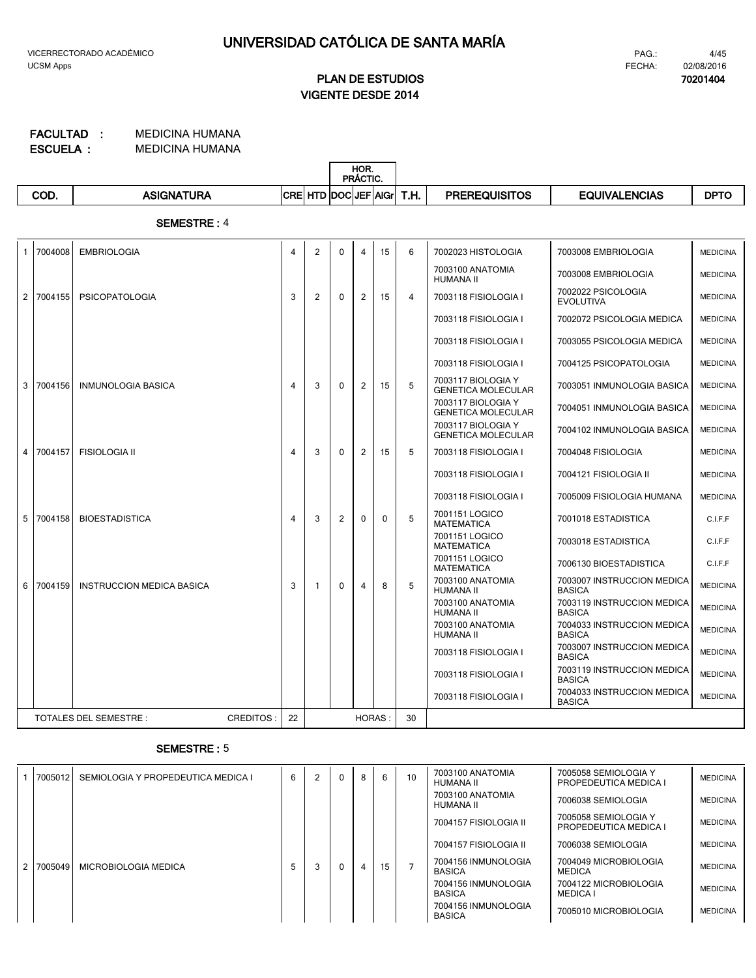**70201404**

# **VIGENTE DESDE 2014 PLAN DE ESTUDIOS**

#### MEDICINA HUMANA MEDICINA HUMANA **ESCUELA : FACULTAD :**

|                |         |                                  |                |                      |             | HOR.<br>PRÁCTIC. |          |                |                                                 |                                             |                 |
|----------------|---------|----------------------------------|----------------|----------------------|-------------|------------------|----------|----------------|-------------------------------------------------|---------------------------------------------|-----------------|
|                | COD.    | <b>ASIGNATURA</b>                |                | CRE HTD DOC JEF AIGr |             |                  |          | T.H.           | <b>PREREQUISITOS</b>                            | <b>EQUIVALENCIAS</b>                        | <b>DPTO</b>     |
|                |         | <b>SEMESTRE: 4</b>               |                |                      |             |                  |          |                |                                                 |                                             |                 |
| -1             | 7004008 | <b>EMBRIOLOGIA</b>               | 4              | $\overline{2}$       | $\mathbf 0$ | $\overline{4}$   | 15       | 6              | 7002023 HISTOLOGIA                              | 7003008 EMBRIOLOGIA                         | <b>MEDICINA</b> |
|                |         |                                  |                |                      |             |                  |          |                | 7003100 ANATOMIA<br><b>HUMANA II</b>            | 7003008 EMBRIOLOGIA                         | <b>MEDICINA</b> |
| $\overline{2}$ | 7004155 | <b>PSICOPATOLOGIA</b>            | 3              | $\overline{2}$       | $\Omega$    | 2                | 15       | $\overline{4}$ | 7003118 FISIOLOGIA I                            | 7002022 PSICOLOGIA<br><b>EVOLUTIVA</b>      | <b>MEDICINA</b> |
|                |         |                                  |                |                      |             |                  |          |                | 7003118 FISIOLOGIA I                            | 7002072 PSICOLOGIA MEDICA                   | <b>MEDICINA</b> |
|                |         |                                  |                |                      |             |                  |          |                | 7003118 FISIOLOGIA I                            | 7003055 PSICOLOGIA MEDICA                   | <b>MEDICINA</b> |
|                |         |                                  |                |                      |             |                  |          |                | 7003118 FISIOLOGIA I                            | 7004125 PSICOPATOLOGIA                      | <b>MEDICINA</b> |
| 3              | 7004156 | <b>INMUNOLOGIA BASICA</b>        | $\overline{4}$ | 3                    | $\Omega$    | 2                | 15       | 5              | 7003117 BIOLOGIA Y<br><b>GENETICA MOLECULAR</b> | 7003051 INMUNOLOGIA BASICA                  | <b>MEDICINA</b> |
|                |         |                                  |                |                      |             |                  |          |                | 7003117 BIOLOGIA Y<br><b>GENETICA MOLECULAR</b> | 7004051 INMUNOLOGIA BASICA                  | <b>MEDICINA</b> |
|                |         |                                  |                |                      |             |                  |          |                | 7003117 BIOLOGIA Y<br><b>GENETICA MOLECULAR</b> | 7004102 INMUNOLOGIA BASICA                  | <b>MEDICINA</b> |
| $\overline{4}$ | 7004157 | <b>FISIOLOGIA II</b>             | $\overline{4}$ | 3                    | $\Omega$    | 2                | 15       | 5              | 7003118 FISIOLOGIA I                            | 7004048 FISIOLOGIA                          | <b>MEDICINA</b> |
|                |         |                                  |                |                      |             |                  |          |                | 7003118 FISIOLOGIA I                            | 7004121 FISIOLOGIA II                       | <b>MEDICINA</b> |
|                |         |                                  |                |                      |             |                  |          |                | 7003118 FISIOLOGIA I                            | 7005009 FISIOLOGIA HUMANA                   | <b>MEDICINA</b> |
| 5              | 7004158 | <b>BIOESTADISTICA</b>            | 4              | 3                    | 2           | $\Omega$         | $\Omega$ | 5              | 7001151 LOGICO<br><b>MATEMATICA</b>             | 7001018 ESTADISTICA                         | C.I.F.F         |
|                |         |                                  |                |                      |             |                  |          |                | 7001151 LOGICO<br><b>MATEMATICA</b>             | 7003018 ESTADISTICA                         | C.I.F.F         |
|                |         |                                  |                |                      |             |                  |          |                | 7001151 LOGICO<br><b>MATEMATICA</b>             | 7006130 BIOESTADISTICA                      | C.I.F.F         |
| 6              | 7004159 | <b>INSTRUCCION MEDICA BASICA</b> | 3              | 1                    | $\Omega$    | 4                | 8        | 5              | 7003100 ANATOMIA<br><b>HUMANA II</b>            | 7003007 INSTRUCCION MEDICA<br><b>BASICA</b> | <b>MEDICINA</b> |
|                |         |                                  |                |                      |             |                  |          |                | 7003100 ANATOMIA<br><b>HUMANA II</b>            | 7003119 INSTRUCCION MEDICA<br><b>BASICA</b> | <b>MEDICINA</b> |
|                |         |                                  |                |                      |             |                  |          |                | 7003100 ANATOMIA<br><b>HUMANA II</b>            | 7004033 INSTRUCCION MEDICA<br><b>BASICA</b> | <b>MEDICINA</b> |
|                |         |                                  |                |                      |             |                  |          |                | 7003118 FISIOLOGIA I                            | 7003007 INSTRUCCION MEDICA<br><b>BASICA</b> | <b>MEDICINA</b> |
|                |         |                                  |                |                      |             |                  |          |                | 7003118 FISIOLOGIA I                            | 7003119 INSTRUCCION MEDICA<br><b>BASICA</b> | <b>MEDICINA</b> |
|                |         |                                  |                |                      |             |                  |          |                | 7003118 FISIOLOGIA I                            | 7004033 INSTRUCCION MEDICA<br><b>BASICA</b> | <b>MEDICINA</b> |

### **SEMESTRE :** 5

TOTALES DEL SEMESTRE : CREDITOS : 22 HORAS : 30

| 7005012   | SEMIOLOGIA Y PROPEDEUTICA MEDICA I | 6 | 2 | $\Omega$ | 8 | 6  | 10 | 7003100 ANATOMIA<br>HUMANA II        | 7005058 SEMIOLOGIA Y<br>PROPEDEUTICA MEDICA I | <b>MEDICINA</b> |
|-----------|------------------------------------|---|---|----------|---|----|----|--------------------------------------|-----------------------------------------------|-----------------|
|           |                                    |   |   |          |   |    |    | 7003100 ANATOMIA<br>HUMANA II        | 7006038 SEMIOLOGIA                            | <b>MEDICINA</b> |
|           |                                    |   |   |          |   |    |    | 7004157 FISIOLOGIA II                | 7005058 SEMIOLOGIA Y<br>PROPEDEUTICA MEDICA I | <b>MEDICINA</b> |
|           |                                    |   |   |          |   |    |    | 7004157 FISIOLOGIA II                | 7006038 SEMIOLOGIA                            | <b>MEDICINA</b> |
| 2 7005049 | MICROBIOLOGIA MEDICA               | 5 |   | $\Omega$ |   | 15 |    | 7004156 INMUNOLOGIA<br><b>BASICA</b> | 7004049 MICROBIOLOGIA<br><b>MEDICA</b>        | <b>MEDICINA</b> |
|           |                                    |   |   |          |   |    |    | 7004156 INMUNOLOGIA<br><b>BASICA</b> | 7004122 MICROBIOLOGIA<br><b>MEDICA</b>        | <b>MEDICINA</b> |
|           |                                    |   |   |          |   |    |    | 7004156 INMUNOLOGIA<br><b>BASICA</b> | 7005010 MICROBIOLOGIA                         | <b>MEDICINA</b> |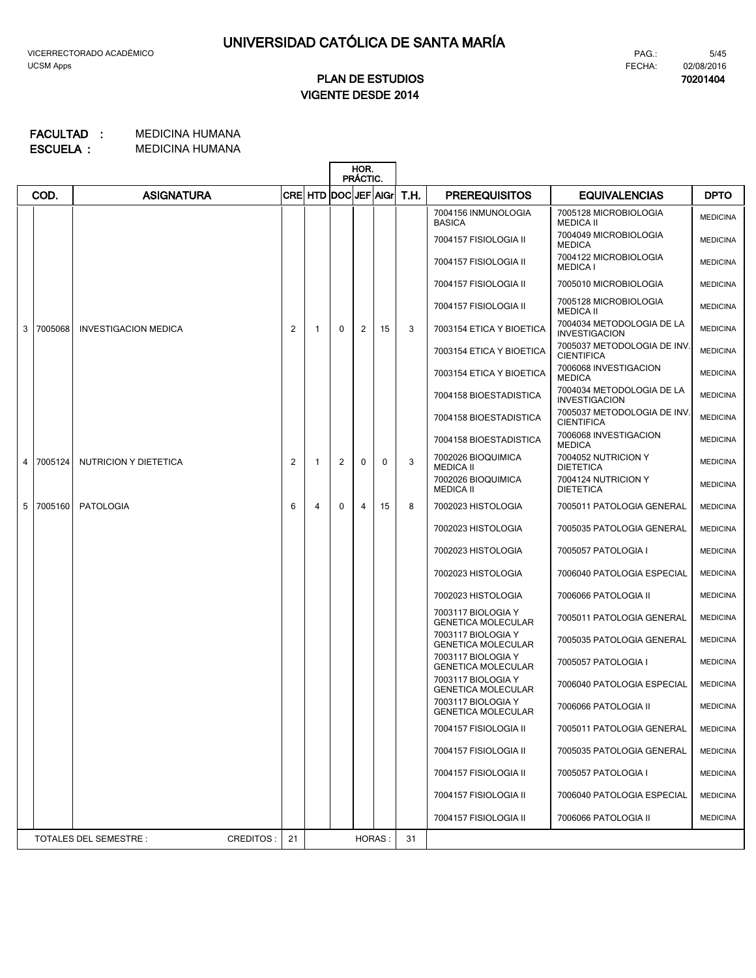# **VIGENTE DESDE 2014 PLAN DE ESTUDIOS**

#### MEDICINA HUMANA MEDICINA HUMANA **ESCUELA : FACULTAD :**

|   |         |                                     |                |                      |              | HOR.<br>PRÁCTIC. |              |      |                                                 |                                                   |                 |
|---|---------|-------------------------------------|----------------|----------------------|--------------|------------------|--------------|------|-------------------------------------------------|---------------------------------------------------|-----------------|
|   | COD.    | <b>ASIGNATURA</b>                   |                | CRE HTD DOC JEF AIGr |              |                  |              | T.H. | <b>PREREQUISITOS</b>                            | <b>EQUIVALENCIAS</b>                              | <b>DPTO</b>     |
|   |         |                                     |                |                      |              |                  |              |      | 7004156 INMUNOLOGIA<br><b>BASICA</b>            | 7005128 MICROBIOLOGIA<br><b>MEDICA II</b>         | <b>MEDICINA</b> |
|   |         |                                     |                |                      |              |                  |              |      | 7004157 FISIOLOGIA II                           | 7004049 MICROBIOLOGIA<br><b>MEDICA</b>            | <b>MEDICINA</b> |
|   |         |                                     |                |                      |              |                  |              |      | 7004157 FISIOLOGIA II                           | 7004122 MICROBIOLOGIA<br><b>MEDICA I</b>          | <b>MEDICINA</b> |
|   |         |                                     |                |                      |              |                  |              |      | 7004157 FISIOLOGIA II                           | 7005010 MICROBIOLOGIA                             | <b>MEDICINA</b> |
|   |         |                                     |                |                      |              |                  |              |      | 7004157 FISIOLOGIA II                           | 7005128 MICROBIOLOGIA<br><b>MEDICA II</b>         | <b>MEDICINA</b> |
| 3 | 7005068 | <b>INVESTIGACION MEDICA</b>         | $\overline{c}$ | -1                   | $\Omega$     | 2                | 15           | 3    | 7003154 ETICA Y BIOETICA                        | 7004034 METODOLOGIA DE LA<br><b>INVESTIGACION</b> | <b>MEDICINA</b> |
|   |         |                                     |                |                      |              |                  |              |      | 7003154 ETICA Y BIOETICA                        | 7005037 METODOLOGIA DE INV.<br><b>CIENTIFICA</b>  | <b>MEDICINA</b> |
|   |         |                                     |                |                      |              |                  |              |      | 7003154 ETICA Y BIOETICA                        | 7006068 INVESTIGACION<br><b>MEDICA</b>            | <b>MEDICINA</b> |
|   |         |                                     |                |                      |              |                  |              |      | 7004158 BIOESTADISTICA                          | 7004034 METODOLOGIA DE LA<br><b>INVESTIGACION</b> | <b>MEDICINA</b> |
|   |         |                                     |                |                      |              |                  |              |      | 7004158 BIOESTADISTICA                          | 7005037 METODOLOGIA DE INV.<br><b>CIENTIFICA</b>  | <b>MEDICINA</b> |
|   |         |                                     |                |                      |              |                  |              |      | 7004158 BIOESTADISTICA                          | 7006068 INVESTIGACION<br><b>MEDICA</b>            | <b>MEDICINA</b> |
| 4 | 7005124 | NUTRICION Y DIETETICA               | 2              | -1                   | 2            | $\Omega$         | $\mathbf{0}$ | 3    | 7002026 BIOQUIMICA<br><b>MEDICA II</b>          | 7004052 NUTRICION Y<br><b>DIETETICA</b>           | <b>MEDICINA</b> |
|   |         |                                     |                |                      |              |                  |              |      | 7002026 BIOQUIMICA<br><b>MEDICA II</b>          | 7004124 NUTRICION Y<br><b>DIETETICA</b>           | <b>MEDICINA</b> |
| 5 | 7005160 | PATOLOGIA                           | 6              | 4                    | $\mathbf{0}$ | 4                | 15           | 8    | 7002023 HISTOLOGIA                              | 7005011 PATOLOGIA GENERAL                         | <b>MEDICINA</b> |
|   |         |                                     |                |                      |              |                  |              |      | 7002023 HISTOLOGIA                              | 7005035 PATOLOGIA GENERAL                         | <b>MEDICINA</b> |
|   |         |                                     |                |                      |              |                  |              |      | 7002023 HISTOLOGIA                              | 7005057 PATOLOGIA I                               | <b>MEDICINA</b> |
|   |         |                                     |                |                      |              |                  |              |      | 7002023 HISTOLOGIA                              | 7006040 PATOLOGIA ESPECIAL                        | <b>MEDICINA</b> |
|   |         |                                     |                |                      |              |                  |              |      | 7002023 HISTOLOGIA                              | 7006066 PATOLOGIA II                              | <b>MEDICINA</b> |
|   |         |                                     |                |                      |              |                  |              |      | 7003117 BIOLOGIA Y<br><b>GENETICA MOLECULAR</b> | 7005011 PATOLOGIA GENERAL                         | <b>MEDICINA</b> |
|   |         |                                     |                |                      |              |                  |              |      | 7003117 BIOLOGIA Y<br><b>GENETICA MOLECULAR</b> | 7005035 PATOLOGIA GENERAL                         | <b>MEDICINA</b> |
|   |         |                                     |                |                      |              |                  |              |      | 7003117 BIOLOGIA Y<br><b>GENETICA MOLECULAR</b> | 7005057 PATOLOGIA I                               | <b>MEDICINA</b> |
|   |         |                                     |                |                      |              |                  |              |      | 7003117 BIOLOGIA Y<br><b>GENETICA MOLECULAR</b> | 7006040 PATOLOGIA ESPECIAL                        | <b>MEDICINA</b> |
|   |         |                                     |                |                      |              |                  |              |      | 7003117 BIOLOGIA Y<br><b>GENETICA MOLECULAR</b> | 7006066 PATOLOGIA II                              | <b>MEDICINA</b> |
|   |         |                                     |                |                      |              |                  |              |      | 7004157 FISIOLOGIA II                           | 7005011 PATOLOGIA GENERAL                         | <b>MEDICINA</b> |
|   |         |                                     |                |                      |              |                  |              |      | 7004157 FISIOLOGIA II                           | 7005035 PATOLOGIA GENERAL                         | <b>MEDICINA</b> |
|   |         |                                     |                |                      |              |                  |              |      | 7004157 FISIOLOGIA II                           | 7005057 PATOLOGIA I                               | <b>MEDICINA</b> |
|   |         |                                     |                |                      |              |                  |              |      | 7004157 FISIOLOGIA II                           | 7006040 PATOLOGIA ESPECIAL                        | <b>MEDICINA</b> |
|   |         |                                     |                |                      |              |                  |              |      | 7004157 FISIOLOGIA II                           | 7006066 PATOLOGIA II                              | <b>MEDICINA</b> |
|   |         | CREDITOS:<br>TOTALES DEL SEMESTRE : | 21             |                      |              | HORAS:           |              | 31   |                                                 |                                                   |                 |

FECHA:

PAG.:

5/45 02/08/2016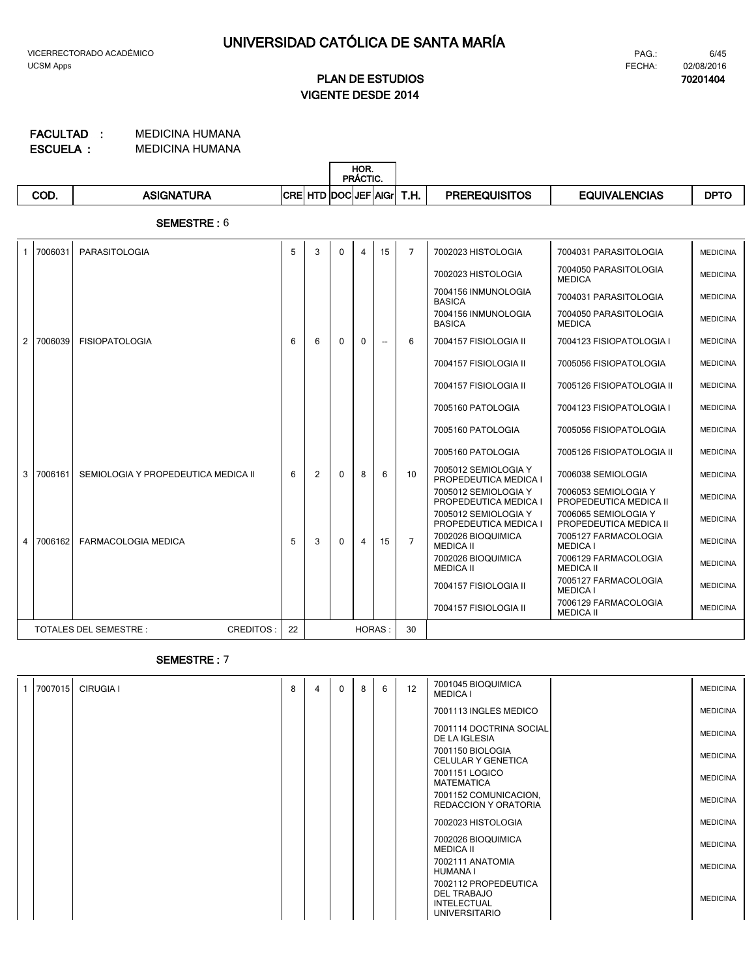# **VIGENTE DESDE 2014 PLAN DE ESTUDIOS**

MEDICINA HUMANA MEDICINA HUMANA **ESCUELA : FACULTAD :**

|      |                              |             |                      | HOR.<br>PRÁCTIC. |         |      |                               |               |             |
|------|------------------------------|-------------|----------------------|------------------|---------|------|-------------------------------|---------------|-------------|
| COD. | <b>ASIGNA</b><br><b>TURA</b> | <b>ICRE</b> | <b>. ITD DOCIJEF</b> |                  | ⊺lAlGri | T.H. | QUISITOS<br>סכם<br>ERE<br>nc. | EQUIVALENCIAS | <b>DPTO</b> |

**SEMESTRE :** 6

|                | 7006031 | PARASITOLOGIA                                    | 5  | 3 | $\Omega$ | 4             | 15                       | $\overline{7}$ | 7002023 HISTOLOGIA                            | 7004031 PARASITOLOGIA                          | <b>MEDICINA</b> |
|----------------|---------|--------------------------------------------------|----|---|----------|---------------|--------------------------|----------------|-----------------------------------------------|------------------------------------------------|-----------------|
|                |         |                                                  |    |   |          |               |                          |                | 7002023 HISTOLOGIA                            | 7004050 PARASITOLOGIA<br><b>MEDICA</b>         | <b>MEDICINA</b> |
|                |         |                                                  |    |   |          |               |                          |                | 7004156 INMUNOLOGIA<br><b>BASICA</b>          | 7004031 PARASITOLOGIA                          | <b>MEDICINA</b> |
|                |         |                                                  |    |   |          |               |                          |                | 7004156 INMUNOLOGIA<br><b>BASICA</b>          | 7004050 PARASITOLOGIA<br><b>MEDICA</b>         | <b>MEDICINA</b> |
| 2              | 7006039 | <b>FISIOPATOLOGIA</b>                            | 6  | 6 | $\Omega$ | $\mathbf{0}$  | $\overline{\phantom{a}}$ | 6              | 7004157 FISIOLOGIA II                         | 7004123 FISIOPATOLOGIA I                       | <b>MEDICINA</b> |
|                |         |                                                  |    |   |          |               |                          |                | 7004157 FISIOLOGIA II                         | 7005056 FISIOPATOLOGIA                         | <b>MEDICINA</b> |
|                |         |                                                  |    |   |          |               |                          |                | 7004157 FISIOLOGIA II                         | 7005126 FISIOPATOLOGIA II                      | <b>MEDICINA</b> |
|                |         |                                                  |    |   |          |               |                          |                | 7005160 PATOLOGIA                             | 7004123 FISIOPATOLOGIA I                       | <b>MEDICINA</b> |
|                |         |                                                  |    |   |          |               |                          |                | 7005160 PATOLOGIA                             | 7005056 FISIOPATOLOGIA                         | <b>MEDICINA</b> |
|                |         |                                                  |    |   |          |               |                          |                | 7005160 PATOLOGIA                             | 7005126 FISIOPATOLOGIA II                      | <b>MEDICINA</b> |
| 3              | 7006161 | SEMIOLOGIA Y PROPEDEUTICA MEDICA II              | 6  | 2 | $\Omega$ | 8             | 6                        | 10             | 7005012 SEMIOLOGIA Y<br>PROPEDEUTICA MEDICA I | 7006038 SEMIOLOGIA                             | <b>MEDICINA</b> |
|                |         |                                                  |    |   |          |               |                          |                | 7005012 SEMIOLOGIA Y<br>PROPEDEUTICA MEDICA I | 7006053 SEMIOLOGIA Y<br>PROPEDEUTICA MEDICA II | <b>MEDICINA</b> |
|                |         |                                                  |    |   |          |               |                          |                | 7005012 SEMIOLOGIA Y<br>PROPEDEUTICA MEDICA I | 7006065 SEMIOLOGIA Y<br>PROPEDEUTICA MEDICA II | <b>MEDICINA</b> |
| $\overline{4}$ | 7006162 | <b>FARMACOLOGIA MEDICA</b>                       | 5  | 3 | $\Omega$ | 4             | 15                       | $\overline{7}$ | 7002026 BIOQUIMICA<br><b>MEDICA II</b>        | 7005127 FARMACOLOGIA<br><b>MEDICA I</b>        | <b>MEDICINA</b> |
|                |         |                                                  |    |   |          |               |                          |                | 7002026 BIOQUIMICA<br><b>MEDICA II</b>        | 7006129 FARMACOLOGIA<br><b>MEDICA II</b>       | <b>MEDICINA</b> |
|                |         |                                                  |    |   |          |               |                          |                | 7004157 FISIOLOGIA II                         | 7005127 FARMACOLOGIA<br><b>MEDICA I</b>        | <b>MEDICINA</b> |
|                |         |                                                  |    |   |          |               |                          |                | 7004157 FISIOLOGIA II                         | 7006129 FARMACOLOGIA<br><b>MEDICA II</b>       | <b>MEDICINA</b> |
|                |         | <b>TOTALES DEL SEMESTRE:</b><br><b>CREDITOS:</b> | 22 |   |          | <b>HORAS:</b> |                          | 30             |                                               |                                                |                 |

### **SEMESTRE :** 7

| $\mathbf{1}$ | 7007015 | <b>CIRUGIA I</b> | 8 | 4 | $\Omega$ | 8 | 6 | 12 | 7001045 BIOQUIMICA<br><b>MEDICA I</b>                                                    | <b>MEDICINA</b> |
|--------------|---------|------------------|---|---|----------|---|---|----|------------------------------------------------------------------------------------------|-----------------|
|              |         |                  |   |   |          |   |   |    | 7001113 INGLES MEDICO                                                                    | <b>MEDICINA</b> |
|              |         |                  |   |   |          |   |   |    | 7001114 DOCTRINA SOCIAL<br>DE LA IGLESIA                                                 | <b>MEDICINA</b> |
|              |         |                  |   |   |          |   |   |    | 7001150 BIOLOGIA<br><b>CELULAR Y GENETICA</b>                                            | <b>MEDICINA</b> |
|              |         |                  |   |   |          |   |   |    | 7001151 LOGICO<br>MATEMATICA                                                             | <b>MEDICINA</b> |
|              |         |                  |   |   |          |   |   |    | 7001152 COMUNICACION,<br>REDACCION Y ORATORIA                                            | <b>MEDICINA</b> |
|              |         |                  |   |   |          |   |   |    | 7002023 HISTOLOGIA                                                                       | <b>MEDICINA</b> |
|              |         |                  |   |   |          |   |   |    | 7002026 BIOQUIMICA<br>MEDICA II                                                          | <b>MEDICINA</b> |
|              |         |                  |   |   |          |   |   |    | 7002111 ANATOMIA<br>HUMANA I                                                             | <b>MEDICINA</b> |
|              |         |                  |   |   |          |   |   |    | 7002112 PROPEDEUTICA<br><b>DEL TRABAJO</b><br><b>INTELECTUAL</b><br><b>UNIVERSITARIO</b> | <b>MEDICINA</b> |

6/45 FECHA: 02/08/2016 PAG.:

**70201404**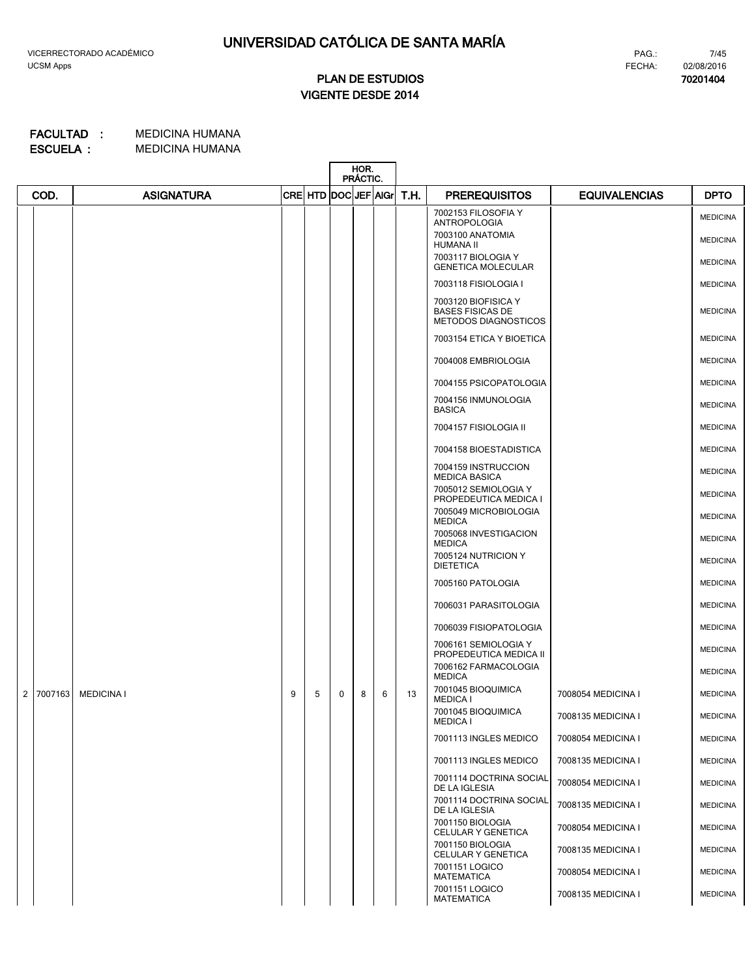**70201404**

# **VIGENTE DESDE 2014 PLAN DE ESTUDIOS**

|                |         |                   |   |                      |   | HOR.<br>PRÁCTIC. |   |      |                                                                        |                      |                 |
|----------------|---------|-------------------|---|----------------------|---|------------------|---|------|------------------------------------------------------------------------|----------------------|-----------------|
|                | COD.    | <b>ASIGNATURA</b> |   | CRE HTD DOC JEF AIGr |   |                  |   | T.H. | <b>PREREQUISITOS</b>                                                   | <b>EQUIVALENCIAS</b> | <b>DPTO</b>     |
|                |         |                   |   |                      |   |                  |   |      | 7002153 FILOSOFIA Y<br><b>ANTROPOLOGIA</b>                             |                      | <b>MEDICINA</b> |
|                |         |                   |   |                      |   |                  |   |      | 7003100 ANATOMIA<br>HUMANA II                                          |                      | <b>MEDICINA</b> |
|                |         |                   |   |                      |   |                  |   |      | 7003117 BIOLOGIA Y<br><b>GENETICA MOLECULAR</b>                        |                      | <b>MEDICINA</b> |
|                |         |                   |   |                      |   |                  |   |      | 7003118 FISIOLOGIA I                                                   |                      | <b>MEDICINA</b> |
|                |         |                   |   |                      |   |                  |   |      | 7003120 BIOFISICA Y<br><b>BASES FISICAS DE</b><br>METODOS DIAGNOSTICOS |                      | <b>MEDICINA</b> |
|                |         |                   |   |                      |   |                  |   |      | 7003154 ETICA Y BIOETICA                                               |                      | <b>MEDICINA</b> |
|                |         |                   |   |                      |   |                  |   |      | 7004008 EMBRIOLOGIA                                                    |                      | <b>MEDICINA</b> |
|                |         |                   |   |                      |   |                  |   |      | 7004155 PSICOPATOLOGIA                                                 |                      | <b>MEDICINA</b> |
|                |         |                   |   |                      |   |                  |   |      | 7004156 INMUNOLOGIA<br><b>BASICA</b>                                   |                      | <b>MEDICINA</b> |
|                |         |                   |   |                      |   |                  |   |      | 7004157 FISIOLOGIA II                                                  |                      | <b>MEDICINA</b> |
|                |         |                   |   |                      |   |                  |   |      | 7004158 BIOESTADISTICA                                                 |                      | <b>MEDICINA</b> |
|                |         |                   |   |                      |   |                  |   |      | 7004159 INSTRUCCION                                                    |                      | <b>MEDICINA</b> |
|                |         |                   |   |                      |   |                  |   |      | <b>MEDICA BASICA</b><br>7005012 SEMIOLOGIA Y                           |                      | <b>MEDICINA</b> |
|                |         |                   |   |                      |   |                  |   |      | PROPEDEUTICA MEDICA I<br>7005049 MICROBIOLOGIA<br><b>MEDICA</b>        |                      | <b>MEDICINA</b> |
|                |         |                   |   |                      |   |                  |   |      | 7005068 INVESTIGACION<br><b>MEDICA</b>                                 |                      | <b>MEDICINA</b> |
|                |         |                   |   |                      |   |                  |   |      | 7005124 NUTRICION Y<br><b>DIETETICA</b>                                |                      | <b>MEDICINA</b> |
|                |         |                   |   |                      |   |                  |   |      | 7005160 PATOLOGIA                                                      |                      | <b>MEDICINA</b> |
|                |         |                   |   |                      |   |                  |   |      | 7006031 PARASITOLOGIA                                                  |                      | <b>MEDICINA</b> |
|                |         |                   |   |                      |   |                  |   |      | 7006039 FISIOPATOLOGIA                                                 |                      | <b>MEDICINA</b> |
|                |         |                   |   |                      |   |                  |   |      | 7006161 SEMIOLOGIA Y<br>PROPEDEUTICA MEDICA II                         |                      | <b>MEDICINA</b> |
|                |         |                   |   |                      |   |                  |   |      | 7006162 FARMACOLOGIA<br><b>MEDICA</b>                                  |                      | <b>MEDICINA</b> |
| $\overline{2}$ | 7007163 | <b>MEDICINA I</b> | 9 | 5                    | 0 | 8                | 6 | 13   | 7001045 BIOQUIMICA<br><b>MEDICA I</b>                                  | 7008054 MEDICINA I   | <b>MEDICINA</b> |
|                |         |                   |   |                      |   |                  |   |      | 7001045 BIOQUIMICA<br><b>MEDICA I</b>                                  | 7008135 MEDICINA I   | <b>MEDICINA</b> |
|                |         |                   |   |                      |   |                  |   |      | 7001113 INGLES MEDICO                                                  | 7008054 MEDICINA I   | <b>MEDICINA</b> |
|                |         |                   |   |                      |   |                  |   |      | 7001113 INGLES MEDICO                                                  | 7008135 MEDICINA I   | <b>MEDICINA</b> |
|                |         |                   |   |                      |   |                  |   |      | 7001114 DOCTRINA SOCIAL<br>DE LA IGLESIA                               | 7008054 MEDICINA I   | <b>MEDICINA</b> |
|                |         |                   |   |                      |   |                  |   |      | 7001114 DOCTRINA SOCIAL<br>DE LA IGLESIA                               | 7008135 MEDICINA I   | <b>MEDICINA</b> |
|                |         |                   |   |                      |   |                  |   |      | 7001150 BIOLOGIA<br>CELULAR Y GENETICA                                 | 7008054 MEDICINA I   | <b>MEDICINA</b> |
|                |         |                   |   |                      |   |                  |   |      | 7001150 BIOLOGIA<br>CELULAR Y GENETICA                                 | 7008135 MEDICINA I   | <b>MEDICINA</b> |
|                |         |                   |   |                      |   |                  |   |      | 7001151 LOGICO<br><b>MATEMATICA</b>                                    | 7008054 MEDICINA I   | <b>MEDICINA</b> |
|                |         |                   |   |                      |   |                  |   |      | 7001151 LOGICO<br><b>MATEMATICA</b>                                    | 7008135 MEDICINA I   | <b>MEDICINA</b> |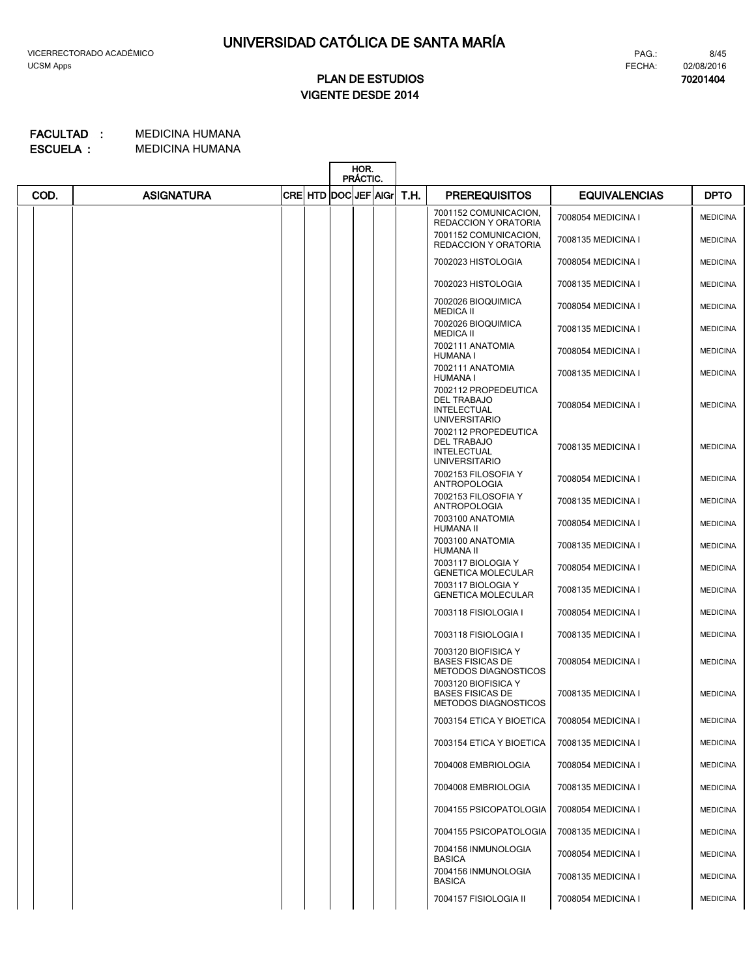### FECHA: 02/08/2016 PAG.:

**70201404**

8/45

# **VIGENTE DESDE 2014 PLAN DE ESTUDIOS**

|      |                   |                      | HOR.<br>PRÁCTIC. |      |                                                                                          |                      |                 |
|------|-------------------|----------------------|------------------|------|------------------------------------------------------------------------------------------|----------------------|-----------------|
| COD. | <b>ASIGNATURA</b> | CRE HTD DOC JEF AIGr |                  | T.H. | <b>PREREQUISITOS</b>                                                                     | <b>EQUIVALENCIAS</b> | <b>DPTO</b>     |
|      |                   |                      |                  |      | 7001152 COMUNICACION,<br><b>REDACCION Y ORATORIA</b>                                     | 7008054 MEDICINA I   | <b>MEDICINA</b> |
|      |                   |                      |                  |      | 7001152 COMUNICACION,<br><b>REDACCION Y ORATORIA</b>                                     | 7008135 MEDICINA I   | <b>MEDICINA</b> |
|      |                   |                      |                  |      | 7002023 HISTOLOGIA                                                                       | 7008054 MEDICINA I   | <b>MEDICINA</b> |
|      |                   |                      |                  |      | 7002023 HISTOLOGIA                                                                       | 7008135 MEDICINA I   | <b>MEDICINA</b> |
|      |                   |                      |                  |      | 7002026 BIOQUIMICA<br><b>MEDICA II</b>                                                   | 7008054 MEDICINA I   | <b>MEDICINA</b> |
|      |                   |                      |                  |      | 7002026 BIOQUIMICA<br><b>MEDICA II</b>                                                   | 7008135 MEDICINA I   | <b>MEDICINA</b> |
|      |                   |                      |                  |      | 7002111 ANATOMIA<br>HUMANA I                                                             | 7008054 MEDICINA I   | <b>MEDICINA</b> |
|      |                   |                      |                  |      | 7002111 ANATOMIA<br>HUMANA I                                                             | 7008135 MEDICINA I   | <b>MEDICINA</b> |
|      |                   |                      |                  |      | 7002112 PROPEDEUTICA<br><b>DEL TRABAJO</b><br><b>INTELECTUAL</b><br><b>UNIVERSITARIO</b> | 7008054 MEDICINA I   | <b>MEDICINA</b> |
|      |                   |                      |                  |      | 7002112 PROPEDEUTICA<br><b>DEL TRABAJO</b><br><b>INTELECTUAL</b><br><b>UNIVERSITARIO</b> | 7008135 MEDICINA I   | <b>MEDICINA</b> |
|      |                   |                      |                  |      | 7002153 FILOSOFIA Y<br><b>ANTROPOLOGIA</b>                                               | 7008054 MEDICINA I   | <b>MEDICINA</b> |
|      |                   |                      |                  |      | 7002153 FILOSOFIA Y<br><b>ANTROPOLOGIA</b>                                               | 7008135 MEDICINA I   | <b>MEDICINA</b> |
|      |                   |                      |                  |      | 7003100 ANATOMIA<br><b>HUMANA II</b>                                                     | 7008054 MEDICINA I   | <b>MEDICINA</b> |
|      |                   |                      |                  |      | 7003100 ANATOMIA<br><b>HUMANA II</b>                                                     | 7008135 MEDICINA I   | <b>MEDICINA</b> |
|      |                   |                      |                  |      | 7003117 BIOLOGIA Y<br><b>GENETICA MOLECULAR</b>                                          | 7008054 MEDICINA I   | <b>MEDICINA</b> |
|      |                   |                      |                  |      | 7003117 BIOLOGIA Y<br><b>GENETICA MOLECULAR</b>                                          | 7008135 MEDICINA I   | <b>MEDICINA</b> |
|      |                   |                      |                  |      | 7003118 FISIOLOGIA I                                                                     | 7008054 MEDICINA I   | <b>MEDICINA</b> |
|      |                   |                      |                  |      | 7003118 FISIOLOGIA I                                                                     | 7008135 MEDICINA I   | <b>MEDICINA</b> |
|      |                   |                      |                  |      | 7003120 BIOFISICA Y<br><b>BASES FISICAS DE</b><br><b>METODOS DIAGNOSTICOS</b>            | 7008054 MEDICINA I   | <b>MEDICINA</b> |
|      |                   |                      |                  |      | 7003120 BIOFISICA Y<br><b>BASES FISICAS DE</b><br><b>METODOS DIAGNOSTICOS</b>            | 7008135 MEDICINA I   | <b>MEDICINA</b> |
|      |                   |                      |                  |      | 7003154 ETICA Y BIOETICA                                                                 | 7008054 MEDICINA I   | <b>MEDICINA</b> |
|      |                   |                      |                  |      | 7003154 ETICA Y BIOETICA                                                                 | 7008135 MEDICINA I   | <b>MEDICINA</b> |
|      |                   |                      |                  |      | 7004008 EMBRIOLOGIA                                                                      | 7008054 MEDICINA I   | <b>MEDICINA</b> |
|      |                   |                      |                  |      | 7004008 EMBRIOLOGIA                                                                      | 7008135 MEDICINA I   | <b>MEDICINA</b> |
|      |                   |                      |                  |      | 7004155 PSICOPATOLOGIA                                                                   | 7008054 MEDICINA I   | <b>MEDICINA</b> |
|      |                   |                      |                  |      | 7004155 PSICOPATOLOGIA                                                                   | 7008135 MEDICINA I   | <b>MEDICINA</b> |
|      |                   |                      |                  |      | 7004156 INMUNOLOGIA<br><b>BASICA</b>                                                     | 7008054 MEDICINA I   | <b>MEDICINA</b> |
|      |                   |                      |                  |      | 7004156 INMUNOLOGIA<br><b>BASICA</b>                                                     | 7008135 MEDICINA I   | <b>MEDICINA</b> |
|      |                   |                      |                  |      | 7004157 FISIOLOGIA II                                                                    | 7008054 MEDICINA I   | <b>MEDICINA</b> |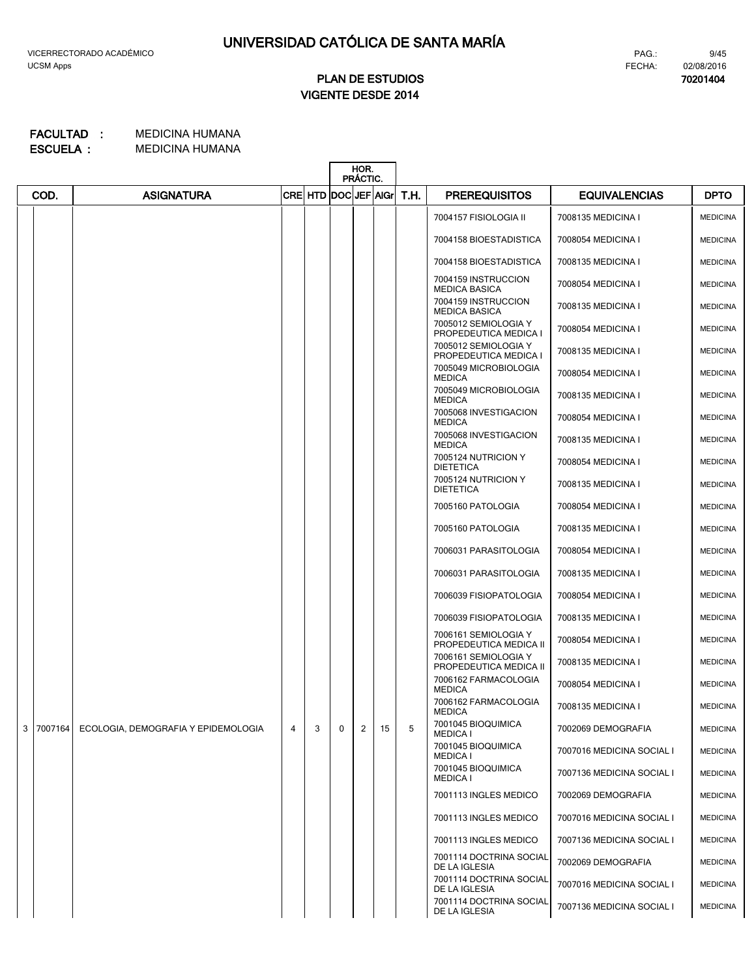# **VIGENTE DESDE 2014 PLAN DE ESTUDIOS**

#### MEDICINA HUMANA **FACULTAD : MEDICINA HUMANA ESCUELA :**

|                |         |                                     |   |                      | HOR.<br>PRÁCTIC. |   |    |      |                                                  |                           |                 |
|----------------|---------|-------------------------------------|---|----------------------|------------------|---|----|------|--------------------------------------------------|---------------------------|-----------------|
|                | COD.    | <b>ASIGNATURA</b>                   |   | CRE HTD DOC JEF AIGr |                  |   |    | T.H. | <b>PREREQUISITOS</b>                             | <b>EQUIVALENCIAS</b>      | <b>DPTO</b>     |
|                |         |                                     |   |                      |                  |   |    |      | 7004157 FISIOLOGIA II                            | 7008135 MEDICINA I        | <b>MEDICINA</b> |
|                |         |                                     |   |                      |                  |   |    |      | 7004158 BIOESTADISTICA                           | 7008054 MEDICINA I        | <b>MEDICINA</b> |
|                |         |                                     |   |                      |                  |   |    |      | 7004158 BIOESTADISTICA                           | 7008135 MEDICINA I        | <b>MEDICINA</b> |
|                |         |                                     |   |                      |                  |   |    |      | 7004159 INSTRUCCION<br><b>MEDICA BASICA</b>      | 7008054 MEDICINA I        | <b>MEDICINA</b> |
|                |         |                                     |   |                      |                  |   |    |      | 7004159 INSTRUCCION<br><b>MEDICA BASICA</b>      | 7008135 MEDICINA I        | <b>MEDICINA</b> |
|                |         |                                     |   |                      |                  |   |    |      | 7005012 SEMIOLOGIA Y<br>PROPEDEUTICA MEDICA I    | 7008054 MEDICINA I        | <b>MEDICINA</b> |
|                |         |                                     |   |                      |                  |   |    |      | 7005012 SEMIOLOGIA Y<br>PROPEDEUTICA MEDICA I    | 7008135 MEDICINA I        | <b>MEDICINA</b> |
|                |         |                                     |   |                      |                  |   |    |      | 7005049 MICROBIOLOGIA<br><b>MEDICA</b>           | 7008054 MEDICINA I        | <b>MEDICINA</b> |
|                |         |                                     |   |                      |                  |   |    |      | 7005049 MICROBIOLOGIA<br><b>MEDICA</b>           | 7008135 MEDICINA I        | <b>MEDICINA</b> |
|                |         |                                     |   |                      |                  |   |    |      | 7005068 INVESTIGACION<br><b>MEDICA</b>           | 7008054 MEDICINA I        | <b>MEDICINA</b> |
|                |         |                                     |   |                      |                  |   |    |      | 7005068 INVESTIGACION<br><b>MEDICA</b>           | 7008135 MEDICINA I        | <b>MEDICINA</b> |
|                |         |                                     |   |                      |                  |   |    |      | 7005124 NUTRICION Y<br><b>DIETETICA</b>          | 7008054 MEDICINA I        | <b>MEDICINA</b> |
|                |         |                                     |   |                      |                  |   |    |      | 7005124 NUTRICION Y<br><b>DIETETICA</b>          | 7008135 MEDICINA I        | <b>MEDICINA</b> |
|                |         |                                     |   |                      |                  |   |    |      | 7005160 PATOLOGIA                                | 7008054 MEDICINA I        | <b>MEDICINA</b> |
|                |         |                                     |   |                      |                  |   |    |      | 7005160 PATOLOGIA                                | 7008135 MEDICINA I        | <b>MEDICINA</b> |
|                |         |                                     |   |                      |                  |   |    |      | 7006031 PARASITOLOGIA                            | 7008054 MEDICINA I        | <b>MEDICINA</b> |
|                |         |                                     |   |                      |                  |   |    |      | 7006031 PARASITOLOGIA                            | 7008135 MEDICINA I        | <b>MEDICINA</b> |
|                |         |                                     |   |                      |                  |   |    |      | 7006039 FISIOPATOLOGIA                           | 7008054 MEDICINA I        | <b>MEDICINA</b> |
|                |         |                                     |   |                      |                  |   |    |      | 7006039 FISIOPATOLOGIA                           | 7008135 MEDICINA I        | <b>MEDICINA</b> |
|                |         |                                     |   |                      |                  |   |    |      | 7006161 SEMIOLOGIA Y                             | 7008054 MEDICINA I        | <b>MEDICINA</b> |
|                |         |                                     |   |                      |                  |   |    |      | PROPEDEUTICA MEDICA II<br>7006161 SEMIOLOGIA Y   | 7008135 MEDICINA I        | <b>MEDICINA</b> |
|                |         |                                     |   |                      |                  |   |    |      | PROPEDEUTICA MEDICA II<br>7006162 FARMACOLOGIA   | 7008054 MEDICINA I        | <b>MEDICINA</b> |
|                |         |                                     |   |                      |                  |   |    |      | <b>MEDICA</b><br>7006162 FARMACOLOGIA            | 7008135 MEDICINA I        | <b>MEDICINA</b> |
| 3 <sup>1</sup> | 7007164 | ECOLOGIA, DEMOGRAFIA Y EPIDEMOLOGIA | 4 | 3                    | $\mathbf 0$      | 2 | 15 | 5    | <b>MEDICA</b><br>7001045 BIOQUIMICA              | 7002069 DEMOGRAFIA        | <b>MEDICINA</b> |
|                |         |                                     |   |                      |                  |   |    |      | <b>MEDICA I</b><br>7001045 BIOQUIMICA            |                           |                 |
|                |         |                                     |   |                      |                  |   |    |      | <b>MEDICA I</b><br>7001045 BIOQUIMICA            | 7007016 MEDICINA SOCIAL I | <b>MEDICINA</b> |
|                |         |                                     |   |                      |                  |   |    |      | <b>MEDICA I</b>                                  | 7007136 MEDICINA SOCIAL I | <b>MEDICINA</b> |
|                |         |                                     |   |                      |                  |   |    |      | 7001113 INGLES MEDICO                            | 7002069 DEMOGRAFIA        | <b>MEDICINA</b> |
|                |         |                                     |   |                      |                  |   |    |      | 7001113 INGLES MEDICO                            | 7007016 MEDICINA SOCIAL I | <b>MEDICINA</b> |
|                |         |                                     |   |                      |                  |   |    |      | 7001113 INGLES MEDICO<br>7001114 DOCTRINA SOCIAL | 7007136 MEDICINA SOCIAL I | <b>MEDICINA</b> |
|                |         |                                     |   |                      |                  |   |    |      | DE LA IGLESIA                                    | 7002069 DEMOGRAFIA        | <b>MEDICINA</b> |
|                |         |                                     |   |                      |                  |   |    |      | 7001114 DOCTRINA SOCIAL<br>DE LA IGLESIA         | 7007016 MEDICINA SOCIAL I | <b>MEDICINA</b> |
|                |         |                                     |   |                      |                  |   |    |      | 7001114 DOCTRINA SOCIAL<br>DE LA IGLESIA         | 7007136 MEDICINA SOCIAL I | <b>MEDICINA</b> |

PAG.: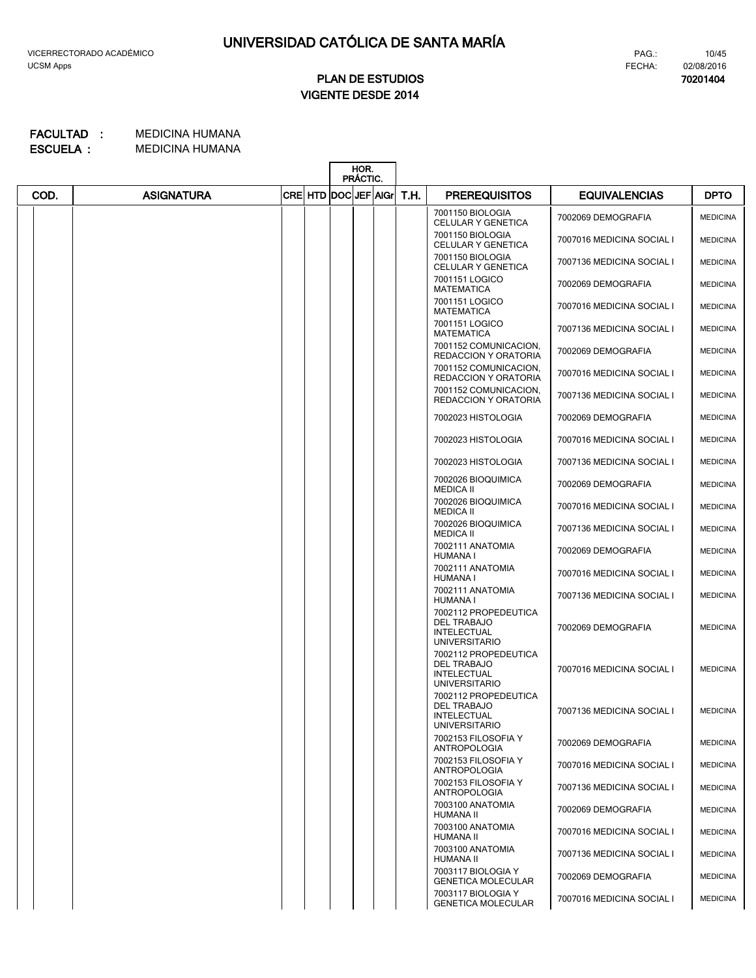**70201404**

10/45

# **VIGENTE DESDE 2014 PLAN DE ESTUDIOS**

|      |                   |                            | HOR.<br>PRÁCTIC. |      |                                                                                          |                           |                 |
|------|-------------------|----------------------------|------------------|------|------------------------------------------------------------------------------------------|---------------------------|-----------------|
| COD. | <b>ASIGNATURA</b> | <b>CRE HTD DOCUEF AIGN</b> |                  | T.H. | <b>PREREQUISITOS</b>                                                                     | <b>EQUIVALENCIAS</b>      | <b>DPTO</b>     |
|      |                   |                            |                  |      | 7001150 BIOLOGIA<br>CELULAR Y GENETICA                                                   | 7002069 DEMOGRAFIA        | <b>MEDICINA</b> |
|      |                   |                            |                  |      | 7001150 BIOLOGIA<br>CELULAR Y GENETICA                                                   | 7007016 MEDICINA SOCIAL I | <b>MEDICINA</b> |
|      |                   |                            |                  |      | 7001150 BIOLOGIA<br>CELULAR Y GENETICA                                                   | 7007136 MEDICINA SOCIAL I | <b>MEDICINA</b> |
|      |                   |                            |                  |      | 7001151 LOGICO<br><b>MATEMATICA</b>                                                      | 7002069 DEMOGRAFIA        | <b>MEDICINA</b> |
|      |                   |                            |                  |      | 7001151 LOGICO<br><b>MATEMATICA</b>                                                      | 7007016 MEDICINA SOCIAL I | <b>MEDICINA</b> |
|      |                   |                            |                  |      | 7001151 LOGICO<br><b>MATEMATICA</b>                                                      | 7007136 MEDICINA SOCIAL I | <b>MEDICINA</b> |
|      |                   |                            |                  |      | 7001152 COMUNICACION,<br><b>REDACCION Y ORATORIA</b>                                     | 7002069 DEMOGRAFIA        | <b>MEDICINA</b> |
|      |                   |                            |                  |      | 7001152 COMUNICACION,<br>REDACCION Y ORATORIA                                            | 7007016 MEDICINA SOCIAL I | <b>MEDICINA</b> |
|      |                   |                            |                  |      | 7001152 COMUNICACION,<br><b>REDACCION Y ORATORIA</b>                                     | 7007136 MEDICINA SOCIAL I | <b>MEDICINA</b> |
|      |                   |                            |                  |      | 7002023 HISTOLOGIA                                                                       | 7002069 DEMOGRAFIA        | <b>MEDICINA</b> |
|      |                   |                            |                  |      | 7002023 HISTOLOGIA                                                                       | 7007016 MEDICINA SOCIAL I | <b>MEDICINA</b> |
|      |                   |                            |                  |      | 7002023 HISTOLOGIA                                                                       | 7007136 MEDICINA SOCIAL I | <b>MEDICINA</b> |
|      |                   |                            |                  |      | 7002026 BIOQUIMICA<br><b>MEDICA II</b>                                                   | 7002069 DEMOGRAFIA        | <b>MEDICINA</b> |
|      |                   |                            |                  |      | 7002026 BIOQUIMICA<br><b>MEDICA II</b>                                                   | 7007016 MEDICINA SOCIAL I | <b>MEDICINA</b> |
|      |                   |                            |                  |      | 7002026 BIOQUIMICA<br><b>MEDICA II</b>                                                   | 7007136 MEDICINA SOCIAL I | <b>MEDICINA</b> |
|      |                   |                            |                  |      | 7002111 ANATOMIA<br><b>HUMANA I</b>                                                      | 7002069 DEMOGRAFIA        | <b>MEDICINA</b> |
|      |                   |                            |                  |      | 7002111 ANATOMIA<br>HUMANA I                                                             | 7007016 MEDICINA SOCIAL I | <b>MEDICINA</b> |
|      |                   |                            |                  |      | 7002111 ANATOMIA<br><b>HUMANA I</b>                                                      | 7007136 MEDICINA SOCIAL I | <b>MEDICINA</b> |
|      |                   |                            |                  |      | 7002112 PROPEDEUTICA<br><b>DEL TRABAJO</b><br>INTELECTUAL<br><b>UNIVERSITARIO</b>        | 7002069 DEMOGRAFIA        | <b>MEDICINA</b> |
|      |                   |                            |                  |      | 7002112 PROPEDEUTICA<br><b>DEL TRABAJO</b><br><b>INTELECTUAL</b><br><b>UNIVERSITARIO</b> | 7007016 MEDICINA SOCIAL I | <b>MEDICINA</b> |
|      |                   |                            |                  |      | 7002112 PROPEDEUTICA<br>DEL TRABAJO<br>INTELECTUAL<br><b>UNIVERSITARIO</b>               | 7007136 MEDICINA SOCIAL I | <b>MEDICINA</b> |
|      |                   |                            |                  |      | 7002153 FILOSOFIA Y<br><b>ANTROPOLOGIA</b>                                               | 7002069 DEMOGRAFIA        | <b>MEDICINA</b> |
|      |                   |                            |                  |      | 7002153 FILOSOFIA Y<br><b>ANTROPOLOGIA</b>                                               | 7007016 MEDICINA SOCIAL I | <b>MEDICINA</b> |
|      |                   |                            |                  |      | 7002153 FILOSOFIA Y<br><b>ANTROPOLOGIA</b>                                               | 7007136 MEDICINA SOCIAL I | <b>MEDICINA</b> |
|      |                   |                            |                  |      | 7003100 ANATOMIA<br><b>HUMANA II</b>                                                     | 7002069 DEMOGRAFIA        | <b>MEDICINA</b> |
|      |                   |                            |                  |      | 7003100 ANATOMIA<br>HUMANA II                                                            | 7007016 MEDICINA SOCIAL I | <b>MEDICINA</b> |
|      |                   |                            |                  |      | 7003100 ANATOMIA<br><b>HUMANA II</b>                                                     | 7007136 MEDICINA SOCIAL I | <b>MEDICINA</b> |
|      |                   |                            |                  |      | 7003117 BIOLOGIA Y<br><b>GENETICA MOLECULAR</b>                                          | 7002069 DEMOGRAFIA        | <b>MEDICINA</b> |
|      |                   |                            |                  |      | 7003117 BIOLOGIA Y<br><b>GENETICA MOLECULAR</b>                                          | 7007016 MEDICINA SOCIAL I | <b>MEDICINA</b> |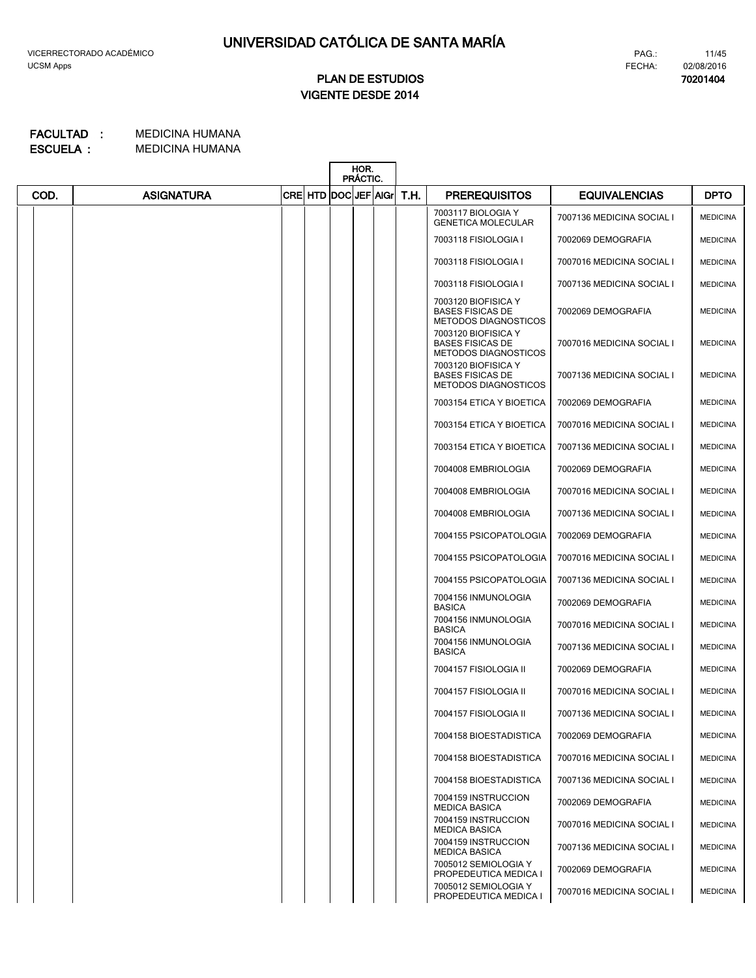**70201404**

# **VIGENTE DESDE 2014 PLAN DE ESTUDIOS**

|      |                   |                     | HOR.<br>PRÁCTIC. |      |                                                                               |                           |                 |
|------|-------------------|---------------------|------------------|------|-------------------------------------------------------------------------------|---------------------------|-----------------|
| COD. | <b>ASIGNATURA</b> | CRE HTD DOC JEF AGr |                  | T.H. | <b>PREREQUISITOS</b>                                                          | <b>EQUIVALENCIAS</b>      | <b>DPTO</b>     |
|      |                   |                     |                  |      | 7003117 BIOLOGIA Y<br><b>GENETICA MOLECULAR</b>                               | 7007136 MEDICINA SOCIAL I | <b>MEDICINA</b> |
|      |                   |                     |                  |      | 7003118 FISIOLOGIA I                                                          | 7002069 DEMOGRAFIA        | <b>MEDICINA</b> |
|      |                   |                     |                  |      | 7003118 FISIOLOGIA I                                                          | 7007016 MEDICINA SOCIAL I | <b>MEDICINA</b> |
|      |                   |                     |                  |      | 7003118 FISIOLOGIA I                                                          | 7007136 MEDICINA SOCIAL I | <b>MEDICINA</b> |
|      |                   |                     |                  |      | 7003120 BIOFISICA Y<br><b>BASES FISICAS DE</b><br><b>METODOS DIAGNOSTICOS</b> | 7002069 DEMOGRAFIA        | <b>MEDICINA</b> |
|      |                   |                     |                  |      | 7003120 BIOFISICA Y<br><b>BASES FISICAS DE</b><br><b>METODOS DIAGNOSTICOS</b> | 7007016 MEDICINA SOCIAL I | <b>MEDICINA</b> |
|      |                   |                     |                  |      | 7003120 BIOFISICA Y<br><b>BASES FISICAS DE</b><br><b>METODOS DIAGNOSTICOS</b> | 7007136 MEDICINA SOCIAL I | <b>MEDICINA</b> |
|      |                   |                     |                  |      | 7003154 ETICA Y BIOETICA                                                      | 7002069 DEMOGRAFIA        | <b>MEDICINA</b> |
|      |                   |                     |                  |      | 7003154 ETICA Y BIOETICA                                                      | 7007016 MEDICINA SOCIAL I | <b>MEDICINA</b> |
|      |                   |                     |                  |      | 7003154 ETICA Y BIOETICA                                                      | 7007136 MEDICINA SOCIAL I | <b>MEDICINA</b> |
|      |                   |                     |                  |      | 7004008 EMBRIOLOGIA                                                           | 7002069 DEMOGRAFIA        | <b>MEDICINA</b> |
|      |                   |                     |                  |      | 7004008 EMBRIOLOGIA                                                           | 7007016 MEDICINA SOCIAL I | <b>MEDICINA</b> |
|      |                   |                     |                  |      | 7004008 EMBRIOLOGIA                                                           | 7007136 MEDICINA SOCIAL I | <b>MEDICINA</b> |
|      |                   |                     |                  |      | 7004155 PSICOPATOLOGIA                                                        | 7002069 DEMOGRAFIA        | <b>MEDICINA</b> |
|      |                   |                     |                  |      | 7004155 PSICOPATOLOGIA                                                        | 7007016 MEDICINA SOCIAL I | <b>MEDICINA</b> |
|      |                   |                     |                  |      | 7004155 PSICOPATOLOGIA                                                        | 7007136 MEDICINA SOCIAL I | <b>MEDICINA</b> |
|      |                   |                     |                  |      | 7004156 INMUNOLOGIA<br><b>BASICA</b>                                          | 7002069 DEMOGRAFIA        | <b>MEDICINA</b> |
|      |                   |                     |                  |      | 7004156 INMUNOLOGIA<br><b>BASICA</b>                                          | 7007016 MEDICINA SOCIAL I | <b>MEDICINA</b> |
|      |                   |                     |                  |      | 7004156 INMUNOLOGIA<br><b>BASICA</b>                                          | 7007136 MEDICINA SOCIAL I | <b>MEDICINA</b> |
|      |                   |                     |                  |      | 7004157 FISIOLOGIA II                                                         | 7002069 DEMOGRAFIA        | <b>MEDICINA</b> |
|      |                   |                     |                  |      | 7004157 FISIOLOGIA II                                                         | 7007016 MEDICINA SOCIAL I | <b>MEDICINA</b> |
|      |                   |                     |                  |      | 7004157 FISIOLOGIA II                                                         | 7007136 MEDICINA SOCIAL I | <b>MEDICINA</b> |
|      |                   |                     |                  |      | 7004158 BIOESTADISTICA                                                        | 7002069 DEMOGRAFIA        | <b>MEDICINA</b> |
|      |                   |                     |                  |      | 7004158 BIOESTADISTICA                                                        | 7007016 MEDICINA SOCIAL I | <b>MEDICINA</b> |
|      |                   |                     |                  |      | 7004158 BIOESTADISTICA                                                        | 7007136 MEDICINA SOCIAL I | <b>MEDICINA</b> |
|      |                   |                     |                  |      | 7004159 INSTRUCCION<br><b>MEDICA BASICA</b>                                   | 7002069 DEMOGRAFIA        | <b>MEDICINA</b> |
|      |                   |                     |                  |      | 7004159 INSTRUCCION<br><b>MEDICA BASICA</b>                                   | 7007016 MEDICINA SOCIAL I | <b>MEDICINA</b> |
|      |                   |                     |                  |      | 7004159 INSTRUCCION<br><b>MEDICA BASICA</b>                                   | 7007136 MEDICINA SOCIAL I | <b>MEDICINA</b> |
|      |                   |                     |                  |      | 7005012 SEMIOLOGIA Y<br>PROPEDEUTICA MEDICA I                                 | 7002069 DEMOGRAFIA        | <b>MEDICINA</b> |
|      |                   |                     |                  |      | 7005012 SEMIOLOGIA Y<br>PROPEDEUTICA MEDICA I                                 | 7007016 MEDICINA SOCIAL I | <b>MEDICINA</b> |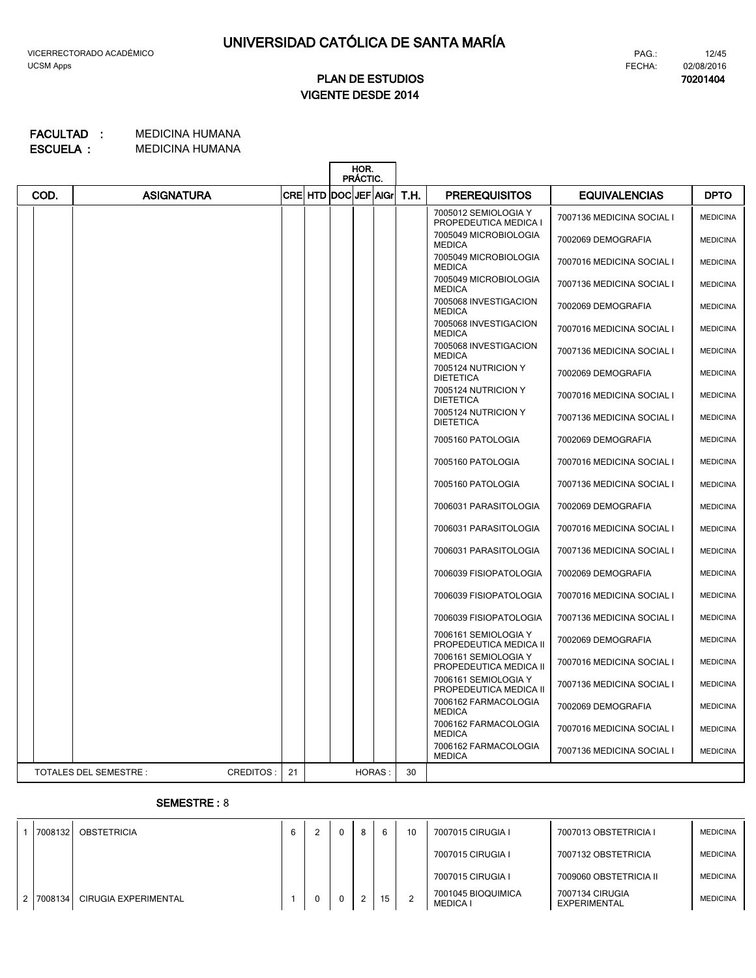# **VIGENTE DESDE 2014 PLAN DE ESTUDIOS**

#### MEDICINA HUMANA MEDICINA HUMANA **ESCUELA : FACULTAD :**

|      |                                     |    |                             | HOR.<br>PRÁCTIC. |      |                                                |                           |                 |
|------|-------------------------------------|----|-----------------------------|------------------|------|------------------------------------------------|---------------------------|-----------------|
| COD. | <b>ASIGNATURA</b>                   |    | <b>CRE HTD DOCIJEF AIGH</b> |                  | T.H. | <b>PREREQUISITOS</b>                           | <b>EQUIVALENCIAS</b>      | <b>DPTO</b>     |
|      |                                     |    |                             |                  |      | 7005012 SEMIOLOGIA Y<br>PROPEDEUTICA MEDICA I  | 7007136 MEDICINA SOCIAL I | <b>MEDICINA</b> |
|      |                                     |    |                             |                  |      | 7005049 MICROBIOLOGIA<br><b>MEDICA</b>         | 7002069 DEMOGRAFIA        | <b>MEDICINA</b> |
|      |                                     |    |                             |                  |      | 7005049 MICROBIOLOGIA<br><b>MEDICA</b>         | 7007016 MEDICINA SOCIAL I | <b>MEDICINA</b> |
|      |                                     |    |                             |                  |      | 7005049 MICROBIOLOGIA<br><b>MEDICA</b>         | 7007136 MEDICINA SOCIAL I | <b>MEDICINA</b> |
|      |                                     |    |                             |                  |      | 7005068 INVESTIGACION<br><b>MEDICA</b>         | 7002069 DEMOGRAFIA        | <b>MEDICINA</b> |
|      |                                     |    |                             |                  |      | 7005068 INVESTIGACION<br><b>MEDICA</b>         | 7007016 MEDICINA SOCIAL I | <b>MEDICINA</b> |
|      |                                     |    |                             |                  |      | 7005068 INVESTIGACION<br><b>MEDICA</b>         | 7007136 MEDICINA SOCIAL I | <b>MEDICINA</b> |
|      |                                     |    |                             |                  |      | 7005124 NUTRICION Y<br><b>DIETETICA</b>        | 7002069 DEMOGRAFIA        | <b>MEDICINA</b> |
|      |                                     |    |                             |                  |      | 7005124 NUTRICION Y<br><b>DIETETICA</b>        | 7007016 MEDICINA SOCIAL I | <b>MEDICINA</b> |
|      |                                     |    |                             |                  |      | 7005124 NUTRICION Y<br><b>DIETETICA</b>        | 7007136 MEDICINA SOCIAL I | <b>MEDICINA</b> |
|      |                                     |    |                             |                  |      | 7005160 PATOLOGIA                              | 7002069 DEMOGRAFIA        | <b>MEDICINA</b> |
|      |                                     |    |                             |                  |      | 7005160 PATOLOGIA                              | 7007016 MEDICINA SOCIAL I | <b>MEDICINA</b> |
|      |                                     |    |                             |                  |      | 7005160 PATOLOGIA                              | 7007136 MEDICINA SOCIAL I | <b>MEDICINA</b> |
|      |                                     |    |                             |                  |      | 7006031 PARASITOLOGIA                          | 7002069 DEMOGRAFIA        | <b>MEDICINA</b> |
|      |                                     |    |                             |                  |      | 7006031 PARASITOLOGIA                          | 7007016 MEDICINA SOCIAL I | <b>MEDICINA</b> |
|      |                                     |    |                             |                  |      | 7006031 PARASITOLOGIA                          | 7007136 MEDICINA SOCIAL I | <b>MEDICINA</b> |
|      |                                     |    |                             |                  |      | 7006039 FISIOPATOLOGIA                         | 7002069 DEMOGRAFIA        | <b>MEDICINA</b> |
|      |                                     |    |                             |                  |      | 7006039 FISIOPATOLOGIA                         | 7007016 MEDICINA SOCIAL I | <b>MEDICINA</b> |
|      |                                     |    |                             |                  |      | 7006039 FISIOPATOLOGIA                         | 7007136 MEDICINA SOCIAL I | <b>MEDICINA</b> |
|      |                                     |    |                             |                  |      | 7006161 SEMIOLOGIA Y<br>PROPEDEUTICA MEDICA II | 7002069 DEMOGRAFIA        | <b>MEDICINA</b> |
|      |                                     |    |                             |                  |      | 7006161 SEMIOLOGIA Y<br>PROPEDEUTICA MEDICA II | 7007016 MEDICINA SOCIAL I | <b>MEDICINA</b> |
|      |                                     |    |                             |                  |      | 7006161 SEMIOLOGIA Y<br>PROPEDEUTICA MEDICA II | 7007136 MEDICINA SOCIAL I | <b>MEDICINA</b> |
|      |                                     |    |                             |                  |      | 7006162 FARMACOLOGIA<br><b>MEDICA</b>          | 7002069 DEMOGRAFIA        | <b>MEDICINA</b> |
|      |                                     |    |                             |                  |      | 7006162 FARMACOLOGIA<br><b>MEDICA</b>          | 7007016 MEDICINA SOCIAL I | <b>MEDICINA</b> |
|      |                                     |    |                             |                  |      | 7006162 FARMACOLOGIA<br><b>MEDICA</b>          | 7007136 MEDICINA SOCIAL I | <b>MEDICINA</b> |
|      | TOTALES DEL SEMESTRE :<br>CREDITOS: | 21 |                             | <b>HORAS:</b>    | 30   |                                                |                           |                 |

### **SEMESTRE :** 8

| 7008132   | <b>OBSTETRICIA</b>   | 6 |   | 8 |    | 10     | 7007015 CIRUGIA I                     | 7007013 OBSTETRICIA I                  | <b>MEDICINA</b> |
|-----------|----------------------|---|---|---|----|--------|---------------------------------------|----------------------------------------|-----------------|
|           |                      |   |   |   |    |        | 7007015 CIRUGIA I                     | 7007132 OBSTETRICIA                    | <b>MEDICINA</b> |
|           |                      |   |   |   |    |        | 7007015 CIRUGIA I                     | 7009060 OBSTETRICIA II                 | <b>MEDICINA</b> |
| 2 7008134 | CIRUGIA EXPERIMENTAL |   | 0 | 2 | 15 | $\sim$ | 7001045 BIOQUIMICA<br><b>MEDICA I</b> | 7007134 CIRUGIA<br><b>EXPERIMENTAL</b> | <b>MEDICINA</b> |

FECHA: PAG.:

**70201404** 02/08/2016

12/45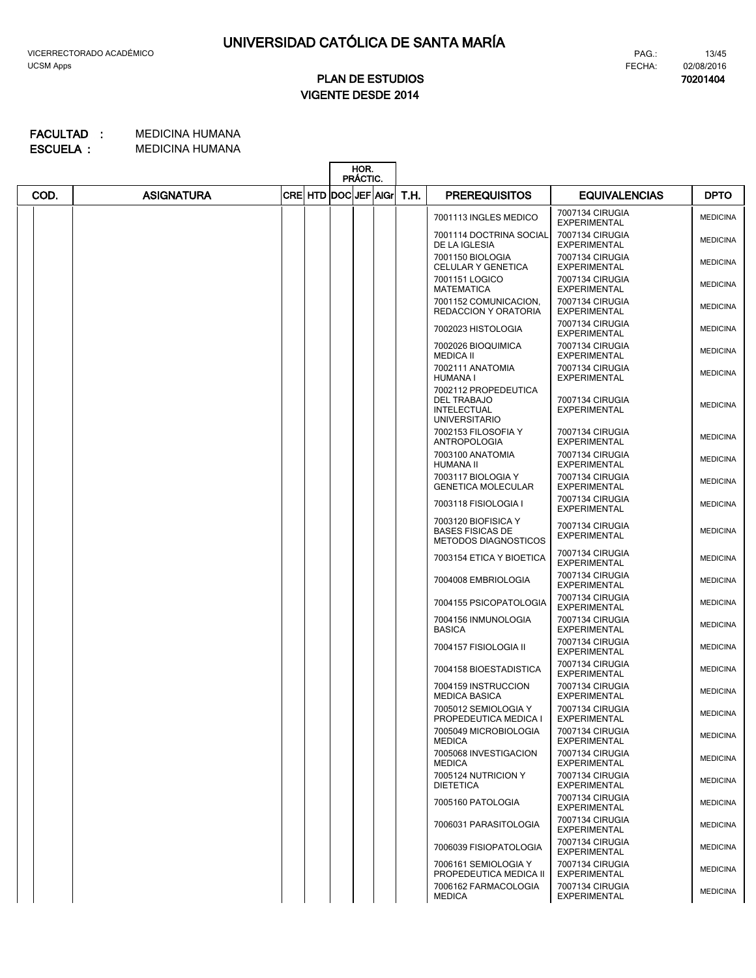**70201404**

13/45

# **VIGENTE DESDE 2014 PLAN DE ESTUDIOS**

#### MEDICINA HUMANA MEDICINA HUMANA **ESCUELA : FACULTAD :**

|      |                   |                              | HOR.<br>PRÁCTIC. |      |                                                                                          |                                        |                 |
|------|-------------------|------------------------------|------------------|------|------------------------------------------------------------------------------------------|----------------------------------------|-----------------|
| COD. | <b>ASIGNATURA</b> | <b>CREI HTD DOCIJEFIAIGr</b> |                  | T.H. | <b>PREREQUISITOS</b>                                                                     | <b>EQUIVALENCIAS</b>                   | <b>DPTO</b>     |
|      |                   |                              |                  |      | 7001113 INGLES MEDICO                                                                    | 7007134 CIRUGIA<br><b>EXPERIMENTAL</b> | <b>MEDICINA</b> |
|      |                   |                              |                  |      | 7001114 DOCTRINA SOCIAL<br>DE LA IGLESIA                                                 | 7007134 CIRUGIA<br><b>EXPERIMENTAL</b> | <b>MEDICINA</b> |
|      |                   |                              |                  |      | 7001150 BIOLOGIA<br>CELULAR Y GENETICA                                                   | 7007134 CIRUGIA<br><b>EXPERIMENTAL</b> | <b>MEDICINA</b> |
|      |                   |                              |                  |      | 7001151 LOGICO<br><b>MATEMATICA</b>                                                      | 7007134 CIRUGIA<br><b>EXPERIMENTAL</b> | <b>MEDICINA</b> |
|      |                   |                              |                  |      | 7001152 COMUNICACION,<br>REDACCION Y ORATORIA                                            | 7007134 CIRUGIA<br><b>EXPERIMENTAL</b> | <b>MEDICINA</b> |
|      |                   |                              |                  |      | 7002023 HISTOLOGIA                                                                       | 7007134 CIRUGIA<br><b>EXPERIMENTAL</b> | <b>MEDICINA</b> |
|      |                   |                              |                  |      | 7002026 BIOQUIMICA<br><b>MEDICA II</b>                                                   | 7007134 CIRUGIA<br><b>EXPERIMENTAL</b> | <b>MEDICINA</b> |
|      |                   |                              |                  |      | 7002111 ANATOMIA<br><b>HUMANA I</b>                                                      | 7007134 CIRUGIA<br><b>EXPERIMENTAL</b> | <b>MEDICINA</b> |
|      |                   |                              |                  |      | 7002112 PROPEDEUTICA<br><b>DEL TRABAJO</b><br><b>INTELECTUAL</b><br><b>UNIVERSITARIO</b> | 7007134 CIRUGIA<br><b>EXPERIMENTAL</b> | <b>MEDICINA</b> |
|      |                   |                              |                  |      | 7002153 FILOSOFIA Y<br><b>ANTROPOLOGIA</b>                                               | 7007134 CIRUGIA<br><b>EXPERIMENTAL</b> | <b>MEDICINA</b> |
|      |                   |                              |                  |      | 7003100 ANATOMIA<br>HUMANA II                                                            | 7007134 CIRUGIA<br><b>EXPERIMENTAL</b> | <b>MEDICINA</b> |
|      |                   |                              |                  |      | 7003117 BIOLOGIA Y<br><b>GENETICA MOLECULAR</b>                                          | 7007134 CIRUGIA<br><b>EXPERIMENTAL</b> | <b>MEDICINA</b> |
|      |                   |                              |                  |      | 7003118 FISIOLOGIA I                                                                     | 7007134 CIRUGIA<br><b>EXPERIMENTAL</b> | <b>MEDICINA</b> |
|      |                   |                              |                  |      | 7003120 BIOFISICA Y<br><b>BASES FISICAS DE</b><br><b>METODOS DIAGNOSTICOS</b>            | 7007134 CIRUGIA<br><b>EXPERIMENTAL</b> | <b>MEDICINA</b> |
|      |                   |                              |                  |      | 7003154 ETICA Y BIOETICA                                                                 | 7007134 CIRUGIA<br><b>EXPERIMENTAL</b> | <b>MEDICINA</b> |
|      |                   |                              |                  |      | 7004008 EMBRIOLOGIA                                                                      | 7007134 CIRUGIA<br><b>EXPERIMENTAL</b> | <b>MEDICINA</b> |
|      |                   |                              |                  |      | 7004155 PSICOPATOLOGIA                                                                   | 7007134 CIRUGIA<br><b>EXPERIMENTAL</b> | <b>MEDICINA</b> |
|      |                   |                              |                  |      | 7004156 INMUNOLOGIA<br><b>BASICA</b>                                                     | 7007134 CIRUGIA<br><b>EXPERIMENTAL</b> | <b>MEDICINA</b> |
|      |                   |                              |                  |      | 7004157 FISIOLOGIA II                                                                    | 7007134 CIRUGIA<br><b>EXPERIMENTAL</b> | <b>MEDICINA</b> |
|      |                   |                              |                  |      | 7004158 BIOESTADISTICA                                                                   | 7007134 CIRUGIA<br><b>EXPERIMENTAL</b> | <b>MEDICINA</b> |
|      |                   |                              |                  |      | 7004159 INSTRUCCION<br><b>MEDICA BASICA</b>                                              | 7007134 CIRUGIA<br><b>EXPERIMENTAL</b> | <b>MEDICINA</b> |
|      |                   |                              |                  |      | 7005012 SEMIOLOGIA Y<br>PROPEDEUTICA MEDICA I                                            | 7007134 CIRUGIA<br><b>EXPERIMENTAL</b> | <b>MEDICINA</b> |
|      |                   |                              |                  |      | 7005049 MICROBIOLOGIA<br><b>MEDICA</b>                                                   | 7007134 CIRUGIA<br><b>EXPERIMENTAL</b> | <b>MEDICINA</b> |
|      |                   |                              |                  |      | 7005068 INVESTIGACION<br><b>MEDICA</b>                                                   | 7007134 CIRUGIA<br><b>EXPERIMENTAL</b> | <b>MEDICINA</b> |
|      |                   |                              |                  |      | 7005124 NUTRICION Y<br><b>DIETETICA</b>                                                  | 7007134 CIRUGIA<br><b>EXPERIMENTAL</b> | <b>MEDICINA</b> |
|      |                   |                              |                  |      | 7005160 PATOLOGIA                                                                        | 7007134 CIRUGIA<br><b>EXPERIMENTAL</b> | <b>MEDICINA</b> |
|      |                   |                              |                  |      | 7006031 PARASITOLOGIA                                                                    | 7007134 CIRUGIA<br><b>EXPERIMENTAL</b> | <b>MEDICINA</b> |
|      |                   |                              |                  |      | 7006039 FISIOPATOLOGIA                                                                   | 7007134 CIRUGIA<br><b>EXPERIMENTAL</b> | <b>MEDICINA</b> |
|      |                   |                              |                  |      | 7006161 SEMIOLOGIA Y<br>PROPEDEUTICA MEDICA II                                           | 7007134 CIRUGIA<br><b>EXPERIMENTAL</b> | <b>MEDICINA</b> |
|      |                   |                              |                  |      | 7006162 FARMACOLOGIA<br><b>MEDICA</b>                                                    | 7007134 CIRUGIA<br><b>EXPERIMENTAL</b> | <b>MEDICINA</b> |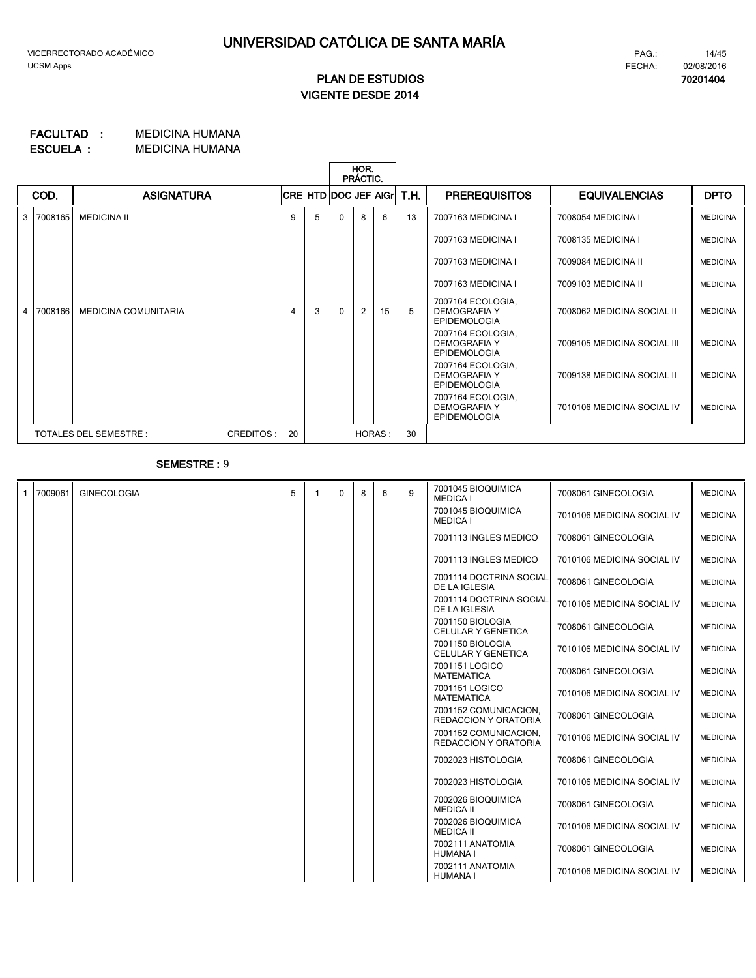# **VIGENTE DESDE 2014 PLAN DE ESTUDIOS**

#### MEDICINA HUMANA **FACULTAD : MEDICINA HUMANA ESCUELA :**

|                |                                                 |                      |  |   | HOR.<br>PRÁCTIC.     |              |   |    |      |                                                                 |                             |                 |
|----------------|-------------------------------------------------|----------------------|--|---|----------------------|--------------|---|----|------|-----------------------------------------------------------------|-----------------------------|-----------------|
|                | COD.                                            | <b>ASIGNATURA</b>    |  |   | CRE HTD DOC JEF AIGr |              |   |    | T.H. | <b>PREREQUISITOS</b>                                            | <b>EQUIVALENCIAS</b>        | <b>DPTO</b>     |
| 3              | 7008165                                         | <b>MEDICINA II</b>   |  | 9 | 5                    | <sup>0</sup> | 8 | 6  | 13   | 7007163 MEDICINA I                                              | 7008054 MEDICINA I          | <b>MEDICINA</b> |
|                |                                                 |                      |  |   |                      |              |   |    |      | 7007163 MEDICINA I                                              | 7008135 MEDICINA I          | <b>MEDICINA</b> |
|                |                                                 |                      |  |   |                      |              |   |    |      | 7007163 MEDICINA I                                              | 7009084 MEDICINA II         | <b>MEDICINA</b> |
|                |                                                 |                      |  |   |                      |              |   |    |      | 7007163 MEDICINA I                                              | 7009103 MEDICINA II         | <b>MEDICINA</b> |
| $\overline{4}$ | 7008166                                         | MEDICINA COMUNITARIA |  | 4 | 3                    | $\Omega$     | 2 | 15 | 5    | 7007164 ECOLOGIA,<br><b>DEMOGRAFIA Y</b><br><b>EPIDEMOLOGIA</b> | 7008062 MEDICINA SOCIAL II  | <b>MEDICINA</b> |
|                |                                                 |                      |  |   |                      |              |   |    |      | 7007164 ECOLOGIA,<br>DEMOGRAFIA Y<br><b>EPIDEMOLOGIA</b>        | 7009105 MEDICINA SOCIAL III | <b>MEDICINA</b> |
|                |                                                 |                      |  |   |                      |              |   |    |      | 7007164 ECOLOGIA,<br><b>DEMOGRAFIA Y</b><br><b>EPIDEMOLOGIA</b> | 7009138 MEDICINA SOCIAL II  | <b>MEDICINA</b> |
|                |                                                 |                      |  |   |                      |              |   |    |      | 7007164 ECOLOGIA,<br><b>DEMOGRAFIA Y</b><br><b>EPIDEMOLOGIA</b> | 7010106 MEDICINA SOCIAL IV  | <b>MEDICINA</b> |
|                | 20<br><b>TOTALES DEL SEMESTRE:</b><br>CREDITOS: |                      |  |   |                      | HORAS:       |   | 30 |      |                                                                 |                             |                 |

### **SEMESTRE :** 9

| -1 | 7009061 | <b>GINECOLOGIA</b> | 5 | $\mathbf{0}$ | 8 | 6 | 9 | 7001045 BIOQUIMICA<br><b>MEDICA I</b>                | 7008061 GINECOLOGIA        | <b>MEDICINA</b> |
|----|---------|--------------------|---|--------------|---|---|---|------------------------------------------------------|----------------------------|-----------------|
|    |         |                    |   |              |   |   |   | 7001045 BIOQUIMICA<br><b>MEDICA I</b>                | 7010106 MEDICINA SOCIAL IV | <b>MEDICINA</b> |
|    |         |                    |   |              |   |   |   | 7001113 INGLES MEDICO                                | 7008061 GINECOLOGIA        | <b>MEDICINA</b> |
|    |         |                    |   |              |   |   |   | 7001113 INGLES MEDICO                                | 7010106 MEDICINA SOCIAL IV | <b>MEDICINA</b> |
|    |         |                    |   |              |   |   |   | 7001114 DOCTRINA SOCIAL<br>DE LA IGLESIA             | 7008061 GINECOLOGIA        | <b>MEDICINA</b> |
|    |         |                    |   |              |   |   |   | 7001114 DOCTRINA SOCIAL<br>DE LA IGLESIA             | 7010106 MEDICINA SOCIAL IV | <b>MEDICINA</b> |
|    |         |                    |   |              |   |   |   | 7001150 BIOLOGIA<br><b>CELULAR Y GENETICA</b>        | 7008061 GINECOLOGIA        | <b>MEDICINA</b> |
|    |         |                    |   |              |   |   |   | 7001150 BIOLOGIA<br><b>CELULAR Y GENETICA</b>        | 7010106 MEDICINA SOCIAL IV | <b>MEDICINA</b> |
|    |         |                    |   |              |   |   |   | 7001151 LOGICO<br><b>MATEMATICA</b>                  | 7008061 GINECOLOGIA        | <b>MEDICINA</b> |
|    |         |                    |   |              |   |   |   | 7001151 LOGICO<br><b>MATEMATICA</b>                  | 7010106 MEDICINA SOCIAL IV | <b>MEDICINA</b> |
|    |         |                    |   |              |   |   |   | 7001152 COMUNICACION.<br>REDACCION Y ORATORIA        | 7008061 GINECOLOGIA        | <b>MEDICINA</b> |
|    |         |                    |   |              |   |   |   | 7001152 COMUNICACION.<br><b>REDACCION Y ORATORIA</b> | 7010106 MEDICINA SOCIAL IV | <b>MEDICINA</b> |
|    |         |                    |   |              |   |   |   | 7002023 HISTOLOGIA                                   | 7008061 GINECOLOGIA        | <b>MEDICINA</b> |
|    |         |                    |   |              |   |   |   | 7002023 HISTOLOGIA                                   | 7010106 MEDICINA SOCIAL IV | <b>MEDICINA</b> |
|    |         |                    |   |              |   |   |   | 7002026 BIOQUIMICA<br><b>MEDICA II</b>               | 7008061 GINECOLOGIA        | <b>MEDICINA</b> |
|    |         |                    |   |              |   |   |   | 7002026 BIOQUIMICA<br><b>MEDICA II</b>               | 7010106 MEDICINA SOCIAL IV | <b>MEDICINA</b> |
|    |         |                    |   |              |   |   |   | 7002111 ANATOMIA<br><b>HUMANA I</b>                  | 7008061 GINECOLOGIA        | <b>MEDICINA</b> |
|    |         |                    |   |              |   |   |   | 7002111 ANATOMIA<br><b>HUMANA I</b>                  | 7010106 MEDICINA SOCIAL IV | <b>MEDICINA</b> |

FECHA: **70201404** 02/08/2016

PAG.:

14/45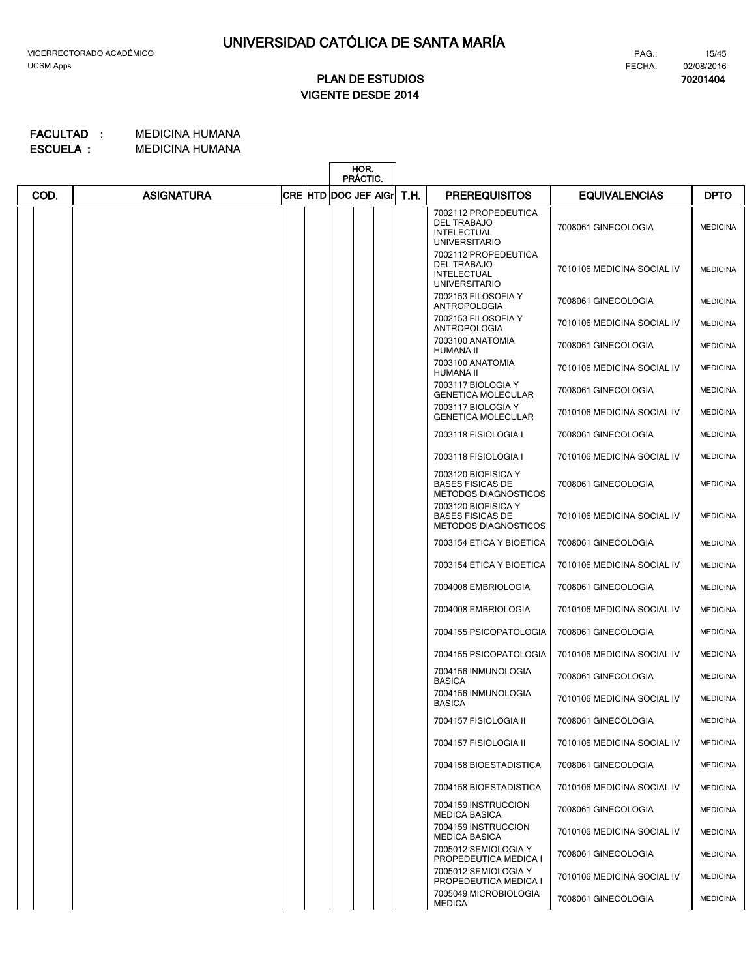**70201404**

# **VIGENTE DESDE 2014 PLAN DE ESTUDIOS**

|      |                   |                           | HOR.<br>PRÁCTIC. |      |                                                                                          |                            |                 |
|------|-------------------|---------------------------|------------------|------|------------------------------------------------------------------------------------------|----------------------------|-----------------|
| COD. | <b>ASIGNATURA</b> | CRE  HTD  DOC  JEF   AIGr |                  | T.H. | <b>PREREQUISITOS</b>                                                                     | <b>EQUIVALENCIAS</b>       | <b>DPTO</b>     |
|      |                   |                           |                  |      | 7002112 PROPEDEUTICA<br><b>DEL TRABAJO</b><br><b>INTELECTUAL</b><br><b>UNIVERSITARIO</b> | 7008061 GINECOLOGIA        | <b>MEDICINA</b> |
|      |                   |                           |                  |      | 7002112 PROPEDEUTICA<br><b>DEL TRABAJO</b><br><b>INTELECTUAL</b><br><b>UNIVERSITARIO</b> | 7010106 MEDICINA SOCIAL IV | <b>MEDICINA</b> |
|      |                   |                           |                  |      | 7002153 FILOSOFIA Y<br><b>ANTROPOLOGIA</b>                                               | 7008061 GINECOLOGIA        | <b>MEDICINA</b> |
|      |                   |                           |                  |      | 7002153 FILOSOFIA Y<br><b>ANTROPOLOGIA</b>                                               | 7010106 MEDICINA SOCIAL IV | <b>MEDICINA</b> |
|      |                   |                           |                  |      | 7003100 ANATOMIA<br>HUMANA II                                                            | 7008061 GINECOLOGIA        | <b>MEDICINA</b> |
|      |                   |                           |                  |      | 7003100 ANATOMIA<br>HUMANA II                                                            | 7010106 MEDICINA SOCIAL IV | <b>MEDICINA</b> |
|      |                   |                           |                  |      | 7003117 BIOLOGIA Y<br><b>GENETICA MOLECULAR</b>                                          | 7008061 GINECOLOGIA        | <b>MEDICINA</b> |
|      |                   |                           |                  |      | 7003117 BIOLOGIA Y<br><b>GENETICA MOLECULAR</b>                                          | 7010106 MEDICINA SOCIAL IV | <b>MEDICINA</b> |
|      |                   |                           |                  |      | 7003118 FISIOLOGIA I                                                                     | 7008061 GINECOLOGIA        | <b>MEDICINA</b> |
|      |                   |                           |                  |      | 7003118 FISIOLOGIA I                                                                     | 7010106 MEDICINA SOCIAL IV | <b>MEDICINA</b> |
|      |                   |                           |                  |      | 7003120 BIOFISICA Y<br><b>BASES FISICAS DE</b><br><b>METODOS DIAGNOSTICOS</b>            | 7008061 GINECOLOGIA        | <b>MEDICINA</b> |
|      |                   |                           |                  |      | 7003120 BIOFISICA Y<br><b>BASES FISICAS DE</b><br><b>METODOS DIAGNOSTICOS</b>            | 7010106 MEDICINA SOCIAL IV | <b>MEDICINA</b> |
|      |                   |                           |                  |      | 7003154 ETICA Y BIOETICA                                                                 | 7008061 GINECOLOGIA        | <b>MEDICINA</b> |
|      |                   |                           |                  |      | 7003154 ETICA Y BIOETICA                                                                 | 7010106 MEDICINA SOCIAL IV | <b>MEDICINA</b> |
|      |                   |                           |                  |      | 7004008 EMBRIOLOGIA                                                                      | 7008061 GINECOLOGIA        | <b>MEDICINA</b> |
|      |                   |                           |                  |      | 7004008 EMBRIOLOGIA                                                                      | 7010106 MEDICINA SOCIAL IV | <b>MEDICINA</b> |
|      |                   |                           |                  |      | 7004155 PSICOPATOLOGIA                                                                   | 7008061 GINECOLOGIA        | <b>MEDICINA</b> |
|      |                   |                           |                  |      | 7004155 PSICOPATOLOGIA                                                                   | 7010106 MEDICINA SOCIAL IV | <b>MEDICINA</b> |
|      |                   |                           |                  |      | 7004156 INMUNOLOGIA<br><b>BASICA</b>                                                     | 7008061 GINECOLOGIA        | <b>MEDICINA</b> |
|      |                   |                           |                  |      | 7004156 INMUNOLOGIA<br><b>BASICA</b>                                                     | 7010106 MEDICINA SOCIAL IV | <b>MEDICINA</b> |
|      |                   |                           |                  |      | 7004157 FISIOLOGIA II                                                                    | 7008061 GINECOLOGIA        | <b>MEDICINA</b> |
|      |                   |                           |                  |      | 7004157 FISIOLOGIA II                                                                    | 7010106 MEDICINA SOCIAL IV | <b>MEDICINA</b> |
|      |                   |                           |                  |      | 7004158 BIOESTADISTICA                                                                   | 7008061 GINECOLOGIA        | <b>MEDICINA</b> |
|      |                   |                           |                  |      | 7004158 BIOESTADISTICA                                                                   | 7010106 MEDICINA SOCIAL IV | <b>MEDICINA</b> |
|      |                   |                           |                  |      | 7004159 INSTRUCCION<br><b>MEDICA BASICA</b>                                              | 7008061 GINECOLOGIA        | <b>MEDICINA</b> |
|      |                   |                           |                  |      | 7004159 INSTRUCCION<br><b>MEDICA BASICA</b>                                              | 7010106 MEDICINA SOCIAL IV | <b>MEDICINA</b> |
|      |                   |                           |                  |      | 7005012 SEMIOLOGIA Y<br>PROPEDEUTICA MEDICA I                                            | 7008061 GINECOLOGIA        | <b>MEDICINA</b> |
|      |                   |                           |                  |      | 7005012 SEMIOLOGIA Y<br>PROPEDEUTICA MEDICA I                                            | 7010106 MEDICINA SOCIAL IV | <b>MEDICINA</b> |
|      |                   |                           |                  |      | 7005049 MICROBIOLOGIA<br><b>MEDICA</b>                                                   | 7008061 GINECOLOGIA        | <b>MEDICINA</b> |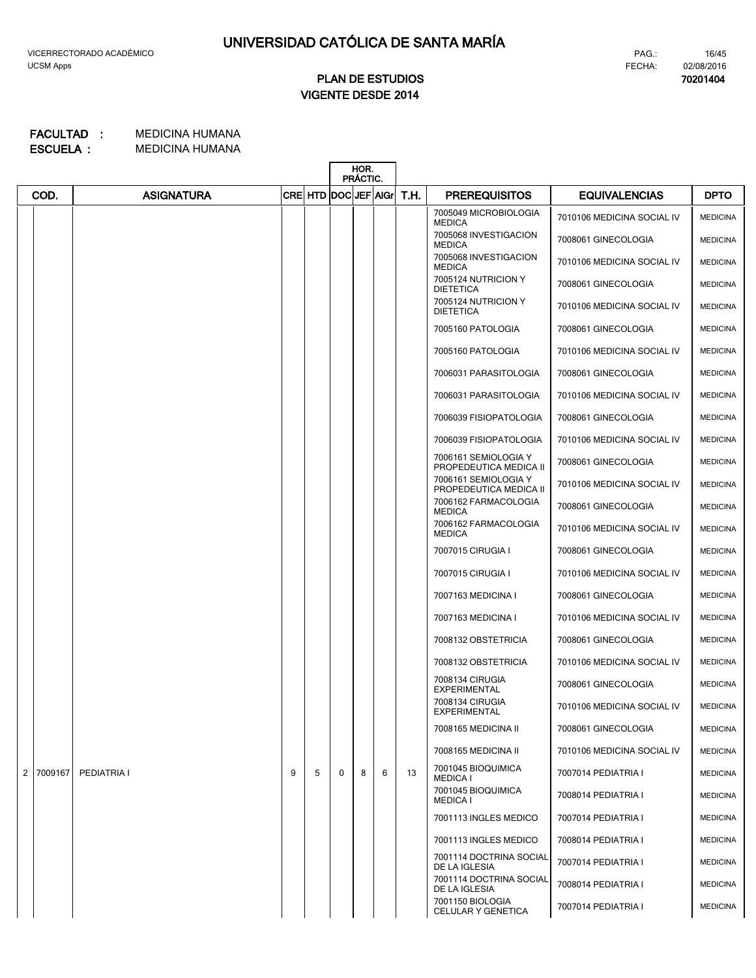# **VIGENTE DESDE 2014 PLAN DE ESTUDIOS**

#### MEDICINA HUMANA **FACULTAD : MEDICINA HUMANA ESCUELA :**

|                |         |                   |   |                      |             | HOR.<br>PRÁCTIC. |   |      |                                                |                            |                 |
|----------------|---------|-------------------|---|----------------------|-------------|------------------|---|------|------------------------------------------------|----------------------------|-----------------|
|                | COD.    | <b>ASIGNATURA</b> |   | CRE HTD DOC JEF AIGr |             |                  |   | T.H. | <b>PREREQUISITOS</b>                           | <b>EQUIVALENCIAS</b>       | <b>DPTO</b>     |
|                |         |                   |   |                      |             |                  |   |      | 7005049 MICROBIOLOGIA<br><b>MEDICA</b>         | 7010106 MEDICINA SOCIAL IV | <b>MEDICINA</b> |
|                |         |                   |   |                      |             |                  |   |      | 7005068 INVESTIGACION<br><b>MEDICA</b>         | 7008061 GINECOLOGIA        | <b>MEDICINA</b> |
|                |         |                   |   |                      |             |                  |   |      | 7005068 INVESTIGACION<br><b>MEDICA</b>         | 7010106 MEDICINA SOCIAL IV | <b>MEDICINA</b> |
|                |         |                   |   |                      |             |                  |   |      | 7005124 NUTRICION Y<br><b>DIETETICA</b>        | 7008061 GINECOLOGIA        | <b>MEDICINA</b> |
|                |         |                   |   |                      |             |                  |   |      | 7005124 NUTRICION Y<br><b>DIETETICA</b>        | 7010106 MEDICINA SOCIAL IV | <b>MEDICINA</b> |
|                |         |                   |   |                      |             |                  |   |      | 7005160 PATOLOGIA                              | 7008061 GINECOLOGIA        | <b>MEDICINA</b> |
|                |         |                   |   |                      |             |                  |   |      | 7005160 PATOLOGIA                              | 7010106 MEDICINA SOCIAL IV | <b>MEDICINA</b> |
|                |         |                   |   |                      |             |                  |   |      | 7006031 PARASITOLOGIA                          | 7008061 GINECOLOGIA        | <b>MEDICINA</b> |
|                |         |                   |   |                      |             |                  |   |      | 7006031 PARASITOLOGIA                          | 7010106 MEDICINA SOCIAL IV | <b>MEDICINA</b> |
|                |         |                   |   |                      |             |                  |   |      | 7006039 FISIOPATOLOGIA                         | 7008061 GINECOLOGIA        | <b>MEDICINA</b> |
|                |         |                   |   |                      |             |                  |   |      | 7006039 FISIOPATOLOGIA                         | 7010106 MEDICINA SOCIAL IV | <b>MEDICINA</b> |
|                |         |                   |   |                      |             |                  |   |      | 7006161 SEMIOLOGIA Y<br>PROPEDEUTICA MEDICA II | 7008061 GINECOLOGIA        | <b>MEDICINA</b> |
|                |         |                   |   |                      |             |                  |   |      | 7006161 SEMIOLOGIA Y<br>PROPEDEUTICA MEDICA II | 7010106 MEDICINA SOCIAL IV | <b>MEDICINA</b> |
|                |         |                   |   |                      |             |                  |   |      | 7006162 FARMACOLOGIA<br><b>MEDICA</b>          | 7008061 GINECOLOGIA        | <b>MEDICINA</b> |
|                |         |                   |   |                      |             |                  |   |      | 7006162 FARMACOLOGIA<br><b>MEDICA</b>          | 7010106 MEDICINA SOCIAL IV | <b>MEDICINA</b> |
|                |         |                   |   |                      |             |                  |   |      | 7007015 CIRUGIA I                              | 7008061 GINECOLOGIA        | <b>MEDICINA</b> |
|                |         |                   |   |                      |             |                  |   |      | 7007015 CIRUGIA I                              | 7010106 MEDICINA SOCIAL IV | <b>MEDICINA</b> |
|                |         |                   |   |                      |             |                  |   |      | 7007163 MEDICINA I                             | 7008061 GINECOLOGIA        | <b>MEDICINA</b> |
|                |         |                   |   |                      |             |                  |   |      | 7007163 MEDICINA I                             | 7010106 MEDICINA SOCIAL IV | <b>MEDICINA</b> |
|                |         |                   |   |                      |             |                  |   |      | 7008132 OBSTETRICIA                            | 7008061 GINECOLOGIA        | <b>MEDICINA</b> |
|                |         |                   |   |                      |             |                  |   |      | 7008132 OBSTETRICIA                            | 7010106 MEDICINA SOCIAL IV | <b>MEDICINA</b> |
|                |         |                   |   |                      |             |                  |   |      | 7008134 CIRUGIA<br><b>EXPERIMENTAL</b>         | 7008061 GINECOLOGIA        | <b>MEDICINA</b> |
|                |         |                   |   |                      |             |                  |   |      | 7008134 CIRUGIA<br>EXPERIMENTAL                | 7010106 MEDICINA SOCIAL IV | <b>MEDICINA</b> |
|                |         |                   |   |                      |             |                  |   |      | 7008165 MEDICINA II                            | 7008061 GINECOLOGIA        | <b>MEDICINA</b> |
|                |         |                   |   |                      |             |                  |   |      | 7008165 MEDICINA II                            | 7010106 MEDICINA SOCIAL IV | <b>MEDICINA</b> |
| 2 <sub>1</sub> | 7009167 | PEDIATRIA I       | 9 | 5                    | $\mathbf 0$ | 8                | 6 | 13   | 7001045 BIOQUIMICA<br><b>MEDICA I</b>          | 7007014 PEDIATRIA I        | <b>MEDICINA</b> |
|                |         |                   |   |                      |             |                  |   |      | 7001045 BIOQUIMICA<br><b>MEDICA I</b>          | 7008014 PEDIATRIA I        | <b>MEDICINA</b> |
|                |         |                   |   |                      |             |                  |   |      | 7001113 INGLES MEDICO                          | 7007014 PEDIATRIA I        | <b>MEDICINA</b> |
|                |         |                   |   |                      |             |                  |   |      | 7001113 INGLES MEDICO                          | 7008014 PEDIATRIA I        | <b>MEDICINA</b> |
|                |         |                   |   |                      |             |                  |   |      | 7001114 DOCTRINA SOCIAL<br>DE LA IGLESIA       | 7007014 PEDIATRIA I        | <b>MEDICINA</b> |
|                |         |                   |   |                      |             |                  |   |      | 7001114 DOCTRINA SOCIAL<br>DE LA IGLESIA       | 7008014 PEDIATRIA I        | <b>MEDICINA</b> |
|                |         |                   |   |                      |             |                  |   |      | 7001150 BIOLOGIA<br>CELULAR Y GENETICA         | 7007014 PEDIATRIA I        | <b>MEDICINA</b> |

PAG.:

**70201404**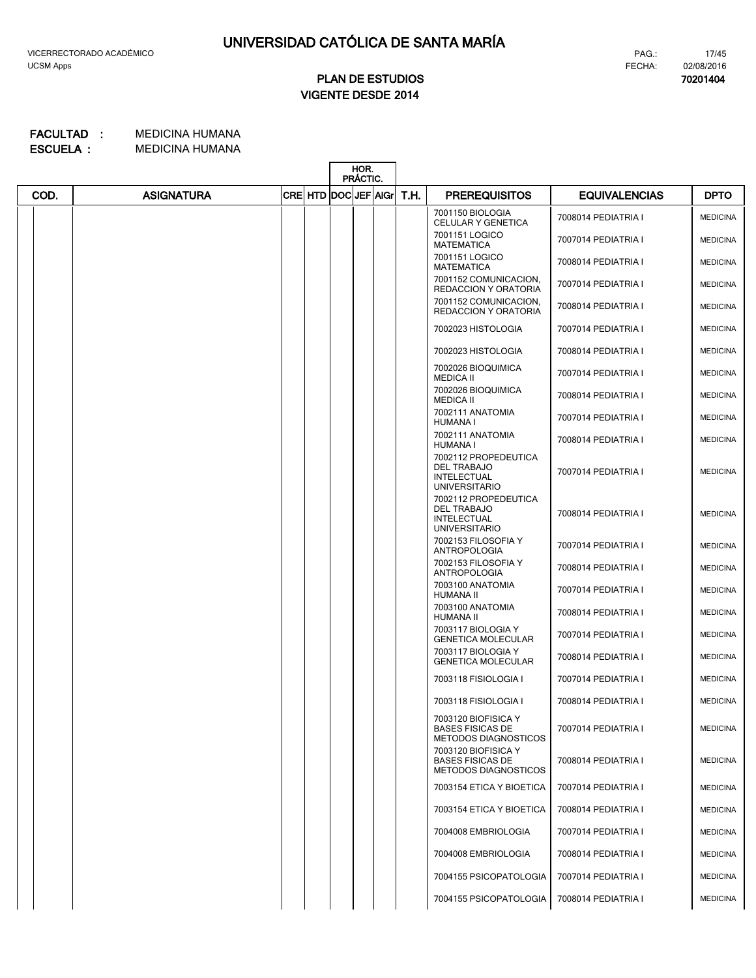**70201404**

# **VIGENTE DESDE 2014 PLAN DE ESTUDIOS**

|      |                   |  |                           | HOR.<br>PRÁCTIC. |  |  |      |                                                                                          |                      |                 |
|------|-------------------|--|---------------------------|------------------|--|--|------|------------------------------------------------------------------------------------------|----------------------|-----------------|
| COD. | <b>ASIGNATURA</b> |  | CRE  HTD  DOC  JEF   AIGr |                  |  |  | T.H. | <b>PREREQUISITOS</b>                                                                     | <b>EQUIVALENCIAS</b> | <b>DPTO</b>     |
|      |                   |  |                           |                  |  |  |      | 7001150 BIOLOGIA<br>CELULAR Y GENETICA                                                   | 7008014 PEDIATRIA I  | <b>MEDICINA</b> |
|      |                   |  |                           |                  |  |  |      | 7001151 LOGICO<br><b>MATEMATICA</b>                                                      | 7007014 PEDIATRIA I  | <b>MEDICINA</b> |
|      |                   |  |                           |                  |  |  |      | 7001151 LOGICO<br><b>MATEMATICA</b>                                                      | 7008014 PEDIATRIA I  | <b>MEDICINA</b> |
|      |                   |  |                           |                  |  |  |      | 7001152 COMUNICACION,<br><b>REDACCION Y ORATORIA</b>                                     | 7007014 PEDIATRIA I  | <b>MEDICINA</b> |
|      |                   |  |                           |                  |  |  |      | 7001152 COMUNICACION,<br><b>REDACCION Y ORATORIA</b>                                     | 7008014 PEDIATRIA I  | <b>MEDICINA</b> |
|      |                   |  |                           |                  |  |  |      | 7002023 HISTOLOGIA                                                                       | 7007014 PEDIATRIA I  | <b>MEDICINA</b> |
|      |                   |  |                           |                  |  |  |      | 7002023 HISTOLOGIA                                                                       | 7008014 PEDIATRIA I  | <b>MEDICINA</b> |
|      |                   |  |                           |                  |  |  |      | 7002026 BIOQUIMICA<br><b>MEDICA II</b>                                                   | 7007014 PEDIATRIA I  | <b>MEDICINA</b> |
|      |                   |  |                           |                  |  |  |      | 7002026 BIOQUIMICA<br><b>MEDICA II</b>                                                   | 7008014 PEDIATRIA I  | <b>MEDICINA</b> |
|      |                   |  |                           |                  |  |  |      | 7002111 ANATOMIA<br><b>HUMANA I</b>                                                      | 7007014 PEDIATRIA I  | <b>MEDICINA</b> |
|      |                   |  |                           |                  |  |  |      | 7002111 ANATOMIA<br><b>HUMANA I</b>                                                      | 7008014 PEDIATRIA I  | <b>MEDICINA</b> |
|      |                   |  |                           |                  |  |  |      | 7002112 PROPEDEUTICA<br>DEL TRABAJO<br><b>INTELECTUAL</b><br><b>UNIVERSITARIO</b>        | 7007014 PEDIATRIA I  | <b>MEDICINA</b> |
|      |                   |  |                           |                  |  |  |      | 7002112 PROPEDEUTICA<br><b>DEL TRABAJO</b><br><b>INTELECTUAL</b><br><b>UNIVERSITARIO</b> | 7008014 PEDIATRIA I  | <b>MEDICINA</b> |
|      |                   |  |                           |                  |  |  |      | 7002153 FILOSOFIA Y<br>ANTROPOLOGIA                                                      | 7007014 PEDIATRIA I  | <b>MEDICINA</b> |
|      |                   |  |                           |                  |  |  |      | 7002153 FILOSOFIA Y<br><b>ANTROPOLOGIA</b>                                               | 7008014 PEDIATRIA I  | <b>MEDICINA</b> |
|      |                   |  |                           |                  |  |  |      | 7003100 ANATOMIA<br>HUMANA II                                                            | 7007014 PEDIATRIA I  | <b>MEDICINA</b> |
|      |                   |  |                           |                  |  |  |      | 7003100 ANATOMIA<br>HUMANA II                                                            | 7008014 PEDIATRIA I  | <b>MEDICINA</b> |
|      |                   |  |                           |                  |  |  |      | 7003117 BIOLOGIA Y<br><b>GENETICA MOLECULAR</b>                                          | 7007014 PEDIATRIA I  | <b>MEDICINA</b> |
|      |                   |  |                           |                  |  |  |      | 7003117 BIOLOGIA Y<br><b>GENETICA MOLECULAR</b>                                          | 7008014 PEDIATRIA I  | <b>MEDICINA</b> |
|      |                   |  |                           |                  |  |  |      | 7003118 FISIOLOGIA I                                                                     | 7007014 PEDIATRIA I  | <b>MEDICINA</b> |
|      |                   |  |                           |                  |  |  |      | 7003118 FISIOLOGIA I                                                                     | 7008014 PEDIATRIA I  | <b>MEDICINA</b> |
|      |                   |  |                           |                  |  |  |      | 7003120 BIOFISICA Y<br><b>BASES FISICAS DE</b><br><b>METODOS DIAGNOSTICOS</b>            | 7007014 PEDIATRIA I  | <b>MEDICINA</b> |
|      |                   |  |                           |                  |  |  |      | 7003120 BIOFISICA Y<br><b>BASES FISICAS DE</b><br><b>METODOS DIAGNOSTICOS</b>            | 7008014 PEDIATRIA I  | <b>MEDICINA</b> |
|      |                   |  |                           |                  |  |  |      | 7003154 ETICA Y BIOETICA                                                                 | 7007014 PEDIATRIA I  | <b>MEDICINA</b> |
|      |                   |  |                           |                  |  |  |      | 7003154 ETICA Y BIOETICA                                                                 | 7008014 PEDIATRIA I  | <b>MEDICINA</b> |
|      |                   |  |                           |                  |  |  |      | 7004008 EMBRIOLOGIA                                                                      | 7007014 PEDIATRIA I  | <b>MEDICINA</b> |
|      |                   |  |                           |                  |  |  |      | 7004008 EMBRIOLOGIA                                                                      | 7008014 PEDIATRIA I  | <b>MEDICINA</b> |
|      |                   |  |                           |                  |  |  |      | 7004155 PSICOPATOLOGIA                                                                   | 7007014 PEDIATRIA I  | <b>MEDICINA</b> |
|      |                   |  |                           |                  |  |  |      | 7004155 PSICOPATOLOGIA                                                                   | 7008014 PEDIATRIA I  | <b>MEDICINA</b> |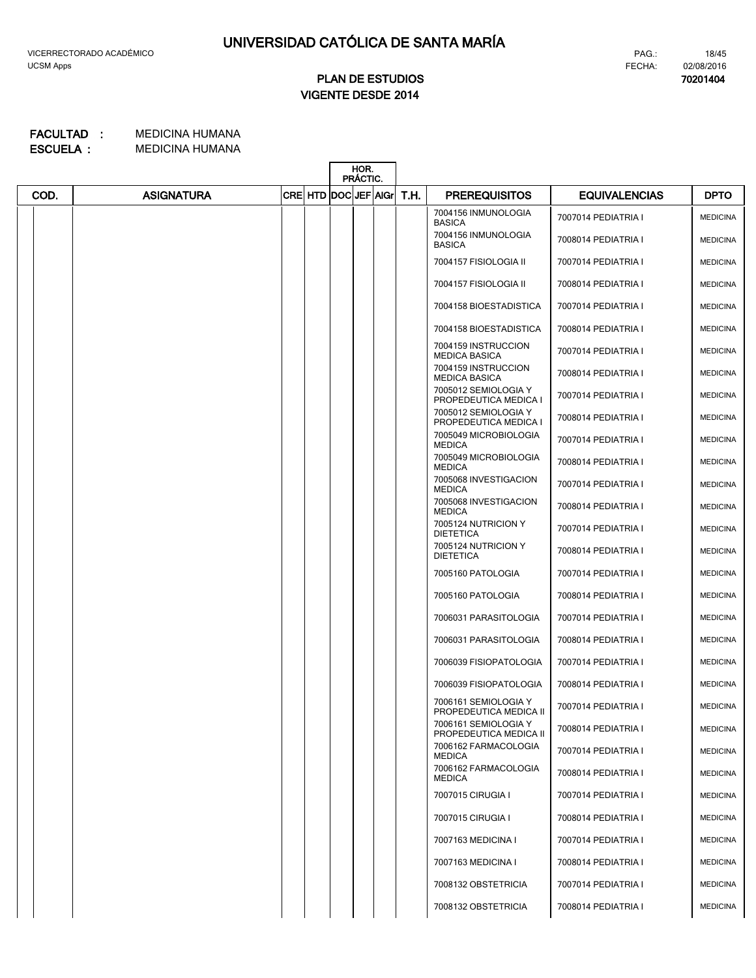# **VIGENTE DESDE 2014 PLAN DE ESTUDIOS**

MEDICINA HUMANA **FACULTAD : MEDICINA HUMANA ESCUELA :**

|      |                   |  | HOR.<br>PRÁCTIC. |  |  |                         |                                                |                      |                 |
|------|-------------------|--|------------------|--|--|-------------------------|------------------------------------------------|----------------------|-----------------|
| COD. | <b>ASIGNATURA</b> |  |                  |  |  | CRE HTD DOC JEF AG T.H. | <b>PREREQUISITOS</b>                           | <b>EQUIVALENCIAS</b> | <b>DPTO</b>     |
|      |                   |  |                  |  |  |                         | 7004156 INMUNOLOGIA<br><b>BASICA</b>           | 7007014 PEDIATRIA I  | <b>MEDICINA</b> |
|      |                   |  |                  |  |  |                         | 7004156 INMUNOLOGIA<br><b>BASICA</b>           | 7008014 PEDIATRIA I  | <b>MEDICINA</b> |
|      |                   |  |                  |  |  |                         | 7004157 FISIOLOGIA II                          | 7007014 PEDIATRIA I  | <b>MEDICINA</b> |
|      |                   |  |                  |  |  |                         | 7004157 FISIOLOGIA II                          | 7008014 PEDIATRIA I  | <b>MEDICINA</b> |
|      |                   |  |                  |  |  |                         | 7004158 BIOESTADISTICA                         | 7007014 PEDIATRIA I  | <b>MEDICINA</b> |
|      |                   |  |                  |  |  |                         | 7004158 BIOESTADISTICA                         | 7008014 PEDIATRIA I  | <b>MEDICINA</b> |
|      |                   |  |                  |  |  |                         | 7004159 INSTRUCCION<br><b>MEDICA BASICA</b>    | 7007014 PEDIATRIA I  | <b>MEDICINA</b> |
|      |                   |  |                  |  |  |                         | 7004159 INSTRUCCION<br><b>MEDICA BASICA</b>    | 7008014 PEDIATRIA I  | <b>MEDICINA</b> |
|      |                   |  |                  |  |  |                         | 7005012 SEMIOLOGIA Y<br>PROPEDEUTICA MEDICA I  | 7007014 PEDIATRIA I  | <b>MEDICINA</b> |
|      |                   |  |                  |  |  |                         | 7005012 SEMIOLOGIA Y<br>PROPEDEUTICA MEDICA I  | 7008014 PEDIATRIA I  | <b>MEDICINA</b> |
|      |                   |  |                  |  |  |                         | 7005049 MICROBIOLOGIA<br><b>MEDICA</b>         | 7007014 PEDIATRIA I  | <b>MEDICINA</b> |
|      |                   |  |                  |  |  |                         | 7005049 MICROBIOLOGIA<br><b>MEDICA</b>         | 7008014 PEDIATRIA I  | <b>MEDICINA</b> |
|      |                   |  |                  |  |  |                         | 7005068 INVESTIGACION<br><b>MEDICA</b>         | 7007014 PEDIATRIA I  | <b>MEDICINA</b> |
|      |                   |  |                  |  |  |                         | 7005068 INVESTIGACION<br><b>MEDICA</b>         | 7008014 PEDIATRIA I  | <b>MEDICINA</b> |
|      |                   |  |                  |  |  |                         | 7005124 NUTRICION Y<br><b>DIETETICA</b>        | 7007014 PEDIATRIA I  | <b>MEDICINA</b> |
|      |                   |  |                  |  |  |                         | 7005124 NUTRICION Y<br><b>DIETETICA</b>        | 7008014 PEDIATRIA I  | <b>MEDICINA</b> |
|      |                   |  |                  |  |  |                         | 7005160 PATOLOGIA                              | 7007014 PEDIATRIA I  | <b>MEDICINA</b> |
|      |                   |  |                  |  |  |                         | 7005160 PATOLOGIA                              | 7008014 PEDIATRIA I  | <b>MEDICINA</b> |
|      |                   |  |                  |  |  |                         | 7006031 PARASITOLOGIA                          | 7007014 PEDIATRIA I  | <b>MEDICINA</b> |
|      |                   |  |                  |  |  |                         | 7006031 PARASITOLOGIA                          | 7008014 PEDIATRIA I  | <b>MEDICINA</b> |
|      |                   |  |                  |  |  |                         | 7006039 FISIOPATOLOGIA                         | 7007014 PEDIATRIA I  | <b>MEDICINA</b> |
|      |                   |  |                  |  |  |                         | 7006039 FISIOPATOLOGIA                         | 7008014 PEDIATRIA I  | <b>MEDICINA</b> |
|      |                   |  |                  |  |  |                         | 7006161 SEMIOLOGIA Y<br>PROPEDEUTICA MEDICA II | 7007014 PEDIATRIA I  | <b>MEDICINA</b> |
|      |                   |  |                  |  |  |                         | 7006161 SEMIOLOGIA Y<br>PROPEDEUTICA MEDICA II | 7008014 PEDIATRIA I  | <b>MEDICINA</b> |
|      |                   |  |                  |  |  |                         | 7006162 FARMACOLOGIA<br><b>MEDICA</b>          | 7007014 PEDIATRIA I  | <b>MEDICINA</b> |
|      |                   |  |                  |  |  |                         | 7006162 FARMACOLOGIA<br><b>MEDICA</b>          | 7008014 PEDIATRIA I  | <b>MEDICINA</b> |
|      |                   |  |                  |  |  |                         | 7007015 CIRUGIA I                              | 7007014 PEDIATRIA I  | <b>MEDICINA</b> |
|      |                   |  |                  |  |  |                         | 7007015 CIRUGIA I                              | 7008014 PEDIATRIA I  | <b>MEDICINA</b> |
|      |                   |  |                  |  |  |                         | 7007163 MEDICINA I                             | 7007014 PEDIATRIA I  | <b>MEDICINA</b> |
|      |                   |  |                  |  |  |                         | 7007163 MEDICINA I                             | 7008014 PEDIATRIA I  | <b>MEDICINA</b> |
|      |                   |  |                  |  |  |                         | 7008132 OBSTETRICIA                            | 7007014 PEDIATRIA I  | <b>MEDICINA</b> |
|      |                   |  |                  |  |  |                         | 7008132 OBSTETRICIA                            | 7008014 PEDIATRIA I  | <b>MEDICINA</b> |

FECHA:

PAG.: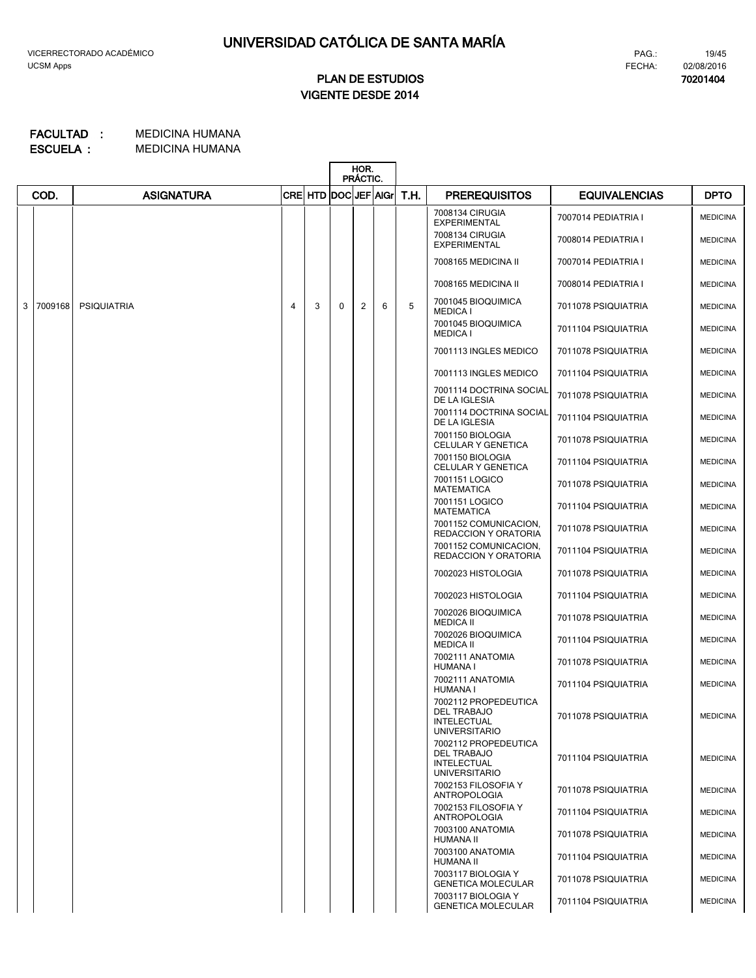# **VIGENTE DESDE 2014 PLAN DE ESTUDIOS**

#### MEDICINA HUMANA **FACULTAD : MEDICINA HUMANA ESCUELA :**

|                |                                                   |                    |   |   | HOR.<br>PRÁCTIC. |   |   |      |                                                                                          |                      |                 |
|----------------|---------------------------------------------------|--------------------|---|---|------------------|---|---|------|------------------------------------------------------------------------------------------|----------------------|-----------------|
|                | <b>ASIGNATURA</b><br>CRE HTD DOC JEF AIGr<br>COD. |                    |   |   |                  |   |   | T.H. | <b>PREREQUISITOS</b>                                                                     | <b>EQUIVALENCIAS</b> | <b>DPTO</b>     |
|                |                                                   |                    |   |   |                  |   |   |      | 7008134 CIRUGIA<br><b>EXPERIMENTAL</b>                                                   | 7007014 PEDIATRIA I  | <b>MEDICINA</b> |
|                |                                                   |                    |   |   |                  |   |   |      | 7008134 CIRUGIA<br><b>EXPERIMENTAL</b>                                                   | 7008014 PEDIATRIA I  | <b>MEDICINA</b> |
|                |                                                   |                    |   |   |                  |   |   |      | 7008165 MEDICINA II                                                                      | 7007014 PEDIATRIA I  | <b>MEDICINA</b> |
|                |                                                   |                    |   |   |                  |   |   |      | 7008165 MEDICINA II                                                                      | 7008014 PEDIATRIA I  | <b>MEDICINA</b> |
| 3 <sup>1</sup> | 7009168                                           | <b>PSIQUIATRIA</b> | 4 | 3 | 0                | 2 | 6 | 5    | 7001045 BIOQUIMICA<br><b>MEDICA I</b>                                                    | 7011078 PSIQUIATRIA  | <b>MEDICINA</b> |
|                |                                                   |                    |   |   |                  |   |   |      | 7001045 BIOQUIMICA<br><b>MEDICA I</b>                                                    | 7011104 PSIQUIATRIA  | <b>MEDICINA</b> |
|                |                                                   |                    |   |   |                  |   |   |      | 7001113 INGLES MEDICO                                                                    | 7011078 PSIQUIATRIA  | <b>MEDICINA</b> |
|                |                                                   |                    |   |   |                  |   |   |      | 7001113 INGLES MEDICO                                                                    | 7011104 PSIQUIATRIA  | <b>MEDICINA</b> |
|                |                                                   |                    |   |   |                  |   |   |      | 7001114 DOCTRINA SOCIAL<br>DE LA IGLESIA                                                 | 7011078 PSIQUIATRIA  | <b>MEDICINA</b> |
|                |                                                   |                    |   |   |                  |   |   |      | 7001114 DOCTRINA SOCIAL<br>DE LA IGLESIA                                                 | 7011104 PSIQUIATRIA  | <b>MEDICINA</b> |
|                |                                                   |                    |   |   |                  |   |   |      | 7001150 BIOLOGIA<br>CELULAR Y GENETICA                                                   | 7011078 PSIQUIATRIA  | <b>MEDICINA</b> |
|                |                                                   |                    |   |   |                  |   |   |      | 7001150 BIOLOGIA<br>CELULAR Y GENETICA                                                   | 7011104 PSIQUIATRIA  | <b>MEDICINA</b> |
|                |                                                   |                    |   |   |                  |   |   |      | 7001151 LOGICO<br><b>MATEMATICA</b>                                                      | 7011078 PSIQUIATRIA  | <b>MEDICINA</b> |
|                |                                                   |                    |   |   |                  |   |   |      | 7001151 LOGICO<br><b>MATEMATICA</b>                                                      | 7011104 PSIQUIATRIA  | <b>MEDICINA</b> |
|                |                                                   |                    |   |   |                  |   |   |      | 7001152 COMUNICACION,<br>REDACCION Y ORATORIA                                            | 7011078 PSIQUIATRIA  | <b>MEDICINA</b> |
|                |                                                   |                    |   |   |                  |   |   |      | 7001152 COMUNICACION,<br>REDACCION Y ORATORIA                                            | 7011104 PSIQUIATRIA  | <b>MEDICINA</b> |
|                |                                                   |                    |   |   |                  |   |   |      | 7002023 HISTOLOGIA                                                                       | 7011078 PSIQUIATRIA  | <b>MEDICINA</b> |
|                |                                                   |                    |   |   |                  |   |   |      | 7002023 HISTOLOGIA                                                                       | 7011104 PSIQUIATRIA  | <b>MEDICINA</b> |
|                |                                                   |                    |   |   |                  |   |   |      | 7002026 BIOQUIMICA<br><b>MEDICA II</b>                                                   | 7011078 PSIQUIATRIA  | <b>MEDICINA</b> |
|                |                                                   |                    |   |   |                  |   |   |      | 7002026 BIOQUIMICA<br><b>MEDICA II</b>                                                   | 7011104 PSIQUIATRIA  | <b>MEDICINA</b> |
|                |                                                   |                    |   |   |                  |   |   |      | 7002111 ANATOMIA<br><b>HUMANA I</b>                                                      | 7011078 PSIQUIATRIA  | <b>MEDICINA</b> |
|                |                                                   |                    |   |   |                  |   |   |      | 7002111 ANATOMIA<br><b>HUMANA I</b>                                                      | 7011104 PSIQUIATRIA  | <b>MEDICINA</b> |
|                |                                                   |                    |   |   |                  |   |   |      | 7002112 PROPEDEUTICA<br><b>DEL TRABAJO</b><br><b>INTELECTUAL</b><br><b>UNIVERSITARIO</b> | 7011078 PSIQUIATRIA  | <b>MEDICINA</b> |
|                |                                                   |                    |   |   |                  |   |   |      | 7002112 PROPEDEUTICA<br><b>DEL TRABAJO</b><br><b>INTELECTUAL</b><br><b>UNIVERSITARIO</b> | 7011104 PSIQUIATRIA  | <b>MEDICINA</b> |
|                |                                                   |                    |   |   |                  |   |   |      | 7002153 FILOSOFIA Y<br><b>ANTROPOLOGIA</b>                                               | 7011078 PSIQUIATRIA  | <b>MEDICINA</b> |
|                |                                                   |                    |   |   |                  |   |   |      | 7002153 FILOSOFIA Y<br><b>ANTROPOLOGIA</b>                                               | 7011104 PSIQUIATRIA  | <b>MEDICINA</b> |
|                |                                                   |                    |   |   |                  |   |   |      | 7003100 ANATOMIA<br>HUMANA II                                                            | 7011078 PSIQUIATRIA  | <b>MEDICINA</b> |
|                |                                                   |                    |   |   |                  |   |   |      | 7003100 ANATOMIA<br>HUMANA II                                                            | 7011104 PSIQUIATRIA  | <b>MEDICINA</b> |
|                |                                                   |                    |   |   |                  |   |   |      | 7003117 BIOLOGIA Y<br><b>GENETICA MOLECULAR</b>                                          | 7011078 PSIQUIATRIA  | <b>MEDICINA</b> |
|                |                                                   |                    |   |   |                  |   |   |      | 7003117 BIOLOGIA Y<br><b>GENETICA MOLECULAR</b>                                          | 7011104 PSIQUIATRIA  | <b>MEDICINA</b> |

FECHA:

PAG.: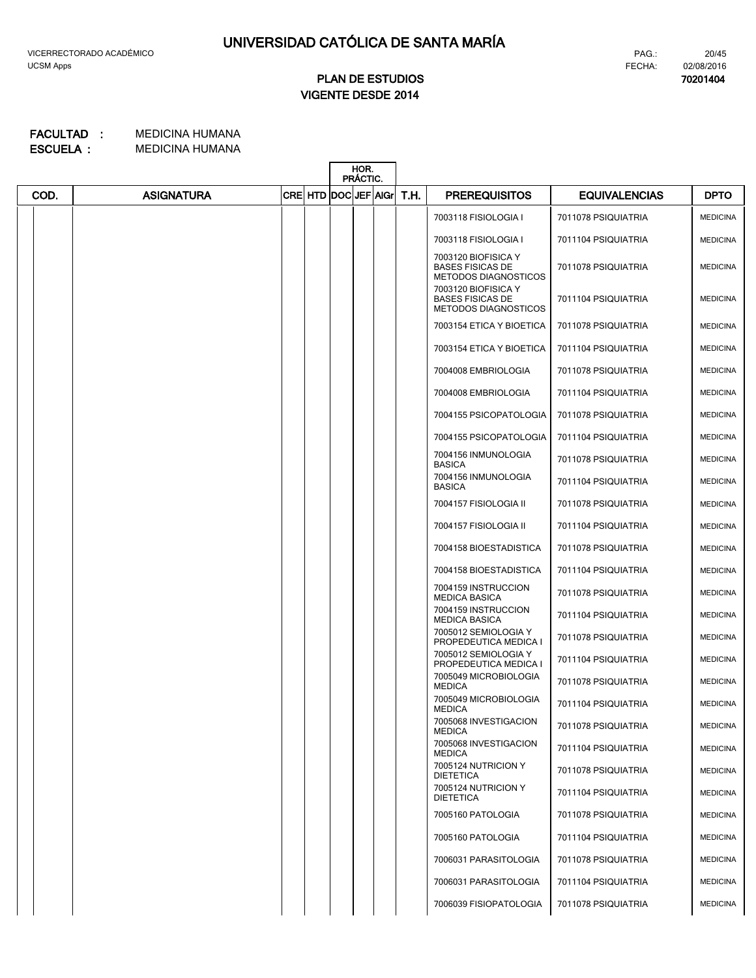**70201404**

# **VIGENTE DESDE 2014 PLAN DE ESTUDIOS**

|      |                   |  |                           | HOR.<br>PRÁCTIC. |  |  |      |                                                                               |                      |                 |
|------|-------------------|--|---------------------------|------------------|--|--|------|-------------------------------------------------------------------------------|----------------------|-----------------|
| COD. | <b>ASIGNATURA</b> |  | CRE  HTD  DOC  JEF   AIGr |                  |  |  | T.H. | <b>PREREQUISITOS</b>                                                          | <b>EQUIVALENCIAS</b> | <b>DPTO</b>     |
|      |                   |  |                           |                  |  |  |      | 7003118 FISIOLOGIA I                                                          | 7011078 PSIQUIATRIA  | <b>MEDICINA</b> |
|      |                   |  |                           |                  |  |  |      | 7003118 FISIOLOGIA I                                                          | 7011104 PSIQUIATRIA  | <b>MEDICINA</b> |
|      |                   |  |                           |                  |  |  |      | 7003120 BIOFISICA Y<br><b>BASES FISICAS DE</b><br><b>METODOS DIAGNOSTICOS</b> | 7011078 PSIQUIATRIA  | <b>MEDICINA</b> |
|      |                   |  |                           |                  |  |  |      | 7003120 BIOFISICA Y<br><b>BASES FISICAS DE</b><br><b>METODOS DIAGNOSTICOS</b> | 7011104 PSIQUIATRIA  | <b>MEDICINA</b> |
|      |                   |  |                           |                  |  |  |      | 7003154 ETICA Y BIOETICA                                                      | 7011078 PSIQUIATRIA  | <b>MEDICINA</b> |
|      |                   |  |                           |                  |  |  |      | 7003154 ETICA Y BIOETICA                                                      | 7011104 PSIQUIATRIA  | <b>MEDICINA</b> |
|      |                   |  |                           |                  |  |  |      | 7004008 EMBRIOLOGIA                                                           | 7011078 PSIQUIATRIA  | <b>MEDICINA</b> |
|      |                   |  |                           |                  |  |  |      | 7004008 EMBRIOLOGIA                                                           | 7011104 PSIQUIATRIA  | <b>MEDICINA</b> |
|      |                   |  |                           |                  |  |  |      | 7004155 PSICOPATOLOGIA                                                        | 7011078 PSIQUIATRIA  | <b>MEDICINA</b> |
|      |                   |  |                           |                  |  |  |      | 7004155 PSICOPATOLOGIA                                                        | 7011104 PSIQUIATRIA  | <b>MEDICINA</b> |
|      |                   |  |                           |                  |  |  |      | 7004156 INMUNOLOGIA<br><b>BASICA</b>                                          | 7011078 PSIQUIATRIA  | <b>MEDICINA</b> |
|      |                   |  |                           |                  |  |  |      | 7004156 INMUNOLOGIA<br><b>BASICA</b>                                          | 7011104 PSIQUIATRIA  | <b>MEDICINA</b> |
|      |                   |  |                           |                  |  |  |      | 7004157 FISIOLOGIA II                                                         | 7011078 PSIQUIATRIA  | <b>MEDICINA</b> |
|      |                   |  |                           |                  |  |  |      | 7004157 FISIOLOGIA II                                                         | 7011104 PSIQUIATRIA  | <b>MEDICINA</b> |
|      |                   |  |                           |                  |  |  |      | 7004158 BIOESTADISTICA                                                        | 7011078 PSIQUIATRIA  | <b>MEDICINA</b> |
|      |                   |  |                           |                  |  |  |      | 7004158 BIOESTADISTICA                                                        | 7011104 PSIQUIATRIA  | <b>MEDICINA</b> |
|      |                   |  |                           |                  |  |  |      | 7004159 INSTRUCCION<br><b>MEDICA BASICA</b>                                   | 7011078 PSIQUIATRIA  | <b>MEDICINA</b> |
|      |                   |  |                           |                  |  |  |      | 7004159 INSTRUCCION<br><b>MEDICA BASICA</b>                                   | 7011104 PSIQUIATRIA  | <b>MEDICINA</b> |
|      |                   |  |                           |                  |  |  |      | 7005012 SEMIOLOGIA Y<br>PROPEDEUTICA MEDICA I                                 | 7011078 PSIQUIATRIA  | <b>MEDICINA</b> |
|      |                   |  |                           |                  |  |  |      | 7005012 SEMIOLOGIA Y<br>PROPEDEUTICA MEDICA I                                 | 7011104 PSIQUIATRIA  | <b>MEDICINA</b> |
|      |                   |  |                           |                  |  |  |      | 7005049 MICROBIOLOGIA<br><b>MEDICA</b>                                        | 7011078 PSIQUIATRIA  | <b>MEDICINA</b> |
|      |                   |  |                           |                  |  |  |      | 7005049 MICROBIOLOGIA<br><b>MEDICA</b>                                        | 7011104 PSIQUIATRIA  | <b>MEDICINA</b> |
|      |                   |  |                           |                  |  |  |      | 7005068 INVESTIGACION<br><b>MEDICA</b>                                        | 7011078 PSIQUIATRIA  | <b>MEDICINA</b> |
|      |                   |  |                           |                  |  |  |      | 7005068 INVESTIGACION<br><b>MEDICA</b>                                        | 7011104 PSIQUIATRIA  | <b>MEDICINA</b> |
|      |                   |  |                           |                  |  |  |      | 7005124 NUTRICION Y<br><b>DIETETICA</b>                                       | 7011078 PSIQUIATRIA  | <b>MEDICINA</b> |
|      |                   |  |                           |                  |  |  |      | 7005124 NUTRICION Y<br><b>DIETETICA</b>                                       | 7011104 PSIQUIATRIA  | <b>MEDICINA</b> |
|      |                   |  |                           |                  |  |  |      | 7005160 PATOLOGIA                                                             | 7011078 PSIQUIATRIA  | <b>MEDICINA</b> |
|      |                   |  |                           |                  |  |  |      | 7005160 PATOLOGIA                                                             | 7011104 PSIQUIATRIA  | <b>MEDICINA</b> |
|      |                   |  |                           |                  |  |  |      | 7006031 PARASITOLOGIA                                                         | 7011078 PSIQUIATRIA  | <b>MEDICINA</b> |
|      |                   |  |                           |                  |  |  |      | 7006031 PARASITOLOGIA                                                         | 7011104 PSIQUIATRIA  | <b>MEDICINA</b> |
|      |                   |  |                           |                  |  |  |      | 7006039 FISIOPATOLOGIA                                                        | 7011078 PSIQUIATRIA  | <b>MEDICINA</b> |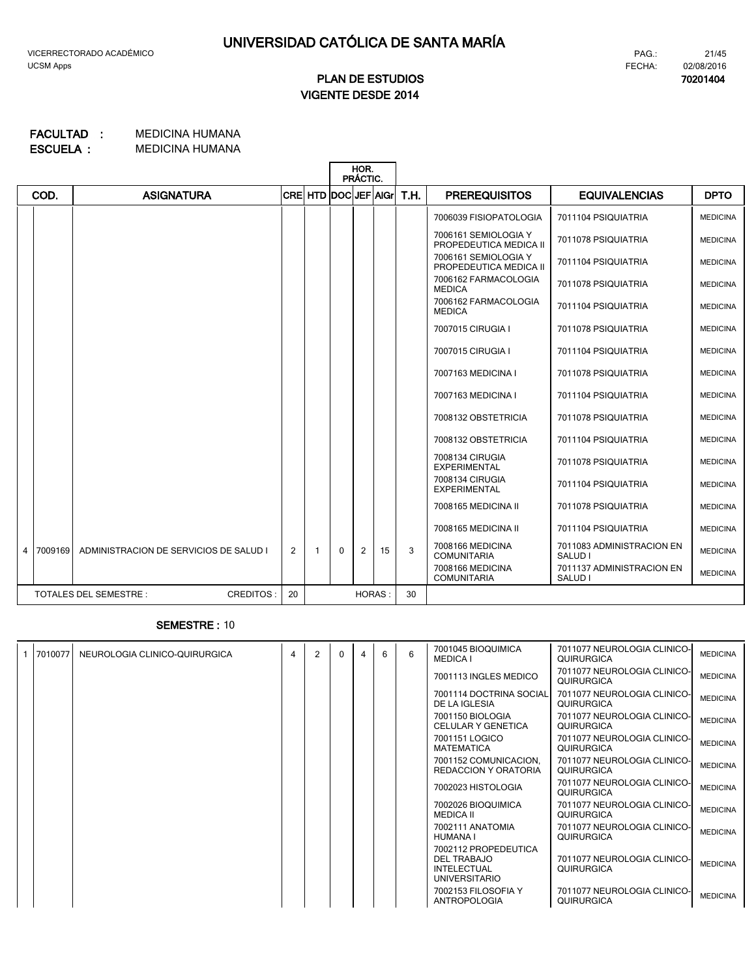# **VIGENTE DESDE 2014 PLAN DE ESTUDIOS**

#### MEDICINA HUMANA MEDICINA HUMANA **ESCUELA : FACULTAD :**

|                |         |                                           |                |                      |   | HOR.<br>PRÁCTIC. |    |      |                                                |                                      |                 |
|----------------|---------|-------------------------------------------|----------------|----------------------|---|------------------|----|------|------------------------------------------------|--------------------------------------|-----------------|
|                | COD.    | <b>ASIGNATURA</b>                         |                | CRE HTD DOC JEF AIGr |   |                  |    | T.H. | <b>PREREQUISITOS</b>                           | <b>EQUIVALENCIAS</b>                 | <b>DPTO</b>     |
|                |         |                                           |                |                      |   |                  |    |      | 7006039 FISIOPATOLOGIA                         | 7011104 PSIQUIATRIA                  | <b>MEDICINA</b> |
|                |         |                                           |                |                      |   |                  |    |      | 7006161 SEMIOLOGIA Y<br>PROPEDEUTICA MEDICA II | 7011078 PSIQUIATRIA                  | <b>MEDICINA</b> |
|                |         |                                           |                |                      |   |                  |    |      | 7006161 SEMIOLOGIA Y<br>PROPEDEUTICA MEDICA II | 7011104 PSIQUIATRIA                  | <b>MEDICINA</b> |
|                |         |                                           |                |                      |   |                  |    |      | 7006162 FARMACOLOGIA<br><b>MEDICA</b>          | 7011078 PSIQUIATRIA                  | <b>MEDICINA</b> |
|                |         |                                           |                |                      |   |                  |    |      | 7006162 FARMACOLOGIA<br><b>MEDICA</b>          | 7011104 PSIQUIATRIA                  | <b>MEDICINA</b> |
|                |         |                                           |                |                      |   |                  |    |      | 7007015 CIRUGIA I                              | 7011078 PSIQUIATRIA                  | <b>MEDICINA</b> |
|                |         |                                           |                |                      |   |                  |    |      | 7007015 CIRUGIA I                              | 7011104 PSIQUIATRIA                  | <b>MEDICINA</b> |
|                |         |                                           |                |                      |   |                  |    |      | 7007163 MEDICINA I                             | 7011078 PSIQUIATRIA                  | <b>MEDICINA</b> |
|                |         |                                           |                |                      |   |                  |    |      | 7007163 MEDICINA I                             | 7011104 PSIQUIATRIA                  | <b>MEDICINA</b> |
|                |         |                                           |                |                      |   |                  |    |      | 7008132 OBSTETRICIA                            | 7011078 PSIQUIATRIA                  | <b>MEDICINA</b> |
|                |         |                                           |                |                      |   |                  |    |      | 7008132 OBSTETRICIA                            | 7011104 PSIQUIATRIA                  | <b>MEDICINA</b> |
|                |         |                                           |                |                      |   |                  |    |      | 7008134 CIRUGIA<br><b>EXPERIMENTAL</b>         | 7011078 PSIQUIATRIA                  | <b>MEDICINA</b> |
|                |         |                                           |                |                      |   |                  |    |      | 7008134 CIRUGIA<br><b>EXPERIMENTAL</b>         | 7011104 PSIQUIATRIA                  | <b>MEDICINA</b> |
|                |         |                                           |                |                      |   |                  |    |      | 7008165 MEDICINA II                            | 7011078 PSIQUIATRIA                  | <b>MEDICINA</b> |
|                |         |                                           |                |                      |   |                  |    |      | 7008165 MEDICINA II                            | 7011104 PSIQUIATRIA                  | <b>MEDICINA</b> |
| $\overline{4}$ | 7009169 | ADMINISTRACION DE SERVICIOS DE SALUD I    | $\overline{2}$ | 1                    | 0 | 2                | 15 | 3    | 7008166 MEDICINA<br><b>COMUNITARIA</b>         | 7011083 ADMINISTRACION EN<br>SALUD I | <b>MEDICINA</b> |
|                |         |                                           |                |                      |   |                  |    |      | 7008166 MEDICINA<br><b>COMUNITARIA</b>         | 7011137 ADMINISTRACION EN<br>SALUD I | <b>MEDICINA</b> |
|                |         | <b>TOTALES DEL SEMESTRE:</b><br>CREDITOS: | 20             |                      |   | <b>HORAS:</b>    |    | 30   |                                                |                                      |                 |

### **SEMESTRE :** 10

| 7010077 | NEUROLOGIA CLINICO-QUIRURGICA | 4 | $\overline{2}$ | $\Omega$ | 6 | 6 | 7001045 BIOQUIMICA<br><b>MEDICA I</b>                                             | 7011077 NEUROLOGIA CLINICO-<br>QUIRURGICA | <b>MEDICINA</b> |
|---------|-------------------------------|---|----------------|----------|---|---|-----------------------------------------------------------------------------------|-------------------------------------------|-----------------|
|         |                               |   |                |          |   |   | 7001113 INGLES MEDICO                                                             | 7011077 NEUROLOGIA CLINICO-<br>QUIRURGICA | <b>MEDICINA</b> |
|         |                               |   |                |          |   |   | 7001114 DOCTRINA SOCIAL<br>DE LA IGLESIA                                          | 7011077 NEUROLOGIA CLINICO-<br>QUIRURGICA | <b>MEDICINA</b> |
|         |                               |   |                |          |   |   | 7001150 BIOLOGIA<br>CELULAR Y GENETICA                                            | 7011077 NEUROLOGIA CLINICO-<br>QUIRURGICA | <b>MEDICINA</b> |
|         |                               |   |                |          |   |   | 7001151 LOGICO<br><b>MATEMATICA</b>                                               | 7011077 NEUROLOGIA CLINICO-<br>QUIRURGICA | <b>MEDICINA</b> |
|         |                               |   |                |          |   |   | 7001152 COMUNICACION.<br>REDACCION Y ORATORIA                                     | 7011077 NEUROLOGIA CLINICO-<br>QUIRURGICA | <b>MEDICINA</b> |
|         |                               |   |                |          |   |   | 7002023 HISTOLOGIA                                                                | 7011077 NEUROLOGIA CLINICO-<br>QUIRURGICA | <b>MEDICINA</b> |
|         |                               |   |                |          |   |   | 7002026 BIOQUIMICA<br><b>MEDICA II</b>                                            | 7011077 NEUROLOGIA CLINICO-<br>QUIRURGICA | <b>MEDICINA</b> |
|         |                               |   |                |          |   |   | 7002111 ANATOMIA<br>HUMANA I                                                      | 7011077 NEUROLOGIA CLINICO-<br>QUIRURGICA | <b>MEDICINA</b> |
|         |                               |   |                |          |   |   | 7002112 PROPEDEUTICA<br>DEL TRABAJO<br><b>INTELECTUAL</b><br><b>UNIVERSITARIO</b> | 7011077 NEUROLOGIA CLINICO-<br>QUIRURGICA | <b>MEDICINA</b> |
|         |                               |   |                |          |   |   | 7002153 FILOSOFIA Y<br><b>ANTROPOLOGIA</b>                                        | 7011077 NEUROLOGIA CLINICO-<br>QUIRURGICA | <b>MEDICINA</b> |

21/45 FECHA: PAG.:

**70201404** 02/08/2016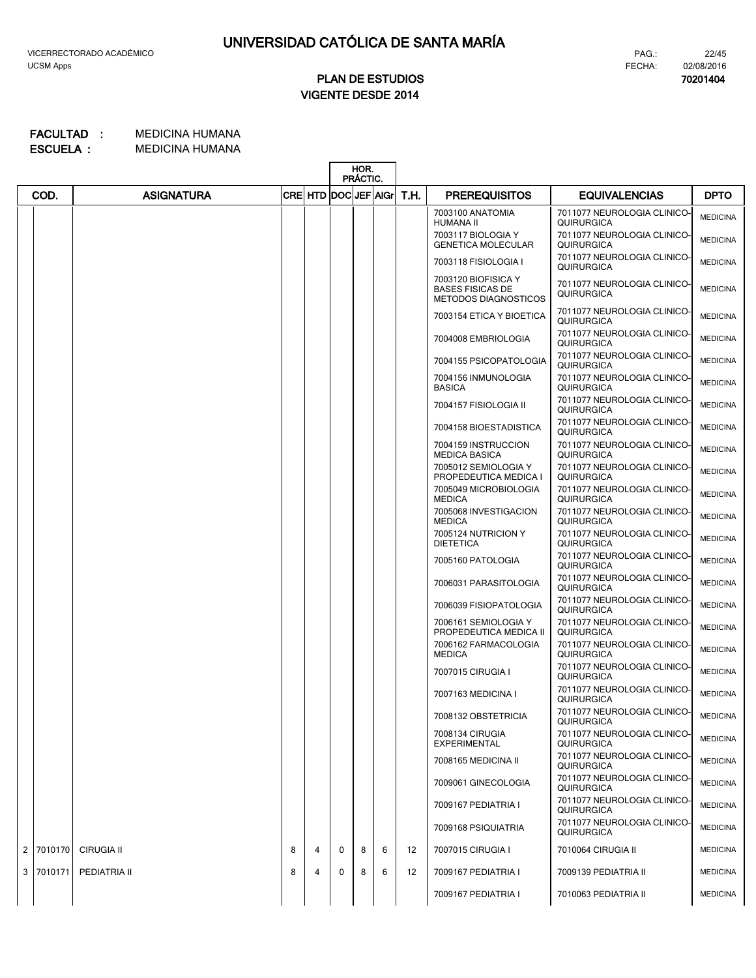**70201404**

22/45

# **VIGENTE DESDE 2014 PLAN DE ESTUDIOS**

|                |         |                   |   |   |                           | HOR.<br>PRÁCTIC. |      |                      |                                                                               |                                                  |                 |
|----------------|---------|-------------------|---|---|---------------------------|------------------|------|----------------------|-------------------------------------------------------------------------------|--------------------------------------------------|-----------------|
|                | COD.    | <b>ASIGNATURA</b> |   |   | CRE  HTD  DOC  JEF   AIGr |                  | T.H. | <b>PREREQUISITOS</b> | <b>EQUIVALENCIAS</b>                                                          | <b>DPTO</b>                                      |                 |
|                |         |                   |   |   |                           |                  |      |                      | 7003100 ANATOMIA<br><b>HUMANA II</b>                                          | 7011077 NEUROLOGIA CLINICO-<br><b>QUIRURGICA</b> | <b>MEDICINA</b> |
|                |         |                   |   |   |                           |                  |      |                      | 7003117 BIOLOGIA Y<br><b>GENETICA MOLECULAR</b>                               | 7011077 NEUROLOGIA CLINICO-<br><b>QUIRURGICA</b> | <b>MEDICINA</b> |
|                |         |                   |   |   |                           |                  |      |                      | 7003118 FISIOLOGIA I                                                          | 7011077 NEUROLOGIA CLINICO-<br><b>QUIRURGICA</b> | <b>MEDICINA</b> |
|                |         |                   |   |   |                           |                  |      |                      | 7003120 BIOFISICA Y<br><b>BASES FISICAS DE</b><br><b>METODOS DIAGNOSTICOS</b> | 7011077 NEUROLOGIA CLINICO-<br><b>QUIRURGICA</b> | <b>MEDICINA</b> |
|                |         |                   |   |   |                           |                  |      |                      | 7003154 ETICA Y BIOETICA                                                      | 7011077 NEUROLOGIA CLINICO-<br><b>QUIRURGICA</b> | <b>MEDICINA</b> |
|                |         |                   |   |   |                           |                  |      |                      | 7004008 EMBRIOLOGIA                                                           | 7011077 NEUROLOGIA CLINICO-<br>QUIRURGICA        | <b>MEDICINA</b> |
|                |         |                   |   |   |                           |                  |      |                      | 7004155 PSICOPATOLOGIA                                                        | 7011077 NEUROLOGIA CLINICO-<br>QUIRURGICA        | <b>MEDICINA</b> |
|                |         |                   |   |   |                           |                  |      |                      | 7004156 INMUNOLOGIA<br><b>BASICA</b>                                          | 7011077 NEUROLOGIA CLINICO-<br>QUIRURGICA        | <b>MEDICINA</b> |
|                |         |                   |   |   |                           |                  |      |                      | 7004157 FISIOLOGIA II                                                         | 7011077 NEUROLOGIA CLINICO-<br>QUIRURGICA        | <b>MEDICINA</b> |
|                |         |                   |   |   |                           |                  |      |                      | 7004158 BIOESTADISTICA                                                        | 7011077 NEUROLOGIA CLINICO-<br>QUIRURGICA        | <b>MEDICINA</b> |
|                |         |                   |   |   |                           |                  |      |                      | 7004159 INSTRUCCION<br><b>MEDICA BASICA</b>                                   | 7011077 NEUROLOGIA CLINICO-<br>QUIRURGICA        | <b>MEDICINA</b> |
|                |         |                   |   |   |                           |                  |      |                      | 7005012 SEMIOLOGIA Y<br>PROPEDEUTICA MEDICA I                                 | 7011077 NEUROLOGIA CLINICO-<br>QUIRURGICA        | <b>MEDICINA</b> |
|                |         |                   |   |   |                           |                  |      |                      | 7005049 MICROBIOLOGIA<br><b>MEDICA</b>                                        | 7011077 NEUROLOGIA CLINICO-<br>QUIRURGICA        | <b>MEDICINA</b> |
|                |         |                   |   |   |                           |                  |      |                      | 7005068 INVESTIGACION<br><b>MEDICA</b>                                        | 7011077 NEUROLOGIA CLINICO-<br>QUIRURGICA        | <b>MEDICINA</b> |
|                |         |                   |   |   |                           |                  |      |                      | 7005124 NUTRICION Y<br><b>DIETETICA</b>                                       | 7011077 NEUROLOGIA CLINICO-<br><b>QUIRURGICA</b> | <b>MEDICINA</b> |
|                |         |                   |   |   |                           |                  |      |                      | 7005160 PATOLOGIA                                                             | 7011077 NEUROLOGIA CLINICO-<br>QUIRURGICA        | <b>MEDICINA</b> |
|                |         |                   |   |   |                           |                  |      |                      | 7006031 PARASITOLOGIA                                                         | 7011077 NEUROLOGIA CLINICO-<br>QUIRURGICA        | <b>MEDICINA</b> |
|                |         |                   |   |   |                           |                  |      |                      | 7006039 FISIOPATOLOGIA                                                        | 7011077 NEUROLOGIA CLINICO-<br>QUIRURGICA        | <b>MEDICINA</b> |
|                |         |                   |   |   |                           |                  |      |                      | 7006161 SEMIOLOGIA Y<br>PROPEDEUTICA MEDICA II                                | 7011077 NEUROLOGIA CLINICO-<br>QUIRURGICA        | <b>MEDICINA</b> |
|                |         |                   |   |   |                           |                  |      |                      | 7006162 FARMACOLOGIA<br><b>MEDICA</b>                                         | 7011077 NEUROLOGIA CLINICO-<br><b>QUIRURGICA</b> | <b>MEDICINA</b> |
|                |         |                   |   |   |                           |                  |      |                      | 7007015 CIRUGIA I                                                             | 7011077 NEUROLOGIA CLINICO-<br>QUIRURGICA        | <b>MEDICINA</b> |
|                |         |                   |   |   |                           |                  |      |                      | 7007163 MEDICINA I                                                            | 7011077 NEUROLOGIA CLINICO-<br><b>QUIRURGICA</b> | <b>MEDICINA</b> |
|                |         |                   |   |   |                           |                  |      |                      | 7008132 OBSTETRICIA                                                           | 7011077 NEUROLOGIA CLINICO-<br><b>QUIRURGICA</b> | <b>MEDICINA</b> |
|                |         |                   |   |   |                           |                  |      |                      | 7008134 CIRUGIA<br><b>EXPERIMENTAL</b>                                        | 7011077 NEUROLOGIA CLINICO-<br><b>QUIRURGICA</b> | <b>MEDICINA</b> |
|                |         |                   |   |   |                           |                  |      |                      | 7008165 MEDICINA II                                                           | 7011077 NEUROLOGIA CLINICO-<br><b>QUIRURGICA</b> | <b>MEDICINA</b> |
|                |         |                   |   |   |                           |                  |      |                      | 7009061 GINECOLOGIA                                                           | 7011077 NEUROLOGIA CLINICO-<br><b>QUIRURGICA</b> | <b>MEDICINA</b> |
|                |         |                   |   |   |                           |                  |      |                      | 7009167 PEDIATRIA I                                                           | 7011077 NEUROLOGIA CLINICO-<br><b>QUIRURGICA</b> | <b>MEDICINA</b> |
|                |         |                   |   |   |                           |                  |      |                      | 7009168 PSIQUIATRIA                                                           | 7011077 NEUROLOGIA CLINICO-<br><b>QUIRURGICA</b> | <b>MEDICINA</b> |
| $\overline{2}$ | 7010170 | <b>CIRUGIA II</b> | 8 | 4 | 0                         | 8                | 6    | 12                   | 7007015 CIRUGIA I                                                             | 7010064 CIRUGIA II                               | <b>MEDICINA</b> |
| 3              | 7010171 | PEDIATRIA II      | 8 | 4 | 0                         | 8                | 6    | 12                   | 7009167 PEDIATRIA I                                                           | 7009139 PEDIATRIA II                             | <b>MEDICINA</b> |
|                |         |                   |   |   |                           |                  |      |                      | 7009167 PEDIATRIA I                                                           | 7010063 PEDIATRIA II                             | <b>MEDICINA</b> |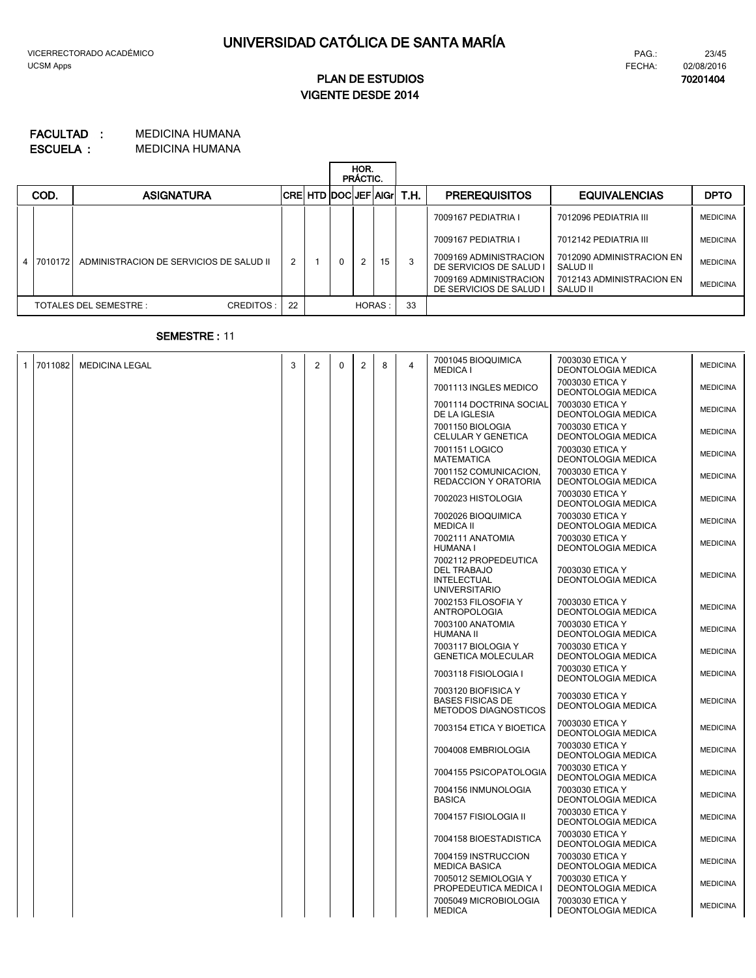# **VIGENTE DESDE 2014 PLAN DE ESTUDIOS**

#### MEDICINA HUMANA MEDICINA HUMANA **ESCUELA : FACULTAD :**

|  |           |                                         |                |  | HOR.<br>PRÁCTIC. |        |    |                               |                                                   |                                       |                 |
|--|-----------|-----------------------------------------|----------------|--|------------------|--------|----|-------------------------------|---------------------------------------------------|---------------------------------------|-----------------|
|  | COD.      | <b>ASIGNATURA</b>                       |                |  |                  |        |    | <b>CREHTD DOCUEF AGT T.H.</b> | <b>PREREQUISITOS</b>                              | <b>EQUIVALENCIAS</b>                  | <b>DPTO</b>     |
|  |           |                                         |                |  |                  |        |    |                               | 7009167 PEDIATRIA I                               | 7012096 PEDIATRIA III                 | <b>MEDICINA</b> |
|  |           |                                         |                |  |                  |        |    |                               | 7009167 PEDIATRIA I                               | 7012142 PEDIATRIA III                 | <b>MEDICINA</b> |
|  | 4 7010172 | ADMINISTRACION DE SERVICIOS DE SALUD II | $\overline{2}$ |  |                  | 2      | 15 | 3                             | 7009169 ADMINISTRACION<br>DE SERVICIOS DE SALUD I | 7012090 ADMINISTRACION EN<br>SALUD II | <b>MEDICINA</b> |
|  |           |                                         |                |  |                  |        |    |                               | 7009169 ADMINISTRACION<br>DE SERVICIOS DE SALUD I | 7012143 ADMINISTRACION EN<br>SALUD II | <b>MEDICINA</b> |
|  |           | TOTALES DEL SEMESTRE :<br>CREDITOS:     | 22             |  |                  | HORAS: |    | 33                            |                                                   |                                       |                 |

### **SEMESTRE :** 11

| 1 7011082 | <b>MEDICINA LEGAL</b> | 3 | $\overline{2}$ | 0 | $\overline{2}$ | 8 | 4 | 7001045 BIOQUIMICA<br><b>MEDICA I</b>                                                    | 7003030 ETICA Y<br><b>DEONTOLOGIA MEDICA</b> | <b>MEDICINA</b> |
|-----------|-----------------------|---|----------------|---|----------------|---|---|------------------------------------------------------------------------------------------|----------------------------------------------|-----------------|
|           |                       |   |                |   |                |   |   | 7001113 INGLES MEDICO                                                                    | 7003030 ETICA Y<br><b>DEONTOLOGIA MEDICA</b> | <b>MEDICINA</b> |
|           |                       |   |                |   |                |   |   | 7001114 DOCTRINA SOCIAL<br>DE LA IGLESIA                                                 | 7003030 ETICA Y<br><b>DEONTOLOGIA MEDICA</b> | <b>MEDICINA</b> |
|           |                       |   |                |   |                |   |   | 7001150 BIOLOGIA<br>CELULAR Y GENETICA                                                   | 7003030 ETICA Y<br>DEONTOLOGIA MEDICA        | <b>MEDICINA</b> |
|           |                       |   |                |   |                |   |   | 7001151 LOGICO<br><b>MATEMATICA</b>                                                      | 7003030 ETICA Y<br><b>DEONTOLOGIA MEDICA</b> | <b>MEDICINA</b> |
|           |                       |   |                |   |                |   |   | 7001152 COMUNICACION,<br><b>REDACCION Y ORATORIA</b>                                     | 7003030 ETICA Y<br>DEONTOLOGIA MEDICA        | <b>MEDICINA</b> |
|           |                       |   |                |   |                |   |   | 7002023 HISTOLOGIA                                                                       | 7003030 ETICA Y<br><b>DEONTOLOGIA MEDICA</b> | <b>MEDICINA</b> |
|           |                       |   |                |   |                |   |   | 7002026 BIOQUIMICA<br><b>MEDICA II</b>                                                   | 7003030 ETICA Y<br><b>DEONTOLOGIA MEDICA</b> | <b>MEDICINA</b> |
|           |                       |   |                |   |                |   |   | 7002111 ANATOMIA<br><b>HUMANA I</b>                                                      | 7003030 ETICA Y<br>DEONTOLOGIA MEDICA        | <b>MEDICINA</b> |
|           |                       |   |                |   |                |   |   | 7002112 PROPEDEUTICA<br><b>DEL TRABAJO</b><br><b>INTELECTUAL</b><br><b>UNIVERSITARIO</b> | 7003030 ETICA Y<br><b>DEONTOLOGIA MEDICA</b> | <b>MEDICINA</b> |
|           |                       |   |                |   |                |   |   | 7002153 FILOSOFIA Y<br><b>ANTROPOLOGIA</b>                                               | 7003030 ETICA Y<br>DEONTOLOGIA MEDICA        | <b>MEDICINA</b> |
|           |                       |   |                |   |                |   |   | 7003100 ANATOMIA<br>HUMANA II                                                            | 7003030 ETICA Y<br>DEONTOLOGIA MEDICA        | <b>MEDICINA</b> |
|           |                       |   |                |   |                |   |   | 7003117 BIOLOGIA Y<br><b>GENETICA MOLECULAR</b>                                          | 7003030 ETICA Y<br><b>DEONTOLOGIA MEDICA</b> | <b>MEDICINA</b> |
|           |                       |   |                |   |                |   |   | 7003118 FISIOLOGIA I                                                                     | 7003030 ETICA Y<br><b>DEONTOLOGIA MEDICA</b> | <b>MEDICINA</b> |
|           |                       |   |                |   |                |   |   | 7003120 BIOFISICA Y<br><b>BASES FISICAS DE</b><br><b>METODOS DIAGNOSTICOS</b>            | 7003030 ETICA Y<br><b>DEONTOLOGIA MEDICA</b> | <b>MEDICINA</b> |
|           |                       |   |                |   |                |   |   | 7003154 ETICA Y BIOETICA                                                                 | 7003030 ETICA Y<br><b>DEONTOLOGIA MEDICA</b> | <b>MEDICINA</b> |
|           |                       |   |                |   |                |   |   | 7004008 EMBRIOLOGIA                                                                      | 7003030 ETICA Y<br><b>DEONTOLOGIA MEDICA</b> | <b>MEDICINA</b> |
|           |                       |   |                |   |                |   |   | 7004155 PSICOPATOLOGIA                                                                   | 7003030 ETICA Y<br><b>DEONTOLOGIA MEDICA</b> | <b>MEDICINA</b> |
|           |                       |   |                |   |                |   |   | 7004156 INMUNOLOGIA<br><b>BASICA</b>                                                     | 7003030 ETICA Y<br><b>DEONTOLOGIA MEDICA</b> | <b>MEDICINA</b> |
|           |                       |   |                |   |                |   |   | 7004157 FISIOLOGIA II                                                                    | 7003030 ETICA Y<br><b>DEONTOLOGIA MEDICA</b> | <b>MEDICINA</b> |
|           |                       |   |                |   |                |   |   | 7004158 BIOESTADISTICA                                                                   | 7003030 ETICA Y<br><b>DEONTOLOGIA MEDICA</b> | <b>MEDICINA</b> |
|           |                       |   |                |   |                |   |   | 7004159 INSTRUCCION<br><b>MEDICA BASICA</b>                                              | 7003030 ETICA Y<br><b>DEONTOLOGIA MEDICA</b> | <b>MEDICINA</b> |
|           |                       |   |                |   |                |   |   | 7005012 SEMIOLOGIA Y<br>PROPEDEUTICA MEDICA I                                            | 7003030 ETICA Y<br>DEONTOLOGIA MEDICA        | <b>MEDICINA</b> |
|           |                       |   |                |   |                |   |   | 7005049 MICROBIOLOGIA<br><b>MEDICA</b>                                                   | 7003030 ETICA Y<br>DEONTOLOGIA MEDICA        | <b>MEDICINA</b> |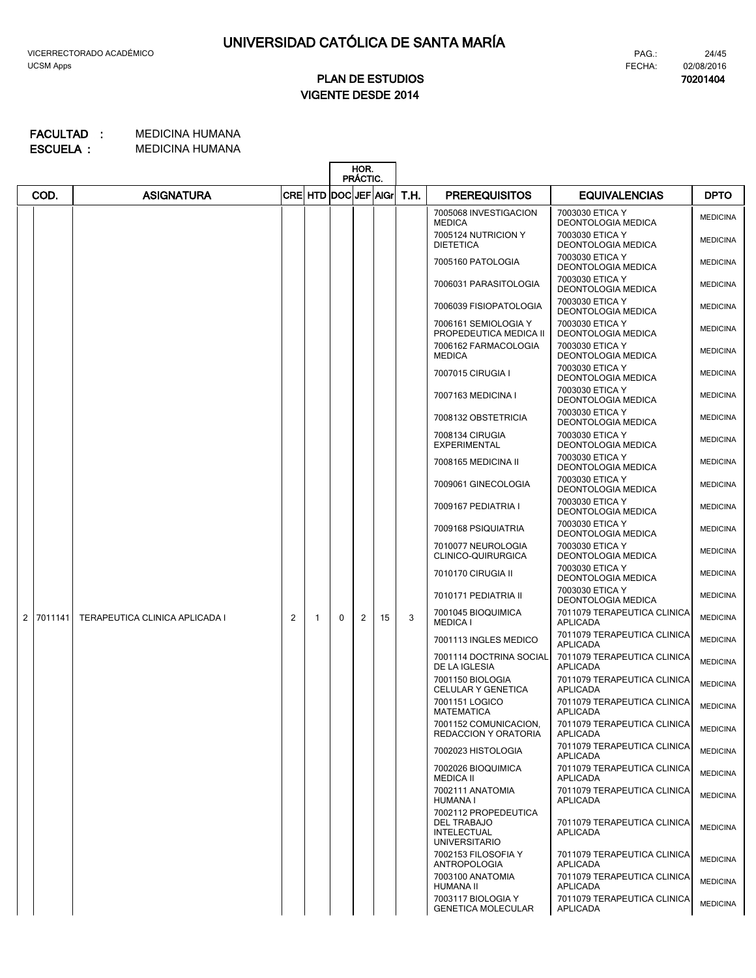# **VIGENTE DESDE 2014 PLAN DE ESTUDIOS**

#### MEDICINA HUMANA **FACULTAD : MEDICINA HUMANA ESCUELA :**

|                |         |                                |                |                           | HOR.<br>PRÁCTIC. |   |    |      |                                                                                          |                                                |                 |
|----------------|---------|--------------------------------|----------------|---------------------------|------------------|---|----|------|------------------------------------------------------------------------------------------|------------------------------------------------|-----------------|
|                | COD.    | <b>ASIGNATURA</b>              |                | CRE  HTD  DOC  JEF   AIGr |                  |   |    | T.H. | <b>PREREQUISITOS</b>                                                                     | <b>EQUIVALENCIAS</b>                           | <b>DPTO</b>     |
|                |         |                                |                |                           |                  |   |    |      | 7005068 INVESTIGACION<br><b>MEDICA</b>                                                   | 7003030 ETICA Y<br>DEONTOLOGIA MEDICA          | <b>MEDICINA</b> |
|                |         |                                |                |                           |                  |   |    |      | 7005124 NUTRICION Y<br><b>DIETETICA</b>                                                  | 7003030 ETICA Y<br><b>DEONTOLOGIA MEDICA</b>   | <b>MEDICINA</b> |
|                |         |                                |                |                           |                  |   |    |      | 7005160 PATOLOGIA                                                                        | 7003030 ETICA Y<br><b>DEONTOLOGIA MEDICA</b>   | <b>MEDICINA</b> |
|                |         |                                |                |                           |                  |   |    |      | 7006031 PARASITOLOGIA                                                                    | 7003030 ETICA Y<br><b>DEONTOLOGIA MEDICA</b>   | <b>MEDICINA</b> |
|                |         |                                |                |                           |                  |   |    |      | 7006039 FISIOPATOLOGIA                                                                   | 7003030 ETICA Y<br><b>DEONTOLOGIA MEDICA</b>   | <b>MEDICINA</b> |
|                |         |                                |                |                           |                  |   |    |      | 7006161 SEMIOLOGIA Y<br>PROPEDEUTICA MEDICA II                                           | 7003030 ETICA Y<br><b>DEONTOLOGIA MEDICA</b>   | <b>MEDICINA</b> |
|                |         |                                |                |                           |                  |   |    |      | 7006162 FARMACOLOGIA<br><b>MEDICA</b>                                                    | 7003030 ETICA Y<br><b>DEONTOLOGIA MEDICA</b>   | <b>MEDICINA</b> |
|                |         |                                |                |                           |                  |   |    |      | 7007015 CIRUGIA I                                                                        | 7003030 ETICA Y<br><b>DEONTOLOGIA MEDICA</b>   | <b>MEDICINA</b> |
|                |         |                                |                |                           |                  |   |    |      | 7007163 MEDICINA I                                                                       | 7003030 ETICA Y<br><b>DEONTOLOGIA MEDICA</b>   | <b>MEDICINA</b> |
|                |         |                                |                |                           |                  |   |    |      | 7008132 OBSTETRICIA                                                                      | 7003030 ETICA Y<br><b>DEONTOLOGIA MEDICA</b>   | <b>MEDICINA</b> |
|                |         |                                |                |                           |                  |   |    |      | 7008134 CIRUGIA<br><b>EXPERIMENTAL</b>                                                   | 7003030 ETICA Y<br><b>DEONTOLOGIA MEDICA</b>   | <b>MEDICINA</b> |
|                |         |                                |                |                           |                  |   |    |      | 7008165 MEDICINA II                                                                      | 7003030 ETICA Y<br><b>DEONTOLOGIA MEDICA</b>   | <b>MEDICINA</b> |
|                |         |                                |                |                           |                  |   |    |      | 7009061 GINECOLOGIA                                                                      | 7003030 ETICA Y<br><b>DEONTOLOGIA MEDICA</b>   | <b>MEDICINA</b> |
|                |         |                                |                |                           |                  |   |    |      | 7009167 PEDIATRIA I                                                                      | 7003030 ETICA Y<br><b>DEONTOLOGIA MEDICA</b>   | <b>MEDICINA</b> |
|                |         |                                |                |                           |                  |   |    |      | 7009168 PSIQUIATRIA                                                                      | 7003030 ETICA Y<br><b>DEONTOLOGIA MEDICA</b>   | <b>MEDICINA</b> |
|                |         |                                |                |                           |                  |   |    |      | 7010077 NEUROLOGIA<br>CLINICO-QUIRURGICA                                                 | 7003030 ETICA Y<br><b>DEONTOLOGIA MEDICA</b>   | <b>MEDICINA</b> |
|                |         |                                |                |                           |                  |   |    |      | 7010170 CIRUGIA II                                                                       | 7003030 ETICA Y<br><b>DEONTOLOGIA MEDICA</b>   | <b>MEDICINA</b> |
|                |         |                                |                |                           |                  |   |    |      | 7010171 PEDIATRIA II                                                                     | 7003030 ETICA Y<br>DEONTOLOGIA MEDICA          | <b>MEDICINA</b> |
| $\overline{2}$ | 7011141 | TERAPEUTICA CLINICA APLICADA I | $\overline{c}$ | 1                         | $\Omega$         | 2 | 15 | 3    | 7001045 BIOQUIMICA<br><b>MEDICA I</b>                                                    | 7011079 TERAPEUTICA CLINICA<br>APLICADA        | <b>MEDICINA</b> |
|                |         |                                |                |                           |                  |   |    |      | 7001113 INGLES MEDICO                                                                    | 7011079 TERAPEUTICA CLINICA<br>APLICADA        | <b>MEDICINA</b> |
|                |         |                                |                |                           |                  |   |    |      | 7001114 DOCTRINA SOCIAL<br>DE LA IGLESIA                                                 | 7011079 TERAPEUTICA CLINICA<br>APLICADA        | <b>MEDICINA</b> |
|                |         |                                |                |                           |                  |   |    |      | 7001150 BIOLOGIA<br>CELULAR Y GENETICA                                                   | 7011079 TERAPEUTICA CLINICA<br><b>APLICADA</b> | <b>MEDICINA</b> |
|                |         |                                |                |                           |                  |   |    |      | 7001151 LOGICO<br><b>MATEMATICA</b>                                                      | 7011079 TERAPEUTICA CLINICA<br>APLICADA        | <b>MEDICINA</b> |
|                |         |                                |                |                           |                  |   |    |      | 7001152 COMUNICACION,<br><b>REDACCION Y ORATORIA</b>                                     | 7011079 TERAPEUTICA CLINICA<br>APLICADA        | <b>MEDICINA</b> |
|                |         |                                |                |                           |                  |   |    |      | 7002023 HISTOLOGIA                                                                       | 7011079 TERAPEUTICA CLINICA<br>APLICADA        | <b>MEDICINA</b> |
|                |         |                                |                |                           |                  |   |    |      | 7002026 BIOQUIMICA<br><b>MEDICA II</b>                                                   | 7011079 TERAPEUTICA CLINICA<br>APLICADA        | <b>MEDICINA</b> |
|                |         |                                |                |                           |                  |   |    |      | 7002111 ANATOMIA<br>HUMANA I                                                             | 7011079 TERAPEUTICA CLINICA<br>APLICADA        | <b>MEDICINA</b> |
|                |         |                                |                |                           |                  |   |    |      | 7002112 PROPEDEUTICA<br><b>DEL TRABAJO</b><br><b>INTELECTUAL</b><br><b>UNIVERSITARIO</b> | 7011079 TERAPEUTICA CLINICA<br><b>APLICADA</b> | <b>MEDICINA</b> |
|                |         |                                |                |                           |                  |   |    |      | 7002153 FILOSOFIA Y<br><b>ANTROPOLOGIA</b>                                               | 7011079 TERAPEUTICA CLINICA<br>APLICADA        | <b>MEDICINA</b> |
|                |         |                                |                |                           |                  |   |    |      | 7003100 ANATOMIA<br>HUMANA II                                                            | 7011079 TERAPEUTICA CLINICA<br>APLICADA        | <b>MEDICINA</b> |
|                |         |                                |                |                           |                  |   |    |      | 7003117 BIOLOGIA Y<br><b>GENETICA MOLECULAR</b>                                          | 7011079 TERAPEUTICA CLINICA<br>APLICADA        | <b>MEDICINA</b> |

FECHA: PAG.:

**70201404** 02/08/2016

24/45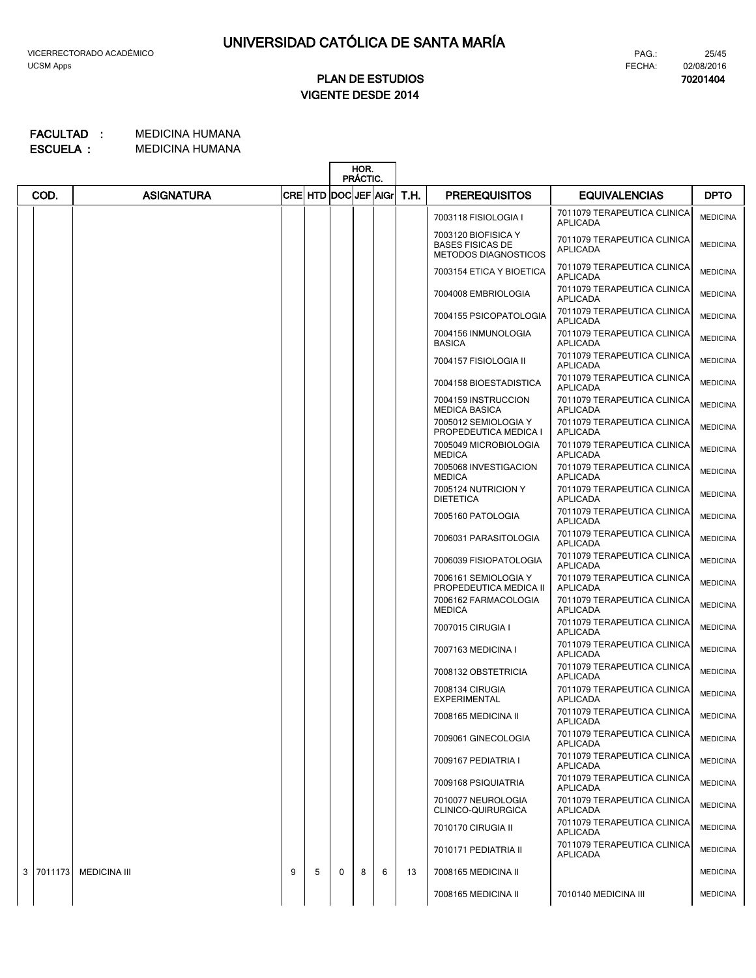# **VIGENTE DESDE 2014 PLAN DE ESTUDIOS**

#### MEDICINA HUMANA **FACULTAD : MEDICINA HUMANA ESCUELA :**

|   |         |                     |   |         |   | HOR.<br>PRÁCTIC. |   |      |                                                                               |                                                |                 |
|---|---------|---------------------|---|---------|---|------------------|---|------|-------------------------------------------------------------------------------|------------------------------------------------|-----------------|
|   | COD.    | <b>ASIGNATURA</b>   |   | CRE HTD |   | DOCIJEF AIGr     |   | T.H. | <b>PREREQUISITOS</b>                                                          | <b>EQUIVALENCIAS</b>                           | <b>DPTO</b>     |
|   |         |                     |   |         |   |                  |   |      | 7003118 FISIOLOGIA I                                                          | 7011079 TERAPEUTICA CLINICA<br><b>APLICADA</b> | <b>MEDICINA</b> |
|   |         |                     |   |         |   |                  |   |      | 7003120 BIOFISICA Y<br><b>BASES FISICAS DE</b><br><b>METODOS DIAGNOSTICOS</b> | 7011079 TERAPEUTICA CLINICA<br><b>APLICADA</b> | <b>MEDICINA</b> |
|   |         |                     |   |         |   |                  |   |      | 7003154 ETICA Y BIOETICA                                                      | 7011079 TERAPEUTICA CLINICA<br><b>APLICADA</b> | <b>MEDICINA</b> |
|   |         |                     |   |         |   |                  |   |      | 7004008 EMBRIOLOGIA                                                           | 7011079 TERAPEUTICA CLINICA<br><b>APLICADA</b> | <b>MEDICINA</b> |
|   |         |                     |   |         |   |                  |   |      | 7004155 PSICOPATOLOGIA                                                        | 7011079 TERAPEUTICA CLINICA<br><b>APLICADA</b> | <b>MEDICINA</b> |
|   |         |                     |   |         |   |                  |   |      | 7004156 INMUNOLOGIA<br><b>BASICA</b>                                          | 7011079 TERAPEUTICA CLINICA<br><b>APLICADA</b> | <b>MEDICINA</b> |
|   |         |                     |   |         |   |                  |   |      | 7004157 FISIOLOGIA II                                                         | 7011079 TERAPEUTICA CLINICA<br><b>APLICADA</b> | <b>MEDICINA</b> |
|   |         |                     |   |         |   |                  |   |      | 7004158 BIOESTADISTICA                                                        | 7011079 TERAPEUTICA CLINICA<br><b>APLICADA</b> | <b>MEDICINA</b> |
|   |         |                     |   |         |   |                  |   |      | 7004159 INSTRUCCION<br><b>MEDICA BASICA</b>                                   | 7011079 TERAPEUTICA CLINICA<br><b>APLICADA</b> | <b>MEDICINA</b> |
|   |         |                     |   |         |   |                  |   |      | 7005012 SEMIOLOGIA Y<br>PROPEDEUTICA MEDICA I                                 | 7011079 TERAPEUTICA CLINICA<br><b>APLICADA</b> | <b>MEDICINA</b> |
|   |         |                     |   |         |   |                  |   |      | 7005049 MICROBIOLOGIA<br><b>MEDICA</b>                                        | 7011079 TERAPEUTICA CLINICA<br><b>APLICADA</b> | <b>MEDICINA</b> |
|   |         |                     |   |         |   |                  |   |      | 7005068 INVESTIGACION<br><b>MEDICA</b>                                        | 7011079 TERAPEUTICA CLINICA<br><b>APLICADA</b> | <b>MEDICINA</b> |
|   |         |                     |   |         |   |                  |   |      | 7005124 NUTRICION Y<br><b>DIETETICA</b>                                       | 7011079 TERAPEUTICA CLINICA<br><b>APLICADA</b> | <b>MEDICINA</b> |
|   |         |                     |   |         |   |                  |   |      | 7005160 PATOLOGIA                                                             | 7011079 TERAPEUTICA CLINICA<br><b>APLICADA</b> | <b>MEDICINA</b> |
|   |         |                     |   |         |   |                  |   |      | 7006031 PARASITOLOGIA                                                         | 7011079 TERAPEUTICA CLINICA<br><b>APLICADA</b> | <b>MEDICINA</b> |
|   |         |                     |   |         |   |                  |   |      | 7006039 FISIOPATOLOGIA                                                        | 7011079 TERAPEUTICA CLINICA<br><b>APLICADA</b> | <b>MEDICINA</b> |
|   |         |                     |   |         |   |                  |   |      | 7006161 SEMIOLOGIA Y<br>PROPEDEUTICA MEDICA II                                | 7011079 TERAPEUTICA CLINICA<br>APLICADA        | <b>MEDICINA</b> |
|   |         |                     |   |         |   |                  |   |      | 7006162 FARMACOLOGIA<br><b>MEDICA</b>                                         | 7011079 TERAPEUTICA CLINICA<br><b>APLICADA</b> | <b>MEDICINA</b> |
|   |         |                     |   |         |   |                  |   |      | 7007015 CIRUGIA I                                                             | 7011079 TERAPEUTICA CLINICA<br><b>APLICADA</b> | <b>MEDICINA</b> |
|   |         |                     |   |         |   |                  |   |      | 7007163 MEDICINA I                                                            | 7011079 TERAPEUTICA CLINICA<br><b>APLICADA</b> | <b>MEDICINA</b> |
|   |         |                     |   |         |   |                  |   |      | 7008132 OBSTETRICIA                                                           | 7011079 TERAPEUTICA CLINICA<br><b>APLICADA</b> | <b>MEDICINA</b> |
|   |         |                     |   |         |   |                  |   |      | 7008134 CIRUGIA<br><b>EXPERIMENTAL</b>                                        | 7011079 TERAPEUTICA CLINICA<br><b>APLICADA</b> | <b>MEDICINA</b> |
|   |         |                     |   |         |   |                  |   |      | 7008165 MEDICINA II                                                           | 7011079 TERAPEUTICA CLINICA<br><b>APLICADA</b> | <b>MEDICINA</b> |
|   |         |                     |   |         |   |                  |   |      | 7009061 GINECOLOGIA                                                           | 7011079 TERAPEUTICA CLINICA<br><b>APLICADA</b> | <b>MEDICINA</b> |
|   |         |                     |   |         |   |                  |   |      | 7009167 PEDIATRIA I                                                           | 7011079 TERAPEUTICA CLINICA<br><b>APLICADA</b> | <b>MEDICINA</b> |
|   |         |                     |   |         |   |                  |   |      | 7009168 PSIQUIATRIA                                                           | 7011079 TERAPEUTICA CLINICA<br><b>APLICADA</b> | <b>MEDICINA</b> |
|   |         |                     |   |         |   |                  |   |      | 7010077 NEUROLOGIA<br>CLINICO-QUIRURGICA                                      | 7011079 TERAPEUTICA CLINICA<br><b>APLICADA</b> | <b>MEDICINA</b> |
|   |         |                     |   |         |   |                  |   |      | 7010170 CIRUGIA II                                                            | 7011079 TERAPEUTICA CLINICA<br><b>APLICADA</b> | <b>MEDICINA</b> |
|   |         |                     |   |         |   |                  |   |      | 7010171 PEDIATRIA II                                                          | 7011079 TERAPEUTICA CLINICA<br><b>APLICADA</b> | <b>MEDICINA</b> |
| 3 | 7011173 | <b>MEDICINA III</b> | 9 | 5       | 0 | 8                | 6 | 13   | 7008165 MEDICINA II                                                           |                                                | <b>MEDICINA</b> |
|   |         |                     |   |         |   |                  |   |      | 7008165 MEDICINA II                                                           | 7010140 MEDICINA III                           | <b>MEDICINA</b> |
|   |         |                     |   |         |   |                  |   |      |                                                                               |                                                |                 |

**70201404** 02/08/2016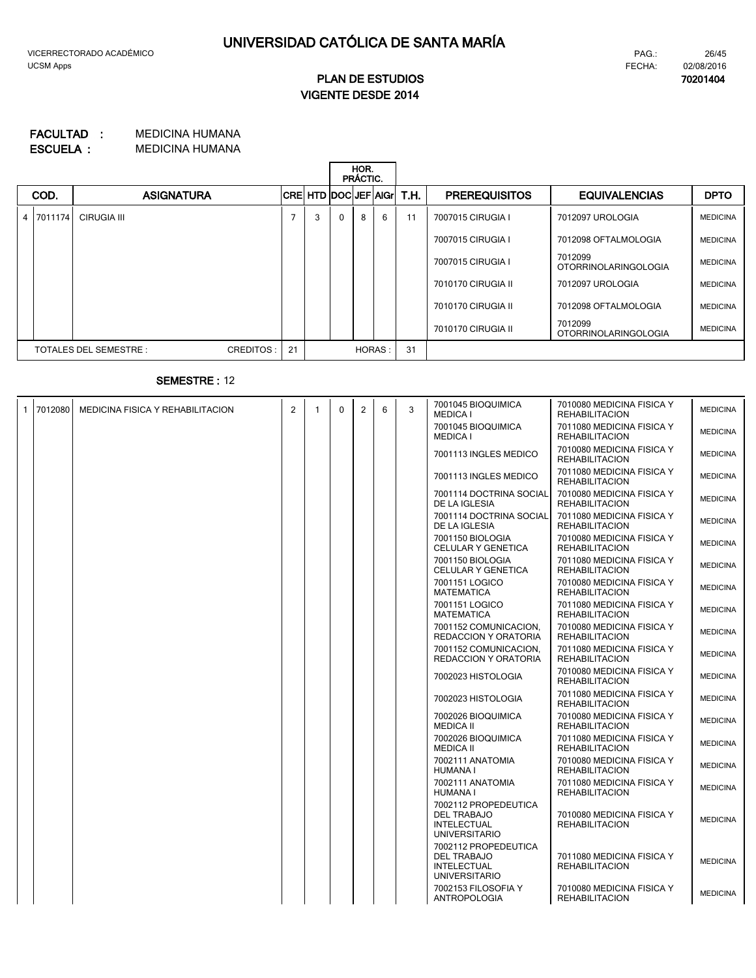**70201404**

# **VIGENTE DESDE 2014 PLAN DE ESTUDIOS**

### MEDICINA HUMANA **FACULTAD : MEDICINA HUMANA ESCUELA :**

|  |      |                                     |    |                              |              | HOR.<br>PRÁCTIC. |        |      |                      |                                 |                 |
|--|------|-------------------------------------|----|------------------------------|--------------|------------------|--------|------|----------------------|---------------------------------|-----------------|
|  | COD. | <b>ASIGNATURA</b>                   |    | <b>CRE HTD DOCLEF AGILIT</b> |              |                  |        | T.H. | <b>PREREQUISITOS</b> | <b>EQUIVALENCIAS</b>            | <b>DPTO</b>     |
|  |      | 4 7011174 CIRUGIA III               | 7  | 3                            | $\mathbf{0}$ | 8                | 6      | 11   | 7007015 CIRUGIA I    | 7012097 UROLOGIA                | <b>MEDICINA</b> |
|  |      |                                     |    |                              |              |                  |        |      | 7007015 CIRUGIA I    | 7012098 OFTALMOLOGIA            | <b>MEDICINA</b> |
|  |      |                                     |    |                              |              |                  |        |      | 7007015 CIRUGIA I    | 7012099<br>OTORRINOLARINGOLOGIA | <b>MEDICINA</b> |
|  |      |                                     |    |                              |              |                  |        |      | 7010170 CIRUGIA II   | 7012097 UROLOGIA                | <b>MEDICINA</b> |
|  |      |                                     |    |                              |              |                  |        |      | 7010170 CIRUGIA II   | 7012098 OFTALMOLOGIA            | <b>MEDICINA</b> |
|  |      |                                     |    |                              |              |                  |        |      | 7010170 CIRUGIA II   | 7012099<br>OTORRINOLARINGOLOGIA | <b>MEDICINA</b> |
|  |      | TOTALES DEL SEMESTRE :<br>CREDITOS: | 21 |                              |              |                  | HORAS: | 31   |                      |                                 |                 |

# **SEMESTRE :** 12

| $\mathbf{1}$ | 7012080 | MEDICINA FISICA Y REHABILITACION | $\overline{2}$ | 1 | $\Omega$ | 2 | 6 | 3 | 7001045 BIOQUIMICA<br><b>MEDICA I</b>                                                    | 7010080 MEDICINA FISICA Y<br><b>REHABILITACION</b> | <b>MEDICINA</b> |
|--------------|---------|----------------------------------|----------------|---|----------|---|---|---|------------------------------------------------------------------------------------------|----------------------------------------------------|-----------------|
|              |         |                                  |                |   |          |   |   |   | 7001045 BIOQUIMICA<br><b>MEDICA I</b>                                                    | 7011080 MEDICINA FISICA Y<br><b>REHABILITACION</b> | <b>MEDICINA</b> |
|              |         |                                  |                |   |          |   |   |   | 7001113 INGLES MEDICO                                                                    | 7010080 MEDICINA FISICA Y<br><b>REHABILITACION</b> | <b>MEDICINA</b> |
|              |         |                                  |                |   |          |   |   |   | 7001113 INGLES MEDICO                                                                    | 7011080 MEDICINA FISICA Y<br><b>REHABILITACION</b> | <b>MEDICINA</b> |
|              |         |                                  |                |   |          |   |   |   | 7001114 DOCTRINA SOCIAL<br>DE LA IGLESIA                                                 | 7010080 MEDICINA FISICA Y<br><b>REHABILITACION</b> | <b>MEDICINA</b> |
|              |         |                                  |                |   |          |   |   |   | 7001114 DOCTRINA SOCIAL<br>DE LA IGLESIA                                                 | 7011080 MEDICINA FISICA Y<br><b>REHABILITACION</b> | <b>MEDICINA</b> |
|              |         |                                  |                |   |          |   |   |   | 7001150 BIOLOGIA<br>CELULAR Y GENETICA                                                   | 7010080 MEDICINA FISICA Y<br><b>REHABILITACION</b> | <b>MEDICINA</b> |
|              |         |                                  |                |   |          |   |   |   | 7001150 BIOLOGIA<br>CELULAR Y GENETICA                                                   | 7011080 MEDICINA FISICA Y<br><b>REHABILITACION</b> | <b>MEDICINA</b> |
|              |         |                                  |                |   |          |   |   |   | 7001151 LOGICO<br><b>MATEMATICA</b>                                                      | 7010080 MEDICINA FISICA Y<br><b>REHABILITACION</b> | <b>MEDICINA</b> |
|              |         |                                  |                |   |          |   |   |   | 7001151 LOGICO<br><b>MATEMATICA</b>                                                      | 7011080 MEDICINA FISICA Y<br><b>REHABILITACION</b> | <b>MEDICINA</b> |
|              |         |                                  |                |   |          |   |   |   | 7001152 COMUNICACION,<br><b>REDACCION Y ORATORIA</b>                                     | 7010080 MEDICINA FISICA Y<br><b>REHABILITACION</b> | <b>MEDICINA</b> |
|              |         |                                  |                |   |          |   |   |   | 7001152 COMUNICACION.<br>REDACCION Y ORATORIA                                            | 7011080 MEDICINA FISICA Y<br><b>REHABILITACION</b> | <b>MEDICINA</b> |
|              |         |                                  |                |   |          |   |   |   | 7002023 HISTOLOGIA                                                                       | 7010080 MEDICINA FISICA Y<br><b>REHABILITACION</b> | <b>MEDICINA</b> |
|              |         |                                  |                |   |          |   |   |   | 7002023 HISTOLOGIA                                                                       | 7011080 MEDICINA FISICA Y<br><b>REHABILITACION</b> | <b>MEDICINA</b> |
|              |         |                                  |                |   |          |   |   |   | 7002026 BIOQUIMICA<br><b>MEDICA II</b>                                                   | 7010080 MEDICINA FISICA Y<br><b>REHABILITACION</b> | <b>MEDICINA</b> |
|              |         |                                  |                |   |          |   |   |   | 7002026 BIOQUIMICA<br><b>MEDICA II</b>                                                   | 7011080 MEDICINA FISICA Y<br><b>REHABILITACION</b> | <b>MEDICINA</b> |
|              |         |                                  |                |   |          |   |   |   | 7002111 ANATOMIA<br><b>HUMANA I</b>                                                      | 7010080 MEDICINA FISICA Y<br><b>REHABILITACION</b> | <b>MEDICINA</b> |
|              |         |                                  |                |   |          |   |   |   | 7002111 ANATOMIA<br><b>HUMANA I</b>                                                      | 7011080 MEDICINA FISICA Y<br><b>REHABILITACION</b> | <b>MEDICINA</b> |
|              |         |                                  |                |   |          |   |   |   | 7002112 PROPEDEUTICA<br><b>DEL TRABAJO</b><br><b>INTELECTUAL</b><br><b>UNIVERSITARIO</b> | 7010080 MEDICINA FISICA Y<br><b>REHABILITACION</b> | <b>MEDICINA</b> |
|              |         |                                  |                |   |          |   |   |   | 7002112 PROPEDEUTICA<br><b>DEL TRABAJO</b><br><b>INTELECTUAL</b><br><b>UNIVERSITARIO</b> | 7011080 MEDICINA FISICA Y<br><b>REHABILITACION</b> | <b>MEDICINA</b> |
|              |         |                                  |                |   |          |   |   |   | 7002153 FILOSOFIA Y<br><b>ANTROPOLOGIA</b>                                               | 7010080 MEDICINA FISICA Y<br><b>REHABILITACION</b> | <b>MEDICINA</b> |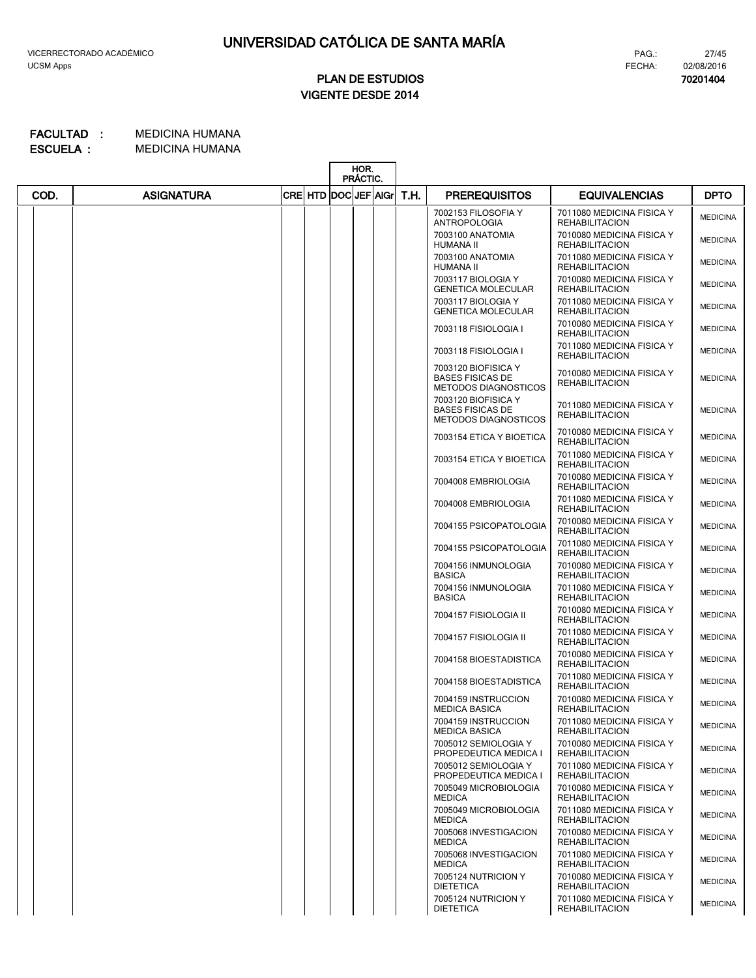**70201404**

27/45

# **VIGENTE DESDE 2014 PLAN DE ESTUDIOS**

|      |                   |      |                         | HOR.<br>PRÁCTIC. |      |                                                                               |                                                    |                 |
|------|-------------------|------|-------------------------|------------------|------|-------------------------------------------------------------------------------|----------------------------------------------------|-----------------|
| COD. | <b>ASIGNATURA</b> | CREI | <b>HTD DOCLJEF AGIL</b> |                  | T.H. | <b>PREREQUISITOS</b>                                                          | <b>EQUIVALENCIAS</b>                               | <b>DPTO</b>     |
|      |                   |      |                         |                  |      | 7002153 FILOSOFIA Y<br><b>ANTROPOLOGIA</b>                                    | 7011080 MEDICINA FISICA Y<br><b>REHABILITACION</b> | <b>MEDICINA</b> |
|      |                   |      |                         |                  |      | 7003100 ANATOMIA<br><b>HUMANA II</b>                                          | 7010080 MEDICINA FISICA Y<br><b>REHABILITACION</b> | <b>MEDICINA</b> |
|      |                   |      |                         |                  |      | 7003100 ANATOMIA<br><b>HUMANA II</b>                                          | 7011080 MEDICINA FISICA Y<br><b>REHABILITACION</b> | <b>MEDICINA</b> |
|      |                   |      |                         |                  |      | 7003117 BIOLOGIA Y<br><b>GENETICA MOLECULAR</b>                               | 7010080 MEDICINA FISICA Y<br><b>REHABILITACION</b> | <b>MEDICINA</b> |
|      |                   |      |                         |                  |      | 7003117 BIOLOGIA Y<br><b>GENETICA MOLECULAR</b>                               | 7011080 MEDICINA FISICA Y<br><b>REHABILITACION</b> | <b>MEDICINA</b> |
|      |                   |      |                         |                  |      | 7003118 FISIOLOGIA I                                                          | 7010080 MEDICINA FISICA Y<br><b>REHABILITACION</b> | <b>MEDICINA</b> |
|      |                   |      |                         |                  |      | 7003118 FISIOLOGIA I                                                          | 7011080 MEDICINA FISICA Y<br><b>REHABILITACION</b> | <b>MEDICINA</b> |
|      |                   |      |                         |                  |      | 7003120 BIOFISICA Y<br><b>BASES FISICAS DE</b><br><b>METODOS DIAGNOSTICOS</b> | 7010080 MEDICINA FISICA Y<br><b>REHABILITACION</b> | <b>MEDICINA</b> |
|      |                   |      |                         |                  |      | 7003120 BIOFISICA Y<br><b>BASES FISICAS DE</b><br><b>METODOS DIAGNOSTICOS</b> | 7011080 MEDICINA FISICA Y<br><b>REHABILITACION</b> | <b>MEDICINA</b> |
|      |                   |      |                         |                  |      | 7003154 ETICA Y BIOETICA                                                      | 7010080 MEDICINA FISICA Y<br><b>REHABILITACION</b> | <b>MEDICINA</b> |
|      |                   |      |                         |                  |      | 7003154 ETICA Y BIOETICA                                                      | 7011080 MEDICINA FISICA Y<br><b>REHABILITACION</b> | <b>MEDICINA</b> |
|      |                   |      |                         |                  |      | 7004008 EMBRIOLOGIA                                                           | 7010080 MEDICINA FISICA Y<br><b>REHABILITACION</b> | <b>MEDICINA</b> |
|      |                   |      |                         |                  |      | 7004008 EMBRIOLOGIA                                                           | 7011080 MEDICINA FISICA Y<br><b>REHABILITACION</b> | <b>MEDICINA</b> |
|      |                   |      |                         |                  |      | 7004155 PSICOPATOLOGIA                                                        | 7010080 MEDICINA FISICA Y<br><b>REHABILITACION</b> | <b>MEDICINA</b> |
|      |                   |      |                         |                  |      | 7004155 PSICOPATOLOGIA                                                        | 7011080 MEDICINA FISICA Y<br><b>REHABILITACION</b> | <b>MEDICINA</b> |
|      |                   |      |                         |                  |      | 7004156 INMUNOLOGIA<br><b>BASICA</b>                                          | 7010080 MEDICINA FISICA Y<br><b>REHABILITACION</b> | <b>MEDICINA</b> |
|      |                   |      |                         |                  |      | 7004156 INMUNOLOGIA<br><b>BASICA</b>                                          | 7011080 MEDICINA FISICA Y<br><b>REHABILITACION</b> | <b>MEDICINA</b> |
|      |                   |      |                         |                  |      | 7004157 FISIOLOGIA II                                                         | 7010080 MEDICINA FISICA Y<br><b>REHABILITACION</b> | <b>MEDICINA</b> |
|      |                   |      |                         |                  |      | 7004157 FISIOLOGIA II                                                         | 7011080 MEDICINA FISICA Y<br><b>REHABILITACION</b> | <b>MEDICINA</b> |
|      |                   |      |                         |                  |      | 7004158 BIOESTADISTICA                                                        | 7010080 MEDICINA FISICA Y<br><b>REHABILITACION</b> | <b>MEDICINA</b> |
|      |                   |      |                         |                  |      | 7004158 BIOESTADISTICA                                                        | 7011080 MEDICINA FISICA Y<br><b>REHABILITACION</b> | <b>MEDICINA</b> |
|      |                   |      |                         |                  |      | 7004159 INSTRUCCION<br><b>MEDICA BASICA</b>                                   | 7010080 MEDICINA FISICA Y<br><b>REHABILITACION</b> | <b>MEDICINA</b> |
|      |                   |      |                         |                  |      | 7004159 INSTRUCCION<br><b>MEDICA BASICA</b>                                   | 7011080 MEDICINA FISICA Y<br><b>REHABILITACION</b> | <b>MEDICINA</b> |
|      |                   |      |                         |                  |      | 7005012 SEMIOLOGIA Y<br>PROPEDEUTICA MEDICA I                                 | 7010080 MEDICINA FISICA Y<br><b>REHABILITACION</b> | <b>MEDICINA</b> |
|      |                   |      |                         |                  |      | 7005012 SEMIOLOGIA Y<br>PROPEDEUTICA MEDICA I                                 | 7011080 MEDICINA FISICA Y<br><b>REHABILITACION</b> | <b>MEDICINA</b> |
|      |                   |      |                         |                  |      | 7005049 MICROBIOLOGIA<br><b>MEDICA</b>                                        | 7010080 MEDICINA FISICA Y<br><b>REHABILITACION</b> | <b>MEDICINA</b> |
|      |                   |      |                         |                  |      | 7005049 MICROBIOLOGIA<br><b>MEDICA</b>                                        | 7011080 MEDICINA FISICA Y<br><b>REHABILITACION</b> | <b>MEDICINA</b> |
|      |                   |      |                         |                  |      | 7005068 INVESTIGACION<br><b>MEDICA</b>                                        | 7010080 MEDICINA FISICA Y<br><b>REHABILITACION</b> | <b>MEDICINA</b> |
|      |                   |      |                         |                  |      | 7005068 INVESTIGACION<br><b>MEDICA</b>                                        | 7011080 MEDICINA FISICA Y<br><b>REHABILITACION</b> | <b>MEDICINA</b> |
|      |                   |      |                         |                  |      | 7005124 NUTRICION Y<br><b>DIETETICA</b>                                       | 7010080 MEDICINA FISICA Y<br><b>REHABILITACION</b> | <b>MEDICINA</b> |
|      |                   |      |                         |                  |      | 7005124 NUTRICION Y<br><b>DIETETICA</b>                                       | 7011080 MEDICINA FISICA Y<br><b>REHABILITACION</b> | <b>MEDICINA</b> |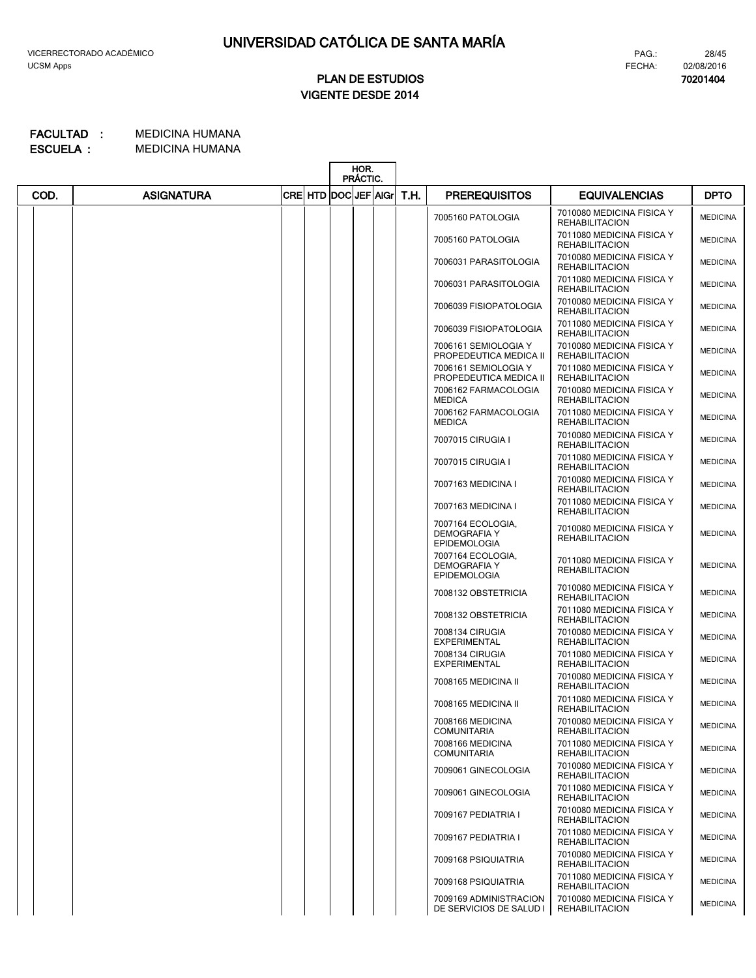**70201404**

28/45

# **VIGENTE DESDE 2014 PLAN DE ESTUDIOS**

|      |                   |                           | HOR.<br>PRÁCTIC. |      |                                                                 |                                                    |                 |
|------|-------------------|---------------------------|------------------|------|-----------------------------------------------------------------|----------------------------------------------------|-----------------|
| COD. | <b>ASIGNATURA</b> | <b>CRE HTD DOCUEF AGr</b> |                  | T.H. | <b>PREREQUISITOS</b>                                            | <b>EQUIVALENCIAS</b>                               | <b>DPTO</b>     |
|      |                   |                           |                  |      | 7005160 PATOLOGIA                                               | 7010080 MEDICINA FISICA Y<br><b>REHABILITACION</b> | <b>MEDICINA</b> |
|      |                   |                           |                  |      | 7005160 PATOLOGIA                                               | 7011080 MEDICINA FISICA Y<br><b>REHABILITACION</b> | <b>MEDICINA</b> |
|      |                   |                           |                  |      | 7006031 PARASITOLOGIA                                           | 7010080 MEDICINA FISICA Y<br><b>REHABILITACION</b> | <b>MEDICINA</b> |
|      |                   |                           |                  |      | 7006031 PARASITOLOGIA                                           | 7011080 MEDICINA FISICA Y<br><b>REHABILITACION</b> | <b>MEDICINA</b> |
|      |                   |                           |                  |      | 7006039 FISIOPATOLOGIA                                          | 7010080 MEDICINA FISICA Y<br><b>REHABILITACION</b> | <b>MEDICINA</b> |
|      |                   |                           |                  |      | 7006039 FISIOPATOLOGIA                                          | 7011080 MEDICINA FISICA Y<br><b>REHABILITACION</b> | <b>MEDICINA</b> |
|      |                   |                           |                  |      | 7006161 SEMIOLOGIA Y<br>PROPEDEUTICA MEDICA II                  | 7010080 MEDICINA FISICA Y<br><b>REHABILITACION</b> | <b>MEDICINA</b> |
|      |                   |                           |                  |      | 7006161 SEMIOLOGIA Y<br>PROPEDEUTICA MEDICA II                  | 7011080 MEDICINA FISICA Y<br><b>REHABILITACION</b> | <b>MEDICINA</b> |
|      |                   |                           |                  |      | 7006162 FARMACOLOGIA<br><b>MEDICA</b>                           | 7010080 MEDICINA FISICA Y<br><b>REHABILITACION</b> | <b>MEDICINA</b> |
|      |                   |                           |                  |      | 7006162 FARMACOLOGIA<br><b>MEDICA</b>                           | 7011080 MEDICINA FISICA Y<br><b>REHABILITACION</b> | <b>MEDICINA</b> |
|      |                   |                           |                  |      | 7007015 CIRUGIA I                                               | 7010080 MEDICINA FISICA Y<br><b>REHABILITACION</b> | <b>MEDICINA</b> |
|      |                   |                           |                  |      | 7007015 CIRUGIA I                                               | 7011080 MEDICINA FISICA Y<br><b>REHABILITACION</b> | <b>MEDICINA</b> |
|      |                   |                           |                  |      | 7007163 MEDICINA I                                              | 7010080 MEDICINA FISICA Y<br><b>REHABILITACION</b> | <b>MEDICINA</b> |
|      |                   |                           |                  |      | 7007163 MEDICINA I                                              | 7011080 MEDICINA FISICA Y<br><b>REHABILITACION</b> | <b>MEDICINA</b> |
|      |                   |                           |                  |      | 7007164 ECOLOGIA,<br><b>DEMOGRAFIA Y</b><br><b>EPIDEMOLOGIA</b> | 7010080 MEDICINA FISICA Y<br><b>REHABILITACION</b> | <b>MEDICINA</b> |
|      |                   |                           |                  |      | 7007164 ECOLOGIA,<br><b>DEMOGRAFIA Y</b><br><b>EPIDEMOLOGIA</b> | 7011080 MEDICINA FISICA Y<br><b>REHABILITACION</b> | <b>MEDICINA</b> |
|      |                   |                           |                  |      | 7008132 OBSTETRICIA                                             | 7010080 MEDICINA FISICA Y<br><b>REHABILITACION</b> | <b>MEDICINA</b> |
|      |                   |                           |                  |      | 7008132 OBSTETRICIA                                             | 7011080 MEDICINA FISICA Y<br><b>REHABILITACION</b> | <b>MEDICINA</b> |
|      |                   |                           |                  |      | 7008134 CIRUGIA<br><b>EXPERIMENTAL</b>                          | 7010080 MEDICINA FISICA Y<br><b>REHABILITACION</b> | <b>MEDICINA</b> |
|      |                   |                           |                  |      | 7008134 CIRUGIA<br><b>EXPERIMENTAL</b>                          | 7011080 MEDICINA FISICA Y<br><b>REHABILITACION</b> | <b>MEDICINA</b> |
|      |                   |                           |                  |      | 7008165 MEDICINA II                                             | 7010080 MEDICINA FISICA Y<br><b>REHABILITACION</b> | <b>MEDICINA</b> |
|      |                   |                           |                  |      | 7008165 MEDICINA II                                             | 7011080 MEDICINA FISICA Y<br><b>REHABILITACION</b> | <b>MEDICINA</b> |
|      |                   |                           |                  |      | 7008166 MEDICINA<br><b>COMUNITARIA</b>                          | 7010080 MEDICINA FISICA Y<br><b>REHABILITACION</b> | <b>MEDICINA</b> |
|      |                   |                           |                  |      | 7008166 MEDICINA<br><b>COMUNITARIA</b>                          | 7011080 MEDICINA FISICA Y<br><b>REHABILITACION</b> | <b>MEDICINA</b> |
|      |                   |                           |                  |      | 7009061 GINECOLOGIA                                             | 7010080 MEDICINA FISICA Y<br><b>REHABILITACION</b> | <b>MEDICINA</b> |
|      |                   |                           |                  |      | 7009061 GINECOLOGIA                                             | 7011080 MEDICINA FISICA Y<br><b>REHABILITACION</b> | <b>MEDICINA</b> |
|      |                   |                           |                  |      | 7009167 PEDIATRIA I                                             | 7010080 MEDICINA FISICA Y<br><b>REHABILITACION</b> | <b>MEDICINA</b> |
|      |                   |                           |                  |      | 7009167 PEDIATRIA I                                             | 7011080 MEDICINA FISICA Y<br><b>REHABILITACION</b> | <b>MEDICINA</b> |
|      |                   |                           |                  |      | 7009168 PSIQUIATRIA                                             | 7010080 MEDICINA FISICA Y<br><b>REHABILITACION</b> | <b>MEDICINA</b> |
|      |                   |                           |                  |      | 7009168 PSIQUIATRIA                                             | 7011080 MEDICINA FISICA Y<br><b>REHABILITACION</b> | <b>MEDICINA</b> |
|      |                   |                           |                  |      | 7009169 ADMINISTRACION<br>DE SERVICIOS DE SALUD I               | 7010080 MEDICINA FISICA Y<br><b>REHABILITACION</b> | <b>MEDICINA</b> |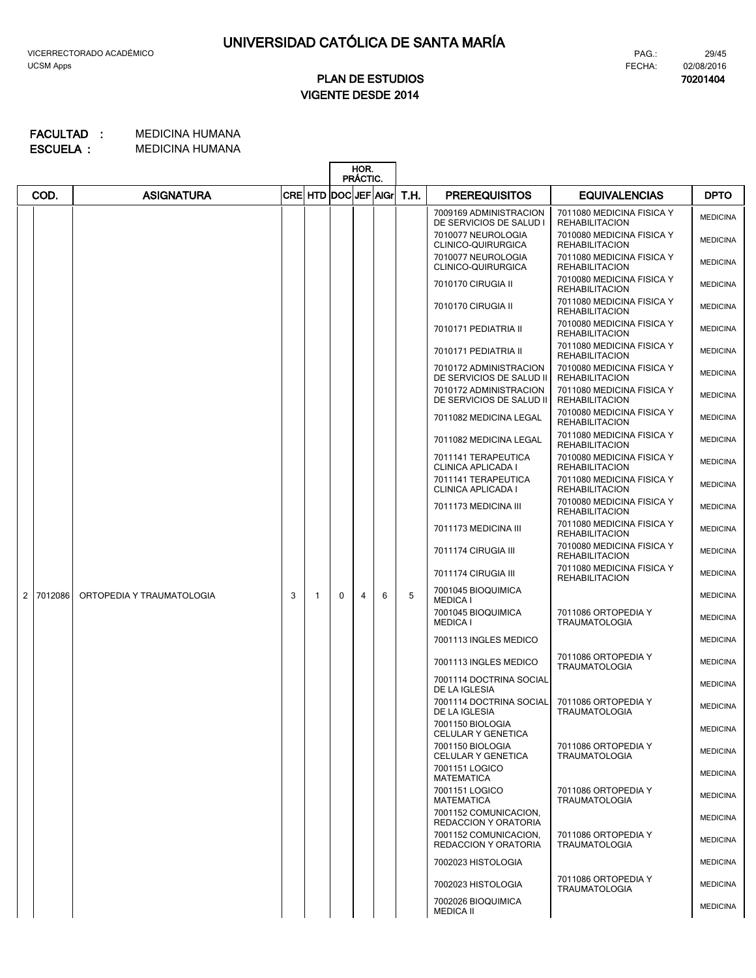# **VIGENTE DESDE 2014 PLAN DE ESTUDIOS**

#### MEDICINA HUMANA **FACULTAD : MEDICINA HUMANA ESCUELA :**

|                |         |                           |   |         |                      | HOR.<br>PRÁCTIC. |   |      |                                                    |                                                    |                 |
|----------------|---------|---------------------------|---|---------|----------------------|------------------|---|------|----------------------------------------------------|----------------------------------------------------|-----------------|
|                | COD.    | <b>ASIGNATURA</b>         |   | CRE HTD | <b>DOCLJEF AIGrI</b> |                  |   | T.H. | <b>PREREQUISITOS</b>                               | <b>EQUIVALENCIAS</b>                               | <b>DPTO</b>     |
|                |         |                           |   |         |                      |                  |   |      | 7009169 ADMINISTRACION<br>DE SERVICIOS DE SALUD I  | 7011080 MEDICINA FISICA Y<br><b>REHABILITACION</b> | <b>MEDICINA</b> |
|                |         |                           |   |         |                      |                  |   |      | 7010077 NEUROLOGIA<br>CLINICO-QUIRURGICA           | 7010080 MEDICINA FISICA Y<br><b>REHABILITACION</b> | <b>MEDICINA</b> |
|                |         |                           |   |         |                      |                  |   |      | 7010077 NEUROLOGIA<br>CLINICO-QUIRURGICA           | 7011080 MEDICINA FISICA Y<br><b>REHABILITACION</b> | <b>MEDICINA</b> |
|                |         |                           |   |         |                      |                  |   |      | 7010170 CIRUGIA II                                 | 7010080 MEDICINA FISICA Y<br><b>REHABILITACION</b> | <b>MEDICINA</b> |
|                |         |                           |   |         |                      |                  |   |      | 7010170 CIRUGIA II                                 | 7011080 MEDICINA FISICA Y<br><b>REHABILITACION</b> | <b>MEDICINA</b> |
|                |         |                           |   |         |                      |                  |   |      | 7010171 PEDIATRIA II                               | 7010080 MEDICINA FISICA Y<br><b>REHABILITACION</b> | <b>MEDICINA</b> |
|                |         |                           |   |         |                      |                  |   |      | 7010171 PEDIATRIA II                               | 7011080 MEDICINA FISICA Y<br><b>REHABILITACION</b> | <b>MEDICINA</b> |
|                |         |                           |   |         |                      |                  |   |      | 7010172 ADMINISTRACION<br>DE SERVICIOS DE SALUD II | 7010080 MEDICINA FISICA Y<br><b>REHABILITACION</b> | <b>MEDICINA</b> |
|                |         |                           |   |         |                      |                  |   |      | 7010172 ADMINISTRACION<br>DE SERVICIOS DE SALUD II | 7011080 MEDICINA FISICA Y<br><b>REHABILITACION</b> | <b>MEDICINA</b> |
|                |         |                           |   |         |                      |                  |   |      | 7011082 MEDICINA LEGAL                             | 7010080 MEDICINA FISICA Y<br><b>REHABILITACION</b> | <b>MEDICINA</b> |
|                |         |                           |   |         |                      |                  |   |      | 7011082 MEDICINA LEGAL                             | 7011080 MEDICINA FISICA Y<br><b>REHABILITACION</b> | <b>MEDICINA</b> |
|                |         |                           |   |         |                      |                  |   |      | 7011141 TERAPEUTICA<br>CLINICA APLICADA I          | 7010080 MEDICINA FISICA Y<br><b>REHABILITACION</b> | <b>MEDICINA</b> |
|                |         |                           |   |         |                      |                  |   |      | 7011141 TERAPEUTICA<br>CLINICA APLICADA I          | 7011080 MEDICINA FISICA Y<br><b>REHABILITACION</b> | <b>MEDICINA</b> |
|                |         |                           |   |         |                      |                  |   |      | 7011173 MEDICINA III                               | 7010080 MEDICINA FISICA Y<br><b>REHABILITACION</b> | <b>MEDICINA</b> |
|                |         |                           |   |         |                      |                  |   |      | 7011173 MEDICINA III                               | 7011080 MEDICINA FISICA Y<br><b>REHABILITACION</b> | <b>MEDICINA</b> |
|                |         |                           |   |         |                      |                  |   |      | 7011174 CIRUGIA III                                | 7010080 MEDICINA FISICA Y<br><b>REHABILITACION</b> | <b>MEDICINA</b> |
|                |         |                           |   |         |                      |                  |   |      | 7011174 CIRUGIA III                                | 7011080 MEDICINA FISICA Y<br><b>REHABILITACION</b> | <b>MEDICINA</b> |
| $\overline{2}$ | 7012086 | ORTOPEDIA Y TRAUMATOLOGIA | 3 | 1       | $\Omega$             | 4                | 6 | 5    | 7001045 BIOQUIMICA<br><b>MEDICA I</b>              |                                                    | <b>MEDICINA</b> |
|                |         |                           |   |         |                      |                  |   |      | 7001045 BIOQUIMICA<br><b>MEDICA I</b>              | 7011086 ORTOPEDIA Y<br><b>TRAUMATOLOGIA</b>        | <b>MEDICINA</b> |
|                |         |                           |   |         |                      |                  |   |      | 7001113 INGLES MEDICO                              |                                                    | <b>MEDICINA</b> |
|                |         |                           |   |         |                      |                  |   |      | 7001113 INGLES MEDICO                              | 7011086 ORTOPEDIA Y<br><b>TRAUMATOLOGIA</b>        | <b>MEDICINA</b> |
|                |         |                           |   |         |                      |                  |   |      | 7001114 DOCTRINA SOCIAL<br>DE LA IGLESIA           |                                                    | <b>MEDICINA</b> |
|                |         |                           |   |         |                      |                  |   |      | 7001114 DOCTRINA SOCIAL<br>DE LA IGLESIA           | 7011086 ORTOPEDIA Y<br><b>TRAUMATOLOGIA</b>        | <b>MEDICINA</b> |
|                |         |                           |   |         |                      |                  |   |      | 7001150 BIOLOGIA<br>CELULAR Y GENETICA             |                                                    | <b>MEDICINA</b> |
|                |         |                           |   |         |                      |                  |   |      | 7001150 BIOLOGIA<br>CELULAR Y GENETICA             | 7011086 ORTOPEDIA Y<br><b>TRAUMATOLOGIA</b>        | <b>MEDICINA</b> |
|                |         |                           |   |         |                      |                  |   |      | 7001151 LOGICO<br><b>MATEMATICA</b>                |                                                    | <b>MEDICINA</b> |
|                |         |                           |   |         |                      |                  |   |      | 7001151 LOGICO<br><b>MATEMATICA</b>                | 7011086 ORTOPEDIA Y<br><b>TRAUMATOLOGIA</b>        | <b>MEDICINA</b> |
|                |         |                           |   |         |                      |                  |   |      | 7001152 COMUNICACION,<br>REDACCION Y ORATORIA      |                                                    | <b>MEDICINA</b> |
|                |         |                           |   |         |                      |                  |   |      | 7001152 COMUNICACION,<br>REDACCION Y ORATORIA      | 7011086 ORTOPEDIA Y<br><b>TRAUMATOLOGIA</b>        | <b>MEDICINA</b> |
|                |         |                           |   |         |                      |                  |   |      | 7002023 HISTOLOGIA                                 |                                                    | <b>MEDICINA</b> |
|                |         |                           |   |         |                      |                  |   |      | 7002023 HISTOLOGIA                                 | 7011086 ORTOPEDIA Y<br><b>TRAUMATOLOGIA</b>        | <b>MEDICINA</b> |
|                |         |                           |   |         |                      |                  |   |      | 7002026 BIOQUIMICA<br><b>MEDICA II</b>             |                                                    | <b>MEDICINA</b> |

PAG.:

**70201404**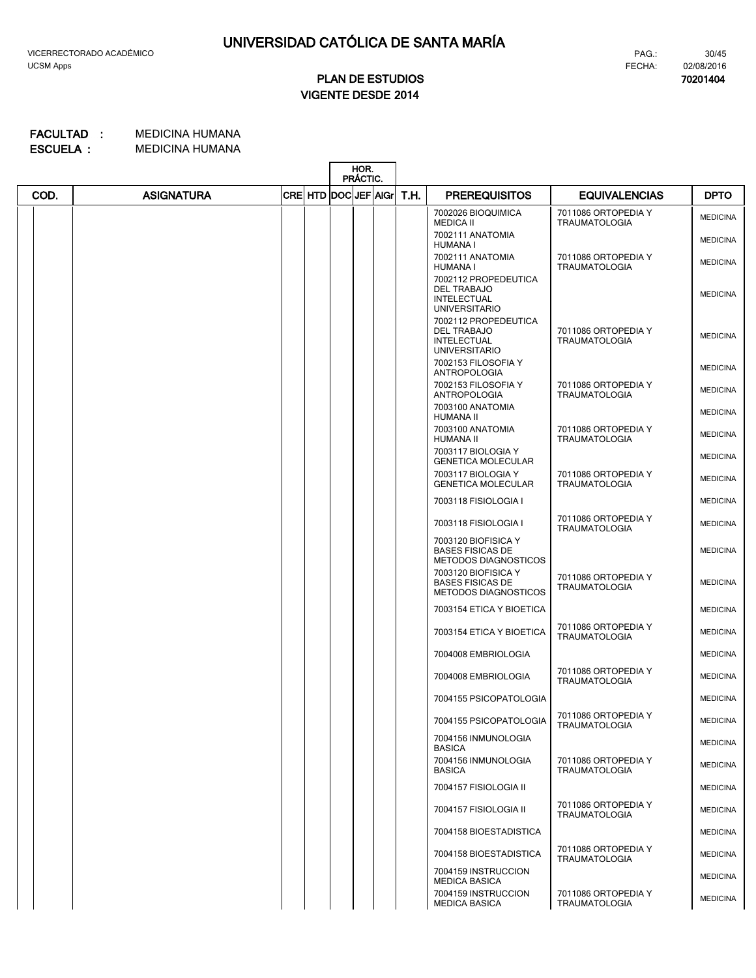**70201404**

# **VIGENTE DESDE 2014 PLAN DE ESTUDIOS**

|      |                   |                      | HOR.<br>PRÁCTIC. |      |                                                                                          |                                             |                 |
|------|-------------------|----------------------|------------------|------|------------------------------------------------------------------------------------------|---------------------------------------------|-----------------|
| COD. | <b>ASIGNATURA</b> | CRE HTD DOC JEF AIGr |                  | T.H. | <b>PREREQUISITOS</b>                                                                     | <b>EQUIVALENCIAS</b>                        | <b>DPTO</b>     |
|      |                   |                      |                  |      | 7002026 BIOQUIMICA<br><b>MEDICA II</b>                                                   | 7011086 ORTOPEDIA Y<br><b>TRAUMATOLOGIA</b> | <b>MEDICINA</b> |
|      |                   |                      |                  |      | 7002111 ANATOMIA<br><b>HUMANA I</b>                                                      |                                             | <b>MEDICINA</b> |
|      |                   |                      |                  |      | 7002111 ANATOMIA<br>HUMANA I                                                             | 7011086 ORTOPEDIA Y<br><b>TRAUMATOLOGIA</b> | <b>MEDICINA</b> |
|      |                   |                      |                  |      | 7002112 PROPEDEUTICA<br>DEL TRABAJO<br><b>INTELECTUAL</b><br><b>UNIVERSITARIO</b>        |                                             | <b>MEDICINA</b> |
|      |                   |                      |                  |      | 7002112 PROPEDEUTICA<br><b>DEL TRABAJO</b><br><b>INTELECTUAL</b><br><b>UNIVERSITARIO</b> | 7011086 ORTOPEDIA Y<br><b>TRAUMATOLOGIA</b> | <b>MEDICINA</b> |
|      |                   |                      |                  |      | 7002153 FILOSOFIA Y<br>ANTROPOLOGIA                                                      |                                             | <b>MEDICINA</b> |
|      |                   |                      |                  |      | 7002153 FILOSOFIA Y<br><b>ANTROPOLOGIA</b>                                               | 7011086 ORTOPEDIA Y<br><b>TRAUMATOLOGIA</b> | <b>MEDICINA</b> |
|      |                   |                      |                  |      | 7003100 ANATOMIA<br>HUMANA II                                                            |                                             | <b>MEDICINA</b> |
|      |                   |                      |                  |      | 7003100 ANATOMIA<br>HUMANA II                                                            | 7011086 ORTOPEDIA Y<br><b>TRAUMATOLOGIA</b> | <b>MEDICINA</b> |
|      |                   |                      |                  |      | 7003117 BIOLOGIA Y<br><b>GENETICA MOLECULAR</b>                                          |                                             | <b>MEDICINA</b> |
|      |                   |                      |                  |      | 7003117 BIOLOGIA Y<br><b>GENETICA MOLECULAR</b>                                          | 7011086 ORTOPEDIA Y<br><b>TRAUMATOLOGIA</b> | <b>MEDICINA</b> |
|      |                   |                      |                  |      | 7003118 FISIOLOGIA I                                                                     |                                             | <b>MEDICINA</b> |
|      |                   |                      |                  |      | 7003118 FISIOLOGIA I                                                                     | 7011086 ORTOPEDIA Y<br><b>TRAUMATOLOGIA</b> | <b>MEDICINA</b> |
|      |                   |                      |                  |      | 7003120 BIOFISICA Y<br><b>BASES FISICAS DE</b><br><b>METODOS DIAGNOSTICOS</b>            |                                             | <b>MEDICINA</b> |
|      |                   |                      |                  |      | 7003120 BIOFISICA Y<br><b>BASES FISICAS DE</b><br><b>METODOS DIAGNOSTICOS</b>            | 7011086 ORTOPEDIA Y<br><b>TRAUMATOLOGIA</b> | <b>MEDICINA</b> |
|      |                   |                      |                  |      | 7003154 ETICA Y BIOETICA                                                                 |                                             | <b>MEDICINA</b> |
|      |                   |                      |                  |      | 7003154 ETICA Y BIOETICA                                                                 | 7011086 ORTOPEDIA Y<br><b>TRAUMATOLOGIA</b> | <b>MEDICINA</b> |
|      |                   |                      |                  |      | 7004008 EMBRIOLOGIA                                                                      |                                             | <b>MEDICINA</b> |
|      |                   |                      |                  |      | 7004008 EMBRIOLOGIA                                                                      | 7011086 ORTOPEDIA Y<br><b>TRAUMATOLOGIA</b> | <b>MEDICINA</b> |
|      |                   |                      |                  |      | 7004155 PSICOPATOLOGIA                                                                   |                                             | <b>MEDICINA</b> |
|      |                   |                      |                  |      | 7004155 PSICOPATOLOGIA                                                                   | 7011086 ORTOPEDIA Y<br><b>TRAUMATOLOGIA</b> | <b>MEDICINA</b> |
|      |                   |                      |                  |      | 7004156 INMUNOLOGIA<br><b>BASICA</b>                                                     |                                             | <b>MEDICINA</b> |
|      |                   |                      |                  |      | 7004156 INMUNOLOGIA<br><b>BASICA</b>                                                     | 7011086 ORTOPEDIA Y<br><b>TRAUMATOLOGIA</b> | <b>MEDICINA</b> |
|      |                   |                      |                  |      | 7004157 FISIOLOGIA II                                                                    |                                             | <b>MEDICINA</b> |
|      |                   |                      |                  |      | 7004157 FISIOLOGIA II                                                                    | 7011086 ORTOPEDIA Y<br><b>TRAUMATOLOGIA</b> | <b>MEDICINA</b> |
|      |                   |                      |                  |      | 7004158 BIOESTADISTICA                                                                   |                                             | <b>MEDICINA</b> |
|      |                   |                      |                  |      | 7004158 BIOESTADISTICA                                                                   | 7011086 ORTOPEDIA Y<br><b>TRAUMATOLOGIA</b> | <b>MEDICINA</b> |
|      |                   |                      |                  |      | 7004159 INSTRUCCION<br><b>MEDICA BASICA</b>                                              |                                             | <b>MEDICINA</b> |
|      |                   |                      |                  |      | 7004159 INSTRUCCION<br><b>MEDICA BASICA</b>                                              | 7011086 ORTOPEDIA Y<br><b>TRAUMATOLOGIA</b> | <b>MEDICINA</b> |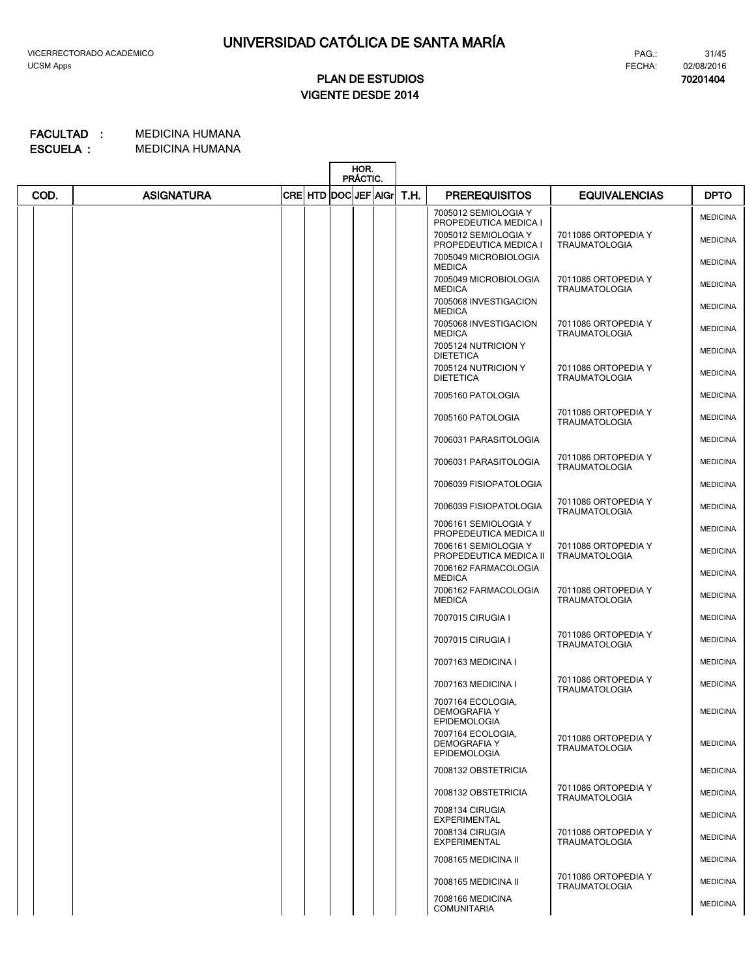**70201404**

# **VIGENTE DESDE 2014 PLAN DE ESTUDIOS**

|      |                   |                      | HOR.<br>PRÁCTIC. |      |                                                                 |                                             |                 |
|------|-------------------|----------------------|------------------|------|-----------------------------------------------------------------|---------------------------------------------|-----------------|
| COD. | <b>ASIGNATURA</b> | CRE HTD DOC JEF AIGr |                  | T.H. | <b>PREREQUISITOS</b>                                            | <b>EQUIVALENCIAS</b>                        | <b>DPTO</b>     |
|      |                   |                      |                  |      | 7005012 SEMIOLOGIA Y<br>PROPEDEUTICA MEDICA I                   |                                             | <b>MEDICINA</b> |
|      |                   |                      |                  |      | 7005012 SEMIOLOGIA Y<br>PROPEDEUTICA MEDICA I                   | 7011086 ORTOPEDIA Y<br><b>TRAUMATOLOGIA</b> | <b>MEDICINA</b> |
|      |                   |                      |                  |      | 7005049 MICROBIOLOGIA<br><b>MEDICA</b>                          |                                             | <b>MEDICINA</b> |
|      |                   |                      |                  |      | 7005049 MICROBIOLOGIA<br><b>MEDICA</b>                          | 7011086 ORTOPEDIA Y<br><b>TRAUMATOLOGIA</b> | <b>MEDICINA</b> |
|      |                   |                      |                  |      | 7005068 INVESTIGACION<br><b>MEDICA</b>                          |                                             | <b>MEDICINA</b> |
|      |                   |                      |                  |      | 7005068 INVESTIGACION<br><b>MEDICA</b>                          | 7011086 ORTOPEDIA Y<br><b>TRAUMATOLOGIA</b> | <b>MEDICINA</b> |
|      |                   |                      |                  |      | 7005124 NUTRICION Y<br><b>DIETETICA</b>                         |                                             | <b>MEDICINA</b> |
|      |                   |                      |                  |      | 7005124 NUTRICION Y<br><b>DIETETICA</b>                         | 7011086 ORTOPEDIA Y<br><b>TRAUMATOLOGIA</b> | <b>MEDICINA</b> |
|      |                   |                      |                  |      | 7005160 PATOLOGIA                                               |                                             | <b>MEDICINA</b> |
|      |                   |                      |                  |      | 7005160 PATOLOGIA                                               | 7011086 ORTOPEDIA Y<br><b>TRAUMATOLOGIA</b> | <b>MEDICINA</b> |
|      |                   |                      |                  |      | 7006031 PARASITOLOGIA                                           |                                             | <b>MEDICINA</b> |
|      |                   |                      |                  |      | 7006031 PARASITOLOGIA                                           | 7011086 ORTOPEDIA Y<br><b>TRAUMATOLOGIA</b> | <b>MEDICINA</b> |
|      |                   |                      |                  |      | 7006039 FISIOPATOLOGIA                                          |                                             | <b>MEDICINA</b> |
|      |                   |                      |                  |      | 7006039 FISIOPATOLOGIA                                          | 7011086 ORTOPEDIA Y<br><b>TRAUMATOLOGIA</b> | <b>MEDICINA</b> |
|      |                   |                      |                  |      | 7006161 SEMIOLOGIA Y<br>PROPEDEUTICA MEDICA II                  |                                             | <b>MEDICINA</b> |
|      |                   |                      |                  |      | 7006161 SEMIOLOGIA Y<br>PROPEDEUTICA MEDICA II                  | 7011086 ORTOPEDIA Y<br><b>TRAUMATOLOGIA</b> | <b>MEDICINA</b> |
|      |                   |                      |                  |      | 7006162 FARMACOLOGIA<br><b>MEDICA</b>                           |                                             | <b>MEDICINA</b> |
|      |                   |                      |                  |      | 7006162 FARMACOLOGIA<br><b>MEDICA</b>                           | 7011086 ORTOPEDIA Y<br><b>TRAUMATOLOGIA</b> | <b>MEDICINA</b> |
|      |                   |                      |                  |      | 7007015 CIRUGIA I                                               |                                             | <b>MEDICINA</b> |
|      |                   |                      |                  |      | 7007015 CIRUGIA I                                               | 7011086 ORTOPEDIA Y<br><b>TRAUMATOLOGIA</b> | <b>MEDICINA</b> |
|      |                   |                      |                  |      | 7007163 MEDICINA I                                              |                                             | <b>MEDICINA</b> |
|      |                   |                      |                  |      | 7007163 MEDICINA I                                              | 7011086 ORTOPEDIA Y<br><b>TRAUMATOLOGIA</b> | <b>MEDICINA</b> |
|      |                   |                      |                  |      | 7007164 ECOLOGIA,<br><b>DEMOGRAFIA Y</b><br><b>EPIDEMOLOGIA</b> |                                             | <b>MEDICINA</b> |
|      |                   |                      |                  |      | 7007164 ECOLOGIA,<br><b>DEMOGRAFIA Y</b><br><b>EPIDEMOLOGIA</b> | 7011086 ORTOPEDIA Y<br><b>TRAUMATOLOGIA</b> | <b>MEDICINA</b> |
|      |                   |                      |                  |      | 7008132 OBSTETRICIA                                             |                                             | <b>MEDICINA</b> |
|      |                   |                      |                  |      | 7008132 OBSTETRICIA                                             | 7011086 ORTOPEDIA Y<br><b>TRAUMATOLOGIA</b> | <b>MEDICINA</b> |
|      |                   |                      |                  |      | 7008134 CIRUGIA<br><b>EXPERIMENTAL</b>                          |                                             | <b>MEDICINA</b> |
|      |                   |                      |                  |      | 7008134 CIRUGIA<br><b>EXPERIMENTAL</b>                          | 7011086 ORTOPEDIA Y<br><b>TRAUMATOLOGIA</b> | <b>MEDICINA</b> |
|      |                   |                      |                  |      | 7008165 MEDICINA II                                             |                                             | <b>MEDICINA</b> |
|      |                   |                      |                  |      | 7008165 MEDICINA II                                             | 7011086 ORTOPEDIA Y<br><b>TRAUMATOLOGIA</b> | <b>MEDICINA</b> |
|      |                   |                      |                  |      | 7008166 MEDICINA<br><b>COMUNITARIA</b>                          |                                             | <b>MEDICINA</b> |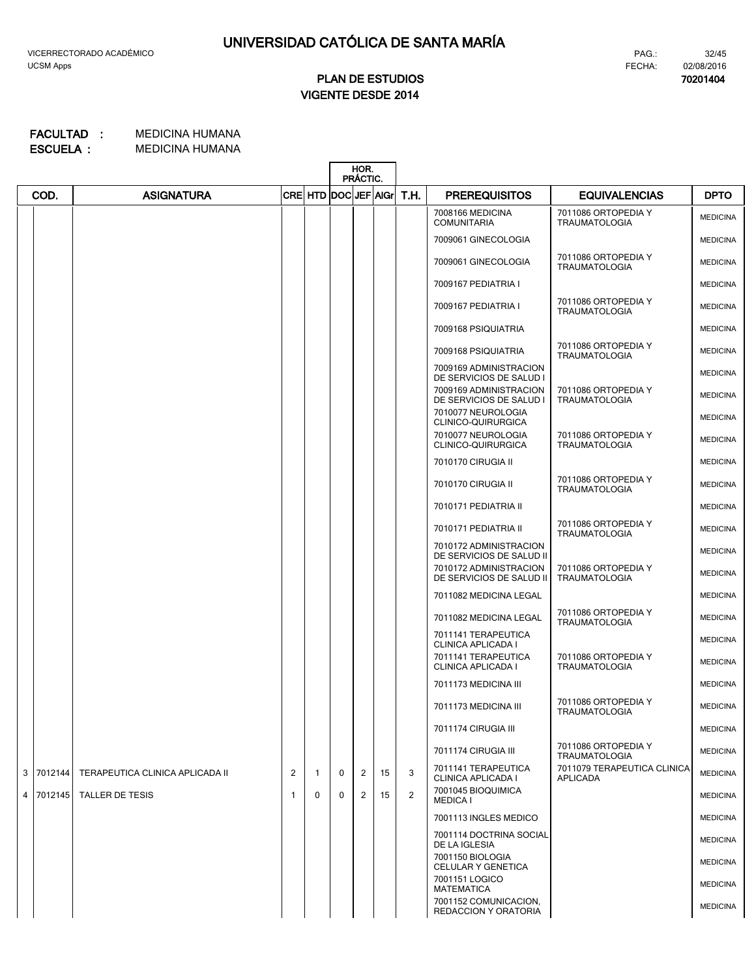**70201404**

# **VIGENTE DESDE 2014 PLAN DE ESTUDIOS**

|                |         |                                 |    |                      |              | HOR.<br>PRÁCTIC. |    |                |                                                    |                                                |                 |
|----------------|---------|---------------------------------|----|----------------------|--------------|------------------|----|----------------|----------------------------------------------------|------------------------------------------------|-----------------|
|                | COD.    | <b>ASIGNATURA</b>               |    | CRE HTD DOC JEF AIGr |              |                  |    | T.H.           | <b>PREREQUISITOS</b>                               | <b>EQUIVALENCIAS</b>                           | <b>DPTO</b>     |
|                |         |                                 |    |                      |              |                  |    |                | 7008166 MEDICINA<br><b>COMUNITARIA</b>             | 7011086 ORTOPEDIA Y<br><b>TRAUMATOLOGIA</b>    | <b>MEDICINA</b> |
|                |         |                                 |    |                      |              |                  |    |                | 7009061 GINECOLOGIA                                |                                                | <b>MEDICINA</b> |
|                |         |                                 |    |                      |              |                  |    |                | 7009061 GINECOLOGIA                                | 7011086 ORTOPEDIA Y<br><b>TRAUMATOLOGIA</b>    | <b>MEDICINA</b> |
|                |         |                                 |    |                      |              |                  |    |                | 7009167 PEDIATRIA I                                |                                                | <b>MEDICINA</b> |
|                |         |                                 |    |                      |              |                  |    |                | 7009167 PEDIATRIA I                                | 7011086 ORTOPEDIA Y<br><b>TRAUMATOLOGIA</b>    | <b>MEDICINA</b> |
|                |         |                                 |    |                      |              |                  |    |                | 7009168 PSIQUIATRIA                                |                                                | <b>MEDICINA</b> |
|                |         |                                 |    |                      |              |                  |    |                | 7009168 PSIQUIATRIA                                | 7011086 ORTOPEDIA Y<br><b>TRAUMATOLOGIA</b>    | <b>MEDICINA</b> |
|                |         |                                 |    |                      |              |                  |    |                | 7009169 ADMINISTRACION<br>DE SERVICIOS DE SALUD I  |                                                | <b>MEDICINA</b> |
|                |         |                                 |    |                      |              |                  |    |                | 7009169 ADMINISTRACION<br>DE SERVICIOS DE SALUD I  | 7011086 ORTOPEDIA Y<br><b>TRAUMATOLOGIA</b>    | <b>MEDICINA</b> |
|                |         |                                 |    |                      |              |                  |    |                | 7010077 NEUROLOGIA<br>CLINICO-QUIRURGICA           |                                                | <b>MEDICINA</b> |
|                |         |                                 |    |                      |              |                  |    |                | 7010077 NEUROLOGIA<br><b>CLINICO-QUIRURGICA</b>    | 7011086 ORTOPEDIA Y<br><b>TRAUMATOLOGIA</b>    | <b>MEDICINA</b> |
|                |         |                                 |    |                      |              |                  |    |                | 7010170 CIRUGIA II                                 |                                                | <b>MEDICINA</b> |
|                |         |                                 |    |                      |              |                  |    |                | 7010170 CIRUGIA II                                 | 7011086 ORTOPEDIA Y<br><b>TRAUMATOLOGIA</b>    | <b>MEDICINA</b> |
|                |         |                                 |    |                      |              |                  |    |                | 7010171 PEDIATRIA II                               |                                                | <b>MEDICINA</b> |
|                |         |                                 |    |                      |              |                  |    |                | 7010171 PEDIATRIA II                               | 7011086 ORTOPEDIA Y<br><b>TRAUMATOLOGIA</b>    | <b>MEDICINA</b> |
|                |         |                                 |    |                      |              |                  |    |                | 7010172 ADMINISTRACION<br>DE SERVICIOS DE SALUD II |                                                | <b>MEDICINA</b> |
|                |         |                                 |    |                      |              |                  |    |                | 7010172 ADMINISTRACION<br>DE SERVICIOS DE SALUD II | 7011086 ORTOPEDIA Y<br><b>TRAUMATOLOGIA</b>    | <b>MEDICINA</b> |
|                |         |                                 |    |                      |              |                  |    |                | 7011082 MEDICINA LEGAL                             |                                                | <b>MEDICINA</b> |
|                |         |                                 |    |                      |              |                  |    |                | 7011082 MEDICINA LEGAL                             | 7011086 ORTOPEDIA Y<br><b>TRAUMATOLOGIA</b>    | <b>MEDICINA</b> |
|                |         |                                 |    |                      |              |                  |    |                | 7011141 TERAPEUTICA<br>CLINICA APLICADA I          |                                                | <b>MEDICINA</b> |
|                |         |                                 |    |                      |              |                  |    |                | 7011141 TERAPEUTICA<br>CLINICA APLICADA I          | 7011086 ORTOPEDIA Y<br><b>TRAUMATOLOGIA</b>    | <b>MEDICINA</b> |
|                |         |                                 |    |                      |              |                  |    |                | 7011173 MEDICINA III                               |                                                | <b>MEDICINA</b> |
|                |         |                                 |    |                      |              |                  |    |                | 7011173 MEDICINA III                               | 7011086 ORTOPEDIA Y<br><b>TRAUMATOLOGIA</b>    | <b>MEDICINA</b> |
|                |         |                                 |    |                      |              |                  |    |                | 7011174 CIRUGIA III                                |                                                | <b>MEDICINA</b> |
|                |         |                                 |    |                      |              |                  |    |                | 7011174 CIRUGIA III                                | 7011086 ORTOPEDIA Y<br><b>TRAUMATOLOGIA</b>    | <b>MEDICINA</b> |
| 3              | 7012144 | TERAPEUTICA CLINICA APLICADA II | 2  | $\mathbf{1}$         | $\mathbf 0$  | 2                | 15 | 3              | 7011141 TERAPEUTICA<br>CLINICA APLICADA I          | 7011079 TERAPEUTICA CLINICA<br><b>APLICADA</b> | <b>MEDICINA</b> |
| $\overline{4}$ | 7012145 | TALLER DE TESIS                 | -1 | $\mathbf{0}$         | $\mathbf{0}$ | 2                | 15 | $\overline{2}$ | 7001045 BIOQUIMICA<br><b>MEDICA I</b>              |                                                | <b>MEDICINA</b> |
|                |         |                                 |    |                      |              |                  |    |                | 7001113 INGLES MEDICO                              |                                                | <b>MEDICINA</b> |
|                |         |                                 |    |                      |              |                  |    |                | 7001114 DOCTRINA SOCIAL<br>DE LA IGLESIA           |                                                | <b>MEDICINA</b> |
|                |         |                                 |    |                      |              |                  |    |                | 7001150 BIOLOGIA<br>CELULAR Y GENETICA             |                                                | <b>MEDICINA</b> |
|                |         |                                 |    |                      |              |                  |    |                | 7001151 LOGICO<br><b>MATEMATICA</b>                |                                                | <b>MEDICINA</b> |
|                |         |                                 |    |                      |              |                  |    |                | 7001152 COMUNICACION,<br>REDACCION Y ORATORIA      |                                                | <b>MEDICINA</b> |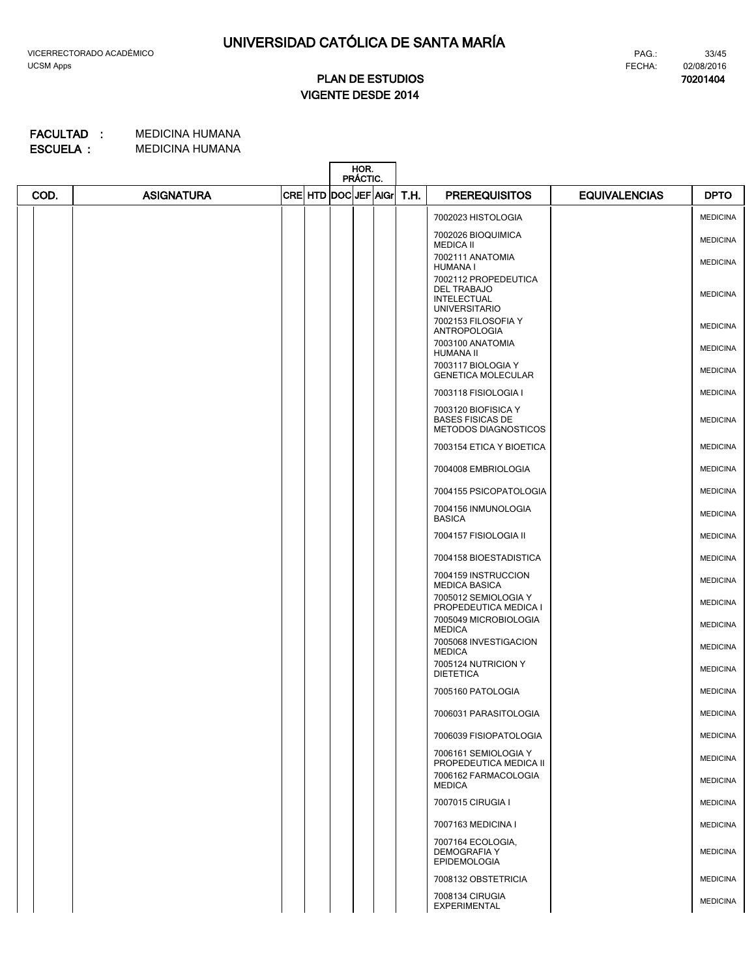**70201404**

# **VIGENTE DESDE 2014 PLAN DE ESTUDIOS**

|      |                   |                      | HOR.<br>PRÁCTIC. |      |                                                                        |                      |                 |
|------|-------------------|----------------------|------------------|------|------------------------------------------------------------------------|----------------------|-----------------|
| COD. | <b>ASIGNATURA</b> | CRE HTD DOC JEF AIGr |                  | T.H. | <b>PREREQUISITOS</b>                                                   | <b>EQUIVALENCIAS</b> | <b>DPTO</b>     |
|      |                   |                      |                  |      | 7002023 HISTOLOGIA                                                     |                      | <b>MEDICINA</b> |
|      |                   |                      |                  |      | 7002026 BIOQUIMICA<br><b>MEDICA II</b>                                 |                      | <b>MEDICINA</b> |
|      |                   |                      |                  |      | 7002111 ANATOMIA<br><b>HUMANA I</b>                                    |                      | <b>MEDICINA</b> |
|      |                   |                      |                  |      | 7002112 PROPEDEUTICA<br>DEL TRABAJO                                    |                      | <b>MEDICINA</b> |
|      |                   |                      |                  |      | <b>INTELECTUAL</b><br><b>UNIVERSITARIO</b>                             |                      |                 |
|      |                   |                      |                  |      | 7002153 FILOSOFIA Y<br>ANTROPOLOGIA                                    |                      | <b>MEDICINA</b> |
|      |                   |                      |                  |      | 7003100 ANATOMIA<br>HUMANA II                                          |                      | <b>MEDICINA</b> |
|      |                   |                      |                  |      | 7003117 BIOLOGIA Y<br><b>GENETICA MOLECULAR</b>                        |                      | <b>MEDICINA</b> |
|      |                   |                      |                  |      | 7003118 FISIOLOGIA I                                                   |                      | <b>MEDICINA</b> |
|      |                   |                      |                  |      | 7003120 BIOFISICA Y<br><b>BASES FISICAS DE</b><br>METODOS DIAGNOSTICOS |                      | <b>MEDICINA</b> |
|      |                   |                      |                  |      | 7003154 ETICA Y BIOETICA                                               |                      | <b>MEDICINA</b> |
|      |                   |                      |                  |      | 7004008 EMBRIOLOGIA                                                    |                      | <b>MEDICINA</b> |
|      |                   |                      |                  |      | 7004155 PSICOPATOLOGIA                                                 |                      | <b>MEDICINA</b> |
|      |                   |                      |                  |      | 7004156 INMUNOLOGIA<br><b>BASICA</b>                                   |                      | <b>MEDICINA</b> |
|      |                   |                      |                  |      | 7004157 FISIOLOGIA II                                                  |                      | <b>MEDICINA</b> |
|      |                   |                      |                  |      | 7004158 BIOESTADISTICA                                                 |                      | <b>MEDICINA</b> |
|      |                   |                      |                  |      | 7004159 INSTRUCCION<br><b>MEDICA BASICA</b>                            |                      | <b>MEDICINA</b> |
|      |                   |                      |                  |      | 7005012 SEMIOLOGIA Y<br>PROPEDEUTICA MEDICA I                          |                      | <b>MEDICINA</b> |
|      |                   |                      |                  |      | 7005049 MICROBIOLOGIA<br><b>MEDICA</b>                                 |                      | <b>MEDICINA</b> |
|      |                   |                      |                  |      | 7005068 INVESTIGACION<br><b>MEDICA</b>                                 |                      | <b>MEDICINA</b> |
|      |                   |                      |                  |      | 7005124 NUTRICION Y<br><b>DIETETICA</b>                                |                      | <b>MEDICINA</b> |
|      |                   |                      |                  |      | 7005160 PATOLOGIA                                                      |                      | <b>MEDICINA</b> |
|      |                   |                      |                  |      | 7006031 PARASITOLOGIA                                                  |                      | <b>MEDICINA</b> |
|      |                   |                      |                  |      | 7006039 FISIOPATOLOGIA                                                 |                      | <b>MEDICINA</b> |
|      |                   |                      |                  |      | 7006161 SEMIOLOGIA Y<br>PROPEDEUTICA MEDICA II                         |                      | <b>MEDICINA</b> |
|      |                   |                      |                  |      | 7006162 FARMACOLOGIA<br><b>MEDICA</b>                                  |                      | <b>MEDICINA</b> |
|      |                   |                      |                  |      | 7007015 CIRUGIA I                                                      |                      | <b>MEDICINA</b> |
|      |                   |                      |                  |      | 7007163 MEDICINA I                                                     |                      | <b>MEDICINA</b> |
|      |                   |                      |                  |      | 7007164 ECOLOGIA,<br><b>DEMOGRAFIA Y</b><br><b>EPIDEMOLOGIA</b>        |                      | <b>MEDICINA</b> |
|      |                   |                      |                  |      | 7008132 OBSTETRICIA                                                    |                      | <b>MEDICINA</b> |
|      |                   |                      |                  |      | 7008134 CIRUGIA<br>EXPERIMENTAL                                        |                      | <b>MEDICINA</b> |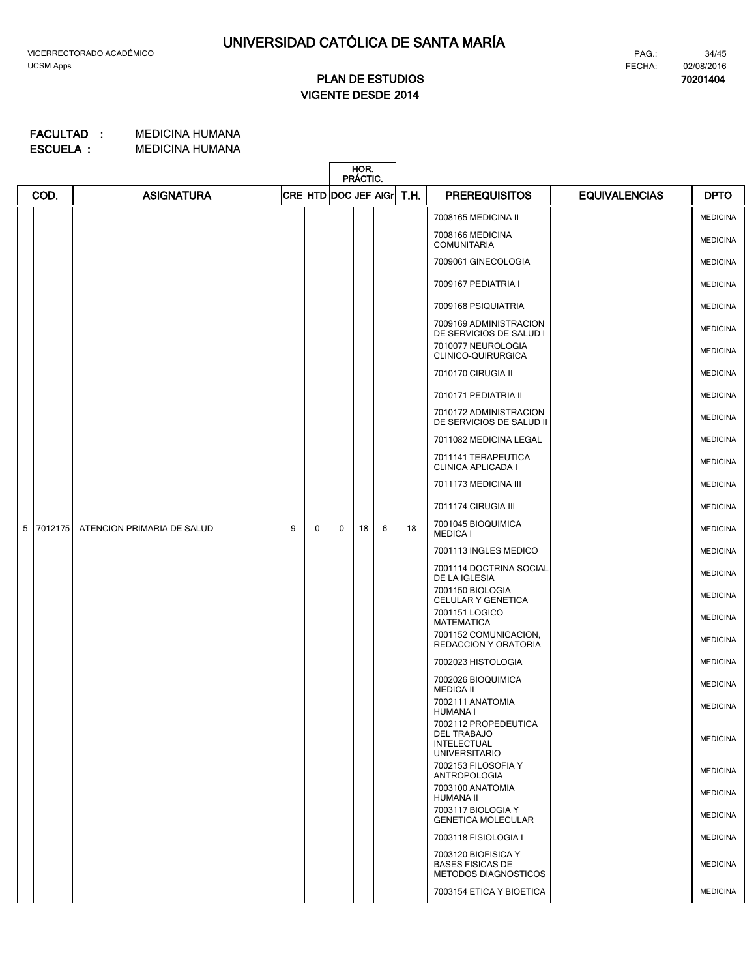# **PLAN DE ESTUDIOS**

34/45 FECHA: 02/08/2016 PAG.:

**70201404**

# **VIGENTE DESDE 2014**

|              |                            |   |                      |   | HOR.<br>PRÁCTIC. |   |      |                                                                                   |                      |                 |
|--------------|----------------------------|---|----------------------|---|------------------|---|------|-----------------------------------------------------------------------------------|----------------------|-----------------|
| COD.         | <b>ASIGNATURA</b>          |   | CRE HTD DOC JEF AIGr |   |                  |   | T.H. | <b>PREREQUISITOS</b>                                                              | <b>EQUIVALENCIAS</b> | <b>DPTO</b>     |
|              |                            |   |                      |   |                  |   |      | 7008165 MEDICINA II                                                               |                      | <b>MEDICINA</b> |
|              |                            |   |                      |   |                  |   |      | 7008166 MEDICINA<br><b>COMUNITARIA</b>                                            |                      | <b>MEDICINA</b> |
|              |                            |   |                      |   |                  |   |      | 7009061 GINECOLOGIA                                                               |                      | <b>MEDICINA</b> |
|              |                            |   |                      |   |                  |   |      | 7009167 PEDIATRIA I                                                               |                      | <b>MEDICINA</b> |
|              |                            |   |                      |   |                  |   |      | 7009168 PSIQUIATRIA                                                               |                      | <b>MEDICINA</b> |
|              |                            |   |                      |   |                  |   |      | 7009169 ADMINISTRACION<br>DE SERVICIOS DE SALUD I                                 |                      | <b>MEDICINA</b> |
|              |                            |   |                      |   |                  |   |      | 7010077 NEUROLOGIA<br>CLINICO-QUIRURGICA                                          |                      | <b>MEDICINA</b> |
|              |                            |   |                      |   |                  |   |      | 7010170 CIRUGIA II                                                                |                      | <b>MEDICINA</b> |
|              |                            |   |                      |   |                  |   |      | 7010171 PEDIATRIA II                                                              |                      | <b>MEDICINA</b> |
|              |                            |   |                      |   |                  |   |      | 7010172 ADMINISTRACION<br>DE SERVICIOS DE SALUD II                                |                      | <b>MEDICINA</b> |
|              |                            |   |                      |   |                  |   |      | 7011082 MEDICINA LEGAL                                                            |                      | <b>MEDICINA</b> |
|              |                            |   |                      |   |                  |   |      | 7011141 TERAPEUTICA<br>CLINICA APLICADA I                                         |                      | <b>MEDICINA</b> |
|              |                            |   |                      |   |                  |   |      | 7011173 MEDICINA III                                                              |                      | <b>MEDICINA</b> |
|              |                            |   |                      |   |                  |   |      | 7011174 CIRUGIA III                                                               |                      | <b>MEDICINA</b> |
| 5<br>7012175 | ATENCION PRIMARIA DE SALUD | 9 | 0                    | 0 | 18               | 6 | 18   | 7001045 BIOQUIMICA<br><b>MEDICA I</b>                                             |                      | <b>MEDICINA</b> |
|              |                            |   |                      |   |                  |   |      | 7001113 INGLES MEDICO                                                             |                      | <b>MEDICINA</b> |
|              |                            |   |                      |   |                  |   |      | 7001114 DOCTRINA SOCIAL<br>DE LA IGLESIA                                          |                      | <b>MEDICINA</b> |
|              |                            |   |                      |   |                  |   |      | 7001150 BIOLOGIA<br>CELULAR Y GENETICA                                            |                      | <b>MEDICINA</b> |
|              |                            |   |                      |   |                  |   |      | 7001151 LOGICO<br><b>MATEMATICA</b>                                               |                      | <b>MEDICINA</b> |
|              |                            |   |                      |   |                  |   |      | 7001152 COMUNICACION,<br>REDACCION Y ORATORIA                                     |                      | <b>MEDICINA</b> |
|              |                            |   |                      |   |                  |   |      | 7002023 HISTOLOGIA                                                                |                      | <b>MEDICINA</b> |
|              |                            |   |                      |   |                  |   |      | 7002026 BIOQUIMICA<br><b>MEDICA II</b>                                            |                      | <b>MEDICINA</b> |
|              |                            |   |                      |   |                  |   |      | 7002111 ANATOMIA<br>HUMANA I                                                      |                      | <b>MEDICINA</b> |
|              |                            |   |                      |   |                  |   |      | 7002112 PROPEDEUTICA<br>DEL TRABAJO<br><b>INTELECTUAL</b><br><b>UNIVERSITARIO</b> |                      | <b>MEDICINA</b> |
|              |                            |   |                      |   |                  |   |      | 7002153 FILOSOFIA Y<br><b>ANTROPOLOGIA</b>                                        |                      | <b>MEDICINA</b> |
|              |                            |   |                      |   |                  |   |      | 7003100 ANATOMIA<br><b>HUMANA II</b>                                              |                      | <b>MEDICINA</b> |
|              |                            |   |                      |   |                  |   |      | 7003117 BIOLOGIA Y<br><b>GENETICA MOLECULAR</b>                                   |                      | <b>MEDICINA</b> |
|              |                            |   |                      |   |                  |   |      | 7003118 FISIOLOGIA I                                                              |                      | <b>MEDICINA</b> |
|              |                            |   |                      |   |                  |   |      | 7003120 BIOFISICA Y<br><b>BASES FISICAS DE</b><br>METODOS DIAGNOSTICOS            |                      | <b>MEDICINA</b> |
|              |                            |   |                      |   |                  |   |      | 7003154 ETICA Y BIOETICA                                                          |                      | <b>MEDICINA</b> |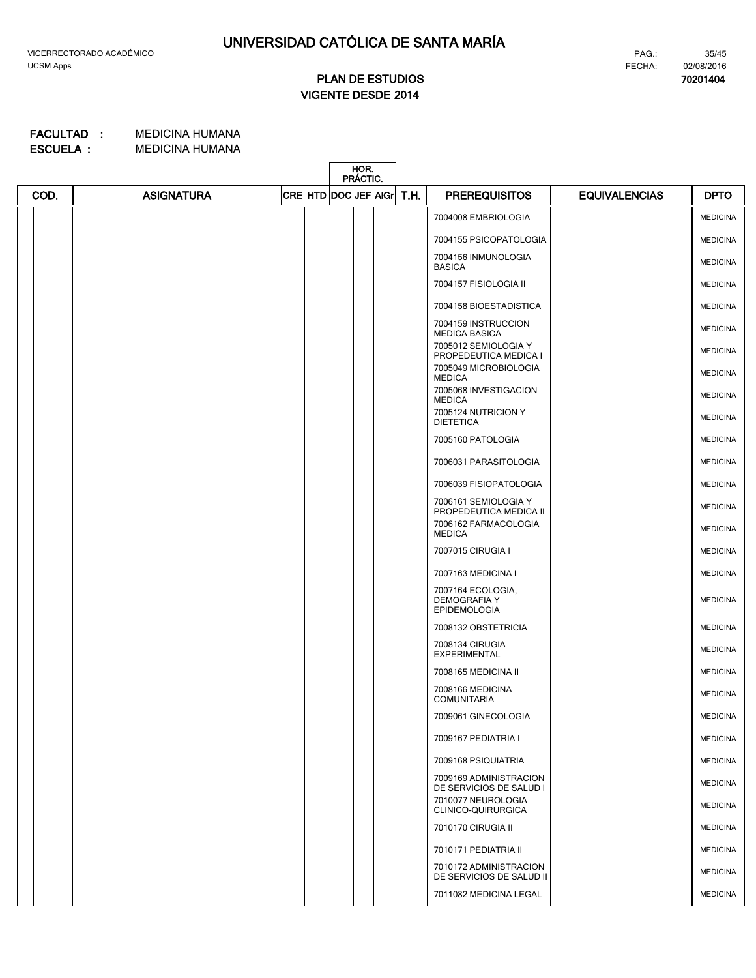**70201404**

# **VIGENTE DESDE 2014 PLAN DE ESTUDIOS**

|      |                   |                      | HOR.<br>PRÁCTIC. |      |                                                                 |                      |                 |
|------|-------------------|----------------------|------------------|------|-----------------------------------------------------------------|----------------------|-----------------|
| COD. | <b>ASIGNATURA</b> | CRE HTD DOC JEF AIGr |                  | T.H. | <b>PREREQUISITOS</b>                                            | <b>EQUIVALENCIAS</b> | <b>DPTO</b>     |
|      |                   |                      |                  |      | 7004008 EMBRIOLOGIA                                             |                      | <b>MEDICINA</b> |
|      |                   |                      |                  |      | 7004155 PSICOPATOLOGIA                                          |                      | <b>MEDICINA</b> |
|      |                   |                      |                  |      | 7004156 INMUNOLOGIA<br><b>BASICA</b>                            |                      | <b>MEDICINA</b> |
|      |                   |                      |                  |      | 7004157 FISIOLOGIA II                                           |                      | <b>MEDICINA</b> |
|      |                   |                      |                  |      | 7004158 BIOESTADISTICA                                          |                      | <b>MEDICINA</b> |
|      |                   |                      |                  |      | 7004159 INSTRUCCION<br><b>MEDICA BASICA</b>                     |                      | <b>MEDICINA</b> |
|      |                   |                      |                  |      | 7005012 SEMIOLOGIA Y<br>PROPEDEUTICA MEDICA I                   |                      | <b>MEDICINA</b> |
|      |                   |                      |                  |      | 7005049 MICROBIOLOGIA<br><b>MEDICA</b>                          |                      | <b>MEDICINA</b> |
|      |                   |                      |                  |      | 7005068 INVESTIGACION<br><b>MEDICA</b>                          |                      | <b>MEDICINA</b> |
|      |                   |                      |                  |      | 7005124 NUTRICION Y<br><b>DIETETICA</b>                         |                      | <b>MEDICINA</b> |
|      |                   |                      |                  |      | 7005160 PATOLOGIA                                               |                      | <b>MEDICINA</b> |
|      |                   |                      |                  |      | 7006031 PARASITOLOGIA                                           |                      | <b>MEDICINA</b> |
|      |                   |                      |                  |      | 7006039 FISIOPATOLOGIA                                          |                      | <b>MEDICINA</b> |
|      |                   |                      |                  |      | 7006161 SEMIOLOGIA Y<br>PROPEDEUTICA MEDICA II                  |                      | <b>MEDICINA</b> |
|      |                   |                      |                  |      | 7006162 FARMACOLOGIA<br><b>MEDICA</b>                           |                      | <b>MEDICINA</b> |
|      |                   |                      |                  |      | 7007015 CIRUGIA I                                               |                      | <b>MEDICINA</b> |
|      |                   |                      |                  |      | 7007163 MEDICINA I                                              |                      | <b>MEDICINA</b> |
|      |                   |                      |                  |      | 7007164 ECOLOGIA,<br><b>DEMOGRAFIA Y</b><br><b>EPIDEMOLOGIA</b> |                      | <b>MEDICINA</b> |
|      |                   |                      |                  |      | 7008132 OBSTETRICIA                                             |                      | <b>MEDICINA</b> |
|      |                   |                      |                  |      | 7008134 CIRUGIA<br><b>EXPERIMENTAL</b>                          |                      | <b>MEDICINA</b> |
|      |                   |                      |                  |      | 7008165 MEDICINA II                                             |                      | <b>MEDICINA</b> |
|      |                   |                      |                  |      | 7008166 MEDICINA<br><b>COMUNITARIA</b>                          |                      | <b>MEDICINA</b> |
|      |                   |                      |                  |      | 7009061 GINECOLOGIA                                             |                      | <b>MEDICINA</b> |
|      |                   |                      |                  |      | 7009167 PEDIATRIA I                                             |                      | <b>MEDICINA</b> |
|      |                   |                      |                  |      | 7009168 PSIQUIATRIA                                             |                      | <b>MEDICINA</b> |
|      |                   |                      |                  |      | 7009169 ADMINISTRACION<br>DE SERVICIOS DE SALUD I               |                      | <b>MEDICINA</b> |
|      |                   |                      |                  |      | 7010077 NEUROLOGIA<br>CLINICO-QUIRURGICA                        |                      | <b>MEDICINA</b> |
|      |                   |                      |                  |      | 7010170 CIRUGIA II                                              |                      | <b>MEDICINA</b> |
|      |                   |                      |                  |      | 7010171 PEDIATRIA II                                            |                      | <b>MEDICINA</b> |
|      |                   |                      |                  |      | 7010172 ADMINISTRACION<br>DE SERVICIOS DE SALUD II              |                      | <b>MEDICINA</b> |
|      |                   |                      |                  |      | 7011082 MEDICINA LEGAL                                          |                      | <b>MEDICINA</b> |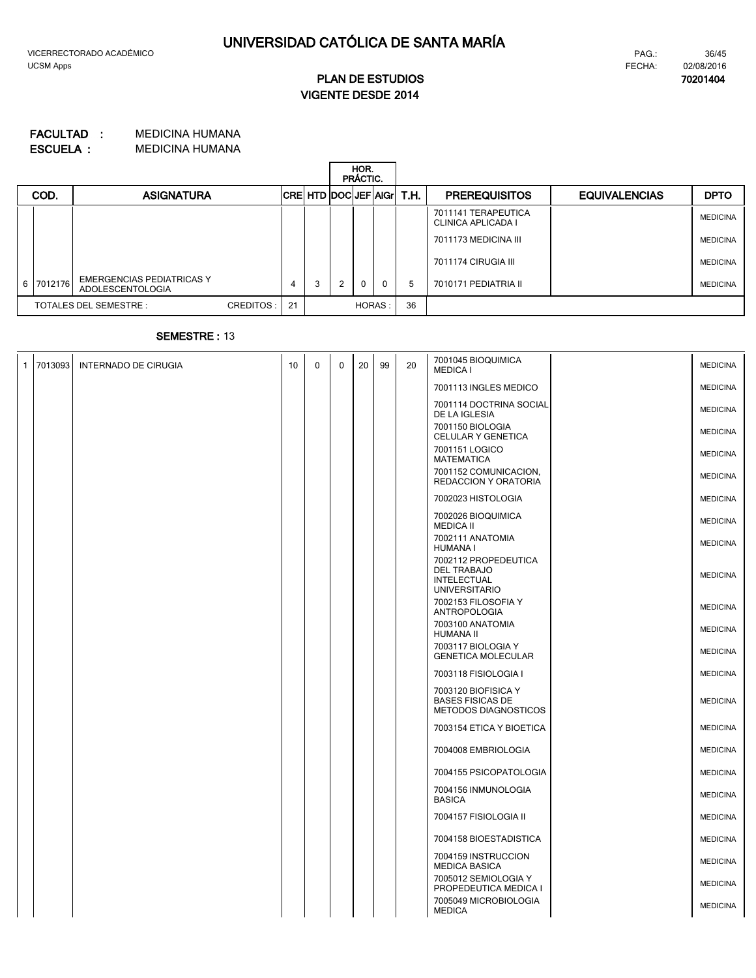**70201404**

# **VIGENTE DESDE 2014 PLAN DE ESTUDIOS**

#### MEDICINA HUMANA MEDICINA HUMANA **ESCUELA : FACULTAD :**

|  |           |                                                      |           |    |   |   | HOR.<br>PRÁCTIC. |          |                        |                                                  |                      |                 |
|--|-----------|------------------------------------------------------|-----------|----|---|---|------------------|----------|------------------------|--------------------------------------------------|----------------------|-----------------|
|  | COD.      | <b>ASIGNATURA</b>                                    |           |    |   |   |                  |          | CRE HTD DOCUEF AG T.H. | <b>PREREQUISITOS</b>                             | <b>EQUIVALENCIAS</b> | <b>DPTO</b>     |
|  |           |                                                      |           |    |   |   |                  |          |                        | 7011141 TERAPEUTICA<br><b>CLINICA APLICADA I</b> |                      | <b>MEDICINA</b> |
|  |           |                                                      |           |    |   |   |                  |          |                        | 7011173 MEDICINA III                             |                      | <b>MEDICINA</b> |
|  |           |                                                      |           |    |   |   |                  |          |                        | 7011174 CIRUGIA III                              |                      | <b>MEDICINA</b> |
|  | 6 7012176 | <b>EMERGENCIAS PEDIATRICAS Y</b><br>ADOLESCENTOLOGIA |           | 4  | 3 | 2 | $\Omega$         | $\Omega$ | 5                      | 7010171 PEDIATRIA II                             |                      | <b>MEDICINA</b> |
|  |           | TOTALES DEL SEMESTRE :                               | CREDITOS: | 21 |   |   | HORAS:           |          | 36                     |                                                  |                      |                 |

### **SEMESTRE :** 13

| $\mathbf{1}$ | 7013093 | <b>INTERNADO DE CIRUGIA</b> | 10 | $\mathbf 0$ | 0 | 20 | 99 | 20 | 7001045 BIOQUIMICA<br><b>MEDICA I</b>                                             | <b>MEDICINA</b> |
|--------------|---------|-----------------------------|----|-------------|---|----|----|----|-----------------------------------------------------------------------------------|-----------------|
|              |         |                             |    |             |   |    |    |    | 7001113 INGLES MEDICO                                                             | <b>MEDICINA</b> |
|              |         |                             |    |             |   |    |    |    | 7001114 DOCTRINA SOCIAL<br>DE LA IGLESIA                                          | <b>MEDICINA</b> |
|              |         |                             |    |             |   |    |    |    | 7001150 BIOLOGIA<br>CELULAR Y GENETICA                                            | <b>MEDICINA</b> |
|              |         |                             |    |             |   |    |    |    | 7001151 LOGICO<br><b>MATEMATICA</b>                                               | <b>MEDICINA</b> |
|              |         |                             |    |             |   |    |    |    | 7001152 COMUNICACION,<br>REDACCION Y ORATORIA                                     | <b>MEDICINA</b> |
|              |         |                             |    |             |   |    |    |    | 7002023 HISTOLOGIA                                                                | <b>MEDICINA</b> |
|              |         |                             |    |             |   |    |    |    | 7002026 BIOQUIMICA<br><b>MEDICA II</b>                                            | <b>MEDICINA</b> |
|              |         |                             |    |             |   |    |    |    | 7002111 ANATOMIA<br><b>HUMANA I</b>                                               | <b>MEDICINA</b> |
|              |         |                             |    |             |   |    |    |    | 7002112 PROPEDEUTICA<br><b>DEL TRABAJO</b><br>INTELECTUAL<br><b>UNIVERSITARIO</b> | <b>MEDICINA</b> |
|              |         |                             |    |             |   |    |    |    | 7002153 FILOSOFIA Y<br><b>ANTROPOLOGIA</b>                                        | <b>MEDICINA</b> |
|              |         |                             |    |             |   |    |    |    | 7003100 ANATOMIA<br><b>HUMANA II</b>                                              | <b>MEDICINA</b> |
|              |         |                             |    |             |   |    |    |    | 7003117 BIOLOGIA Y<br><b>GENETICA MOLECULAR</b>                                   | <b>MEDICINA</b> |
|              |         |                             |    |             |   |    |    |    | 7003118 FISIOLOGIA I                                                              | <b>MEDICINA</b> |
|              |         |                             |    |             |   |    |    |    | 7003120 BIOFISICA Y<br><b>BASES FISICAS DE</b><br>METODOS DIAGNOSTICOS            | <b>MEDICINA</b> |
|              |         |                             |    |             |   |    |    |    | 7003154 ETICA Y BIOETICA                                                          | <b>MEDICINA</b> |
|              |         |                             |    |             |   |    |    |    | 7004008 EMBRIOLOGIA                                                               | <b>MEDICINA</b> |
|              |         |                             |    |             |   |    |    |    | 7004155 PSICOPATOLOGIA                                                            | <b>MEDICINA</b> |
|              |         |                             |    |             |   |    |    |    | 7004156 INMUNOLOGIA<br><b>BASICA</b>                                              | <b>MEDICINA</b> |
|              |         |                             |    |             |   |    |    |    | 7004157 FISIOLOGIA II                                                             | <b>MEDICINA</b> |
|              |         |                             |    |             |   |    |    |    | 7004158 BIOESTADISTICA                                                            | <b>MEDICINA</b> |
|              |         |                             |    |             |   |    |    |    | 7004159 INSTRUCCION<br><b>MEDICA BASICA</b>                                       | <b>MEDICINA</b> |
|              |         |                             |    |             |   |    |    |    | 7005012 SEMIOLOGIA Y<br>PROPEDEUTICA MEDICA I                                     | <b>MEDICINA</b> |
|              |         |                             |    |             |   |    |    |    | 7005049 MICROBIOLOGIA<br><b>MEDICA</b>                                            | <b>MEDICINA</b> |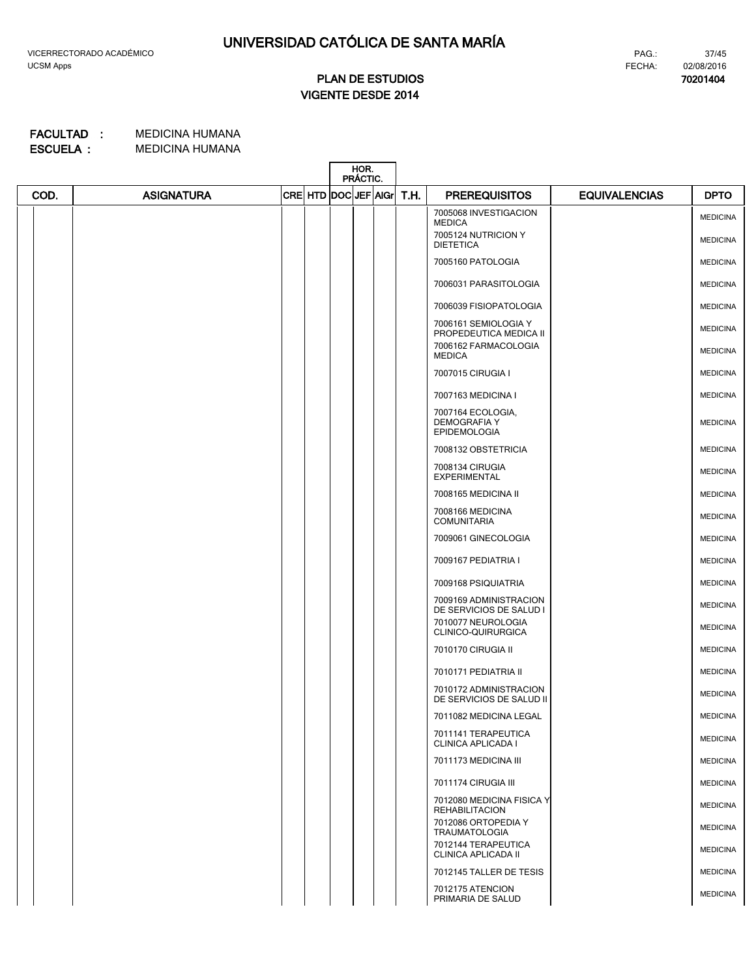**70201404**

# **VIGENTE DESDE 2014 PLAN DE ESTUDIOS**

|      |                   |                      | HOR.<br>PRÁCTIC. |  |      |                                                                 |                      |                 |
|------|-------------------|----------------------|------------------|--|------|-----------------------------------------------------------------|----------------------|-----------------|
| COD. | <b>ASIGNATURA</b> | CRE HTD DOC JEF AIGr |                  |  | T.H. | <b>PREREQUISITOS</b>                                            | <b>EQUIVALENCIAS</b> | <b>DPTO</b>     |
|      |                   |                      |                  |  |      | 7005068 INVESTIGACION<br><b>MEDICA</b>                          |                      | <b>MEDICINA</b> |
|      |                   |                      |                  |  |      | 7005124 NUTRICION Y<br><b>DIETETICA</b>                         |                      | <b>MEDICINA</b> |
|      |                   |                      |                  |  |      | 7005160 PATOLOGIA                                               |                      | <b>MEDICINA</b> |
|      |                   |                      |                  |  |      | 7006031 PARASITOLOGIA                                           |                      | <b>MEDICINA</b> |
|      |                   |                      |                  |  |      | 7006039 FISIOPATOLOGIA                                          |                      | <b>MEDICINA</b> |
|      |                   |                      |                  |  |      | 7006161 SEMIOLOGIA Y<br>PROPEDEUTICA MEDICA II                  |                      | <b>MEDICINA</b> |
|      |                   |                      |                  |  |      | 7006162 FARMACOLOGIA<br><b>MEDICA</b>                           |                      | <b>MEDICINA</b> |
|      |                   |                      |                  |  |      | 7007015 CIRUGIA I                                               |                      | <b>MEDICINA</b> |
|      |                   |                      |                  |  |      | 7007163 MEDICINA I                                              |                      | <b>MEDICINA</b> |
|      |                   |                      |                  |  |      | 7007164 ECOLOGIA,<br><b>DEMOGRAFIA Y</b><br><b>EPIDEMOLOGIA</b> |                      | <b>MEDICINA</b> |
|      |                   |                      |                  |  |      | 7008132 OBSTETRICIA                                             |                      | <b>MEDICINA</b> |
|      |                   |                      |                  |  |      | 7008134 CIRUGIA<br><b>EXPERIMENTAL</b>                          |                      | <b>MEDICINA</b> |
|      |                   |                      |                  |  |      | 7008165 MEDICINA II                                             |                      | <b>MEDICINA</b> |
|      |                   |                      |                  |  |      | 7008166 MEDICINA<br><b>COMUNITARIA</b>                          |                      | <b>MEDICINA</b> |
|      |                   |                      |                  |  |      | 7009061 GINECOLOGIA                                             |                      | <b>MEDICINA</b> |
|      |                   |                      |                  |  |      | 7009167 PEDIATRIA I                                             |                      | <b>MEDICINA</b> |
|      |                   |                      |                  |  |      | 7009168 PSIQUIATRIA                                             |                      | <b>MEDICINA</b> |
|      |                   |                      |                  |  |      | 7009169 ADMINISTRACION<br>DE SERVICIOS DE SALUD I               |                      | <b>MEDICINA</b> |
|      |                   |                      |                  |  |      | 7010077 NEUROLOGIA<br>CLINICO-QUIRURGICA                        |                      | <b>MEDICINA</b> |
|      |                   |                      |                  |  |      | 7010170 CIRUGIA II                                              |                      | <b>MEDICINA</b> |
|      |                   |                      |                  |  |      | 7010171 PEDIATRIA II                                            |                      | <b>MEDICINA</b> |
|      |                   |                      |                  |  |      | 7010172 ADMINISTRACION<br>DE SERVICIOS DE SALUD II              |                      | <b>MEDICINA</b> |
|      |                   |                      |                  |  |      | 7011082 MEDICINA LEGAL                                          |                      | <b>MEDICINA</b> |
|      |                   |                      |                  |  |      | 7011141 TERAPEUTICA<br>CLINICA APLICADA I                       |                      | <b>MEDICINA</b> |
|      |                   |                      |                  |  |      | 7011173 MEDICINA III                                            |                      | <b>MEDICINA</b> |
|      |                   |                      |                  |  |      | 7011174 CIRUGIA III                                             |                      | <b>MEDICINA</b> |
|      |                   |                      |                  |  |      | 7012080 MEDICINA FISICA Y<br><b>REHABILITACION</b>              |                      | <b>MEDICINA</b> |
|      |                   |                      |                  |  |      | 7012086 ORTOPEDIA Y<br><b>TRAUMATOLOGIA</b>                     |                      | <b>MEDICINA</b> |
|      |                   |                      |                  |  |      | 7012144 TERAPEUTICA<br>CLINICA APLICADA II                      |                      | <b>MEDICINA</b> |
|      |                   |                      |                  |  |      | 7012145 TALLER DE TESIS                                         |                      | <b>MEDICINA</b> |
|      |                   |                      |                  |  |      | 7012175 ATENCION<br>PRIMARIA DE SALUD                           |                      | <b>MEDICINA</b> |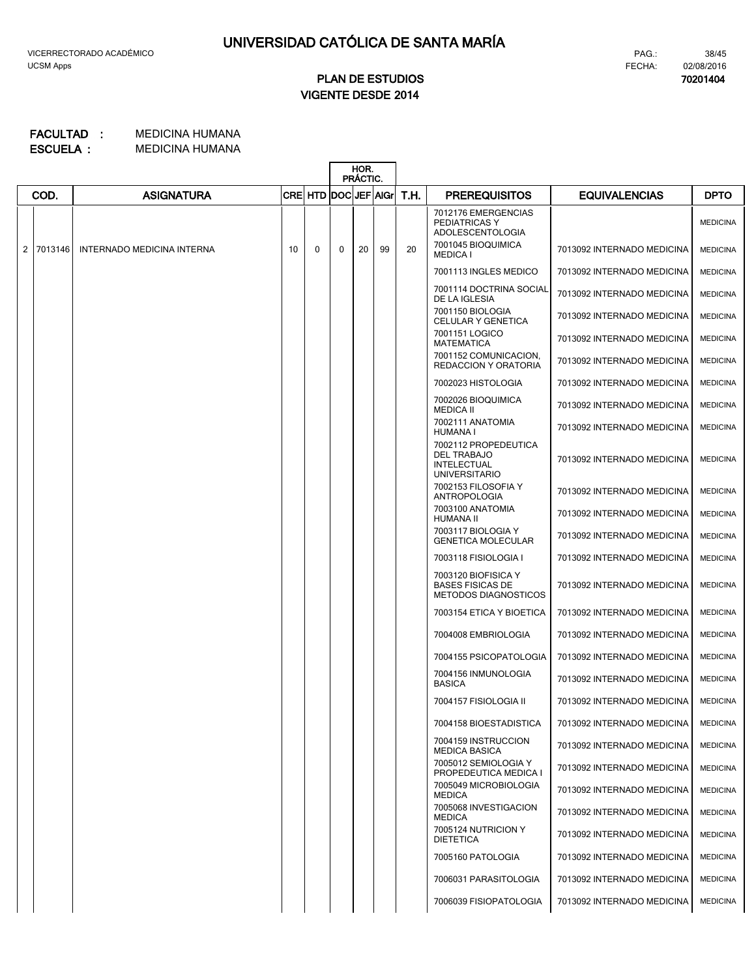**70201404**

# **VIGENTE DESDE 2014 PLAN DE ESTUDIOS**

|                |         |                            |    |                      | HOR.<br><b>PRACTIC.</b> |    |    |      |                                                                                          |                            |                 |
|----------------|---------|----------------------------|----|----------------------|-------------------------|----|----|------|------------------------------------------------------------------------------------------|----------------------------|-----------------|
|                | COD.    | <b>ASIGNATURA</b>          |    | CRE HTD DOC JEF AIGr |                         |    |    | T.H. | <b>PREREQUISITOS</b>                                                                     | <b>EQUIVALENCIAS</b>       | <b>DPTO</b>     |
|                |         |                            |    |                      |                         |    |    |      | 7012176 EMERGENCIAS<br>PEDIATRICAS Y<br><b>ADOLESCENTOLOGIA</b>                          |                            | <b>MEDICINA</b> |
| $\overline{2}$ | 7013146 | INTERNADO MEDICINA INTERNA | 10 | $\Omega$             | 0                       | 20 | 99 | 20   | 7001045 BIOQUIMICA<br><b>MEDICA I</b>                                                    | 7013092 INTERNADO MEDICINA | <b>MEDICINA</b> |
|                |         |                            |    |                      |                         |    |    |      | 7001113 INGLES MEDICO                                                                    | 7013092 INTERNADO MEDICINA | <b>MEDICINA</b> |
|                |         |                            |    |                      |                         |    |    |      | 7001114 DOCTRINA SOCIAL<br>DE LA IGLESIA                                                 | 7013092 INTERNADO MEDICINA | <b>MEDICINA</b> |
|                |         |                            |    |                      |                         |    |    |      | 7001150 BIOLOGIA<br>CELULAR Y GENETICA                                                   | 7013092 INTERNADO MEDICINA | <b>MEDICINA</b> |
|                |         |                            |    |                      |                         |    |    |      | 7001151 LOGICO<br><b>MATEMATICA</b>                                                      | 7013092 INTERNADO MEDICINA | <b>MEDICINA</b> |
|                |         |                            |    |                      |                         |    |    |      | 7001152 COMUNICACION,<br><b>REDACCION Y ORATORIA</b>                                     | 7013092 INTERNADO MEDICINA | <b>MEDICINA</b> |
|                |         |                            |    |                      |                         |    |    |      | 7002023 HISTOLOGIA                                                                       | 7013092 INTERNADO MEDICINA | <b>MEDICINA</b> |
|                |         |                            |    |                      |                         |    |    |      | 7002026 BIOQUIMICA<br><b>MEDICA II</b>                                                   | 7013092 INTERNADO MEDICINA | <b>MEDICINA</b> |
|                |         |                            |    |                      |                         |    |    |      | 7002111 ANATOMIA<br>HUMANA I                                                             | 7013092 INTERNADO MEDICINA | <b>MEDICINA</b> |
|                |         |                            |    |                      |                         |    |    |      | 7002112 PROPEDEUTICA<br><b>DEL TRABAJO</b><br><b>INTELECTUAL</b><br><b>UNIVERSITARIO</b> | 7013092 INTERNADO MEDICINA | <b>MEDICINA</b> |
|                |         |                            |    |                      |                         |    |    |      | 7002153 FILOSOFIA Y<br><b>ANTROPOLOGIA</b>                                               | 7013092 INTERNADO MEDICINA | <b>MEDICINA</b> |
|                |         |                            |    |                      |                         |    |    |      | 7003100 ANATOMIA<br><b>HUMANA II</b>                                                     | 7013092 INTERNADO MEDICINA | <b>MEDICINA</b> |
|                |         |                            |    |                      |                         |    |    |      | 7003117 BIOLOGIA Y<br><b>GENETICA MOLECULAR</b>                                          | 7013092 INTERNADO MEDICINA | <b>MEDICINA</b> |
|                |         |                            |    |                      |                         |    |    |      | 7003118 FISIOLOGIA I                                                                     | 7013092 INTERNADO MEDICINA | <b>MEDICINA</b> |
|                |         |                            |    |                      |                         |    |    |      | 7003120 BIOFISICA Y<br><b>BASES FISICAS DE</b><br><b>METODOS DIAGNOSTICOS</b>            | 7013092 INTERNADO MEDICINA | <b>MEDICINA</b> |
|                |         |                            |    |                      |                         |    |    |      | 7003154 ETICA Y BIOETICA                                                                 | 7013092 INTERNADO MEDICINA | <b>MEDICINA</b> |
|                |         |                            |    |                      |                         |    |    |      | 7004008 EMBRIOLOGIA                                                                      | 7013092 INTERNADO MEDICINA | <b>MEDICINA</b> |
|                |         |                            |    |                      |                         |    |    |      | 7004155 PSICOPATOLOGIA                                                                   | 7013092 INTERNADO MEDICINA | <b>MEDICINA</b> |
|                |         |                            |    |                      |                         |    |    |      | 7004156 INMUNOLOGIA<br><b>BASICA</b>                                                     | 7013092 INTERNADO MEDICINA | <b>MEDICINA</b> |
|                |         |                            |    |                      |                         |    |    |      | 7004157 FISIOLOGIA II                                                                    | 7013092 INTERNADO MEDICINA | <b>MEDICINA</b> |
|                |         |                            |    |                      |                         |    |    |      | 7004158 BIOESTADISTICA                                                                   | 7013092 INTERNADO MEDICINA | <b>MEDICINA</b> |
|                |         |                            |    |                      |                         |    |    |      | 7004159 INSTRUCCION<br><b>MEDICA BASICA</b>                                              | 7013092 INTERNADO MEDICINA | <b>MEDICINA</b> |
|                |         |                            |    |                      |                         |    |    |      | 7005012 SEMIOLOGIA Y<br>PROPEDEUTICA MEDICA I                                            | 7013092 INTERNADO MEDICINA | <b>MEDICINA</b> |
|                |         |                            |    |                      |                         |    |    |      | 7005049 MICROBIOLOGIA<br><b>MEDICA</b>                                                   | 7013092 INTERNADO MEDICINA | <b>MEDICINA</b> |
|                |         |                            |    |                      |                         |    |    |      | 7005068 INVESTIGACION<br><b>MEDICA</b>                                                   | 7013092 INTERNADO MEDICINA | <b>MEDICINA</b> |
|                |         |                            |    |                      |                         |    |    |      | 7005124 NUTRICION Y<br><b>DIETETICA</b>                                                  | 7013092 INTERNADO MEDICINA | <b>MEDICINA</b> |
|                |         |                            |    |                      |                         |    |    |      | 7005160 PATOLOGIA                                                                        | 7013092 INTERNADO MEDICINA | <b>MEDICINA</b> |
|                |         |                            |    |                      |                         |    |    |      | 7006031 PARASITOLOGIA                                                                    | 7013092 INTERNADO MEDICINA | <b>MEDICINA</b> |
|                |         |                            |    |                      |                         |    |    |      | 7006039 FISIOPATOLOGIA                                                                   | 7013092 INTERNADO MEDICINA | <b>MEDICINA</b> |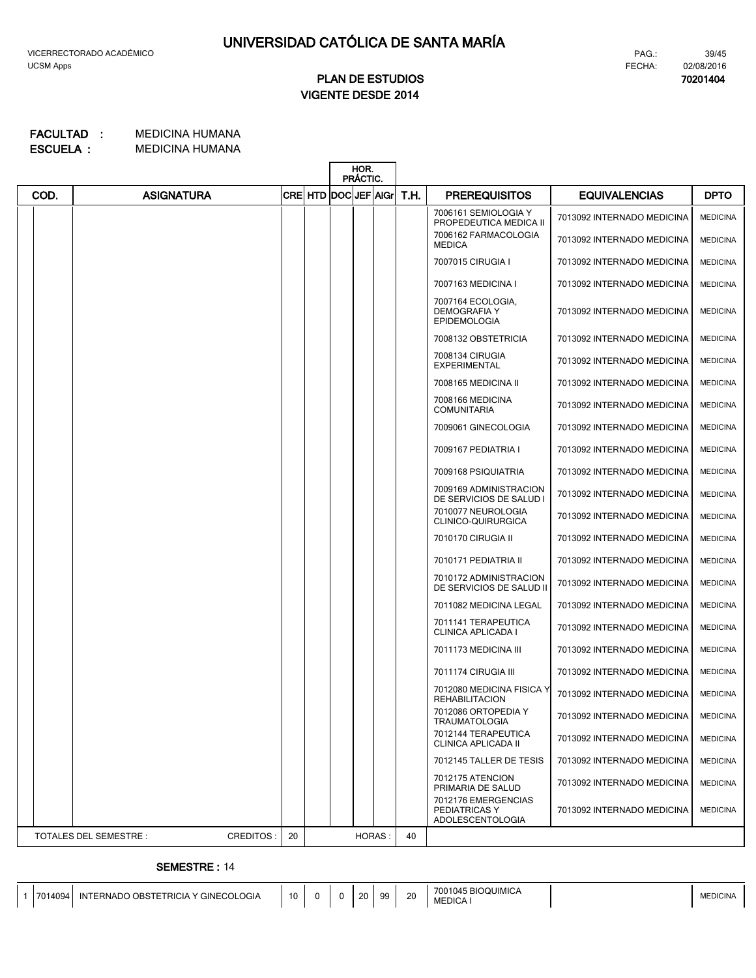### FECHA: 02/08/2016 PAG.:

**70201404**

39/45

# **VIGENTE DESDE 2014 PLAN DE ESTUDIOS**

#### MEDICINA HUMANA MEDICINA HUMANA **ESCUELA : FACULTAD :**

|      |                        |           |             |                        | HOR.<br>PRÁCTIC. |      |                                                                 |                            |                 |
|------|------------------------|-----------|-------------|------------------------|------------------|------|-----------------------------------------------------------------|----------------------------|-----------------|
| COD. | <b>ASIGNATURA</b>      |           | <b>CREI</b> | <b>HTD DOCUEF AIGH</b> |                  | T.H. | <b>PREREQUISITOS</b>                                            | <b>EQUIVALENCIAS</b>       | <b>DPTO</b>     |
|      |                        |           |             |                        |                  |      | 7006161 SEMIOLOGIA Y<br>PROPEDEUTICA MEDICA II                  | 7013092 INTERNADO MEDICINA | <b>MEDICINA</b> |
|      |                        |           |             |                        |                  |      | 7006162 FARMACOLOGIA<br><b>MEDICA</b>                           | 7013092 INTERNADO MEDICINA | <b>MEDICINA</b> |
|      |                        |           |             |                        |                  |      | 7007015 CIRUGIA I                                               | 7013092 INTERNADO MEDICINA | <b>MEDICINA</b> |
|      |                        |           |             |                        |                  |      | 7007163 MEDICINA I                                              | 7013092 INTERNADO MEDICINA | <b>MEDICINA</b> |
|      |                        |           |             |                        |                  |      | 7007164 ECOLOGIA,<br><b>DEMOGRAFIA Y</b><br><b>EPIDEMOLOGIA</b> | 7013092 INTERNADO MEDICINA | <b>MEDICINA</b> |
|      |                        |           |             |                        |                  |      | 7008132 OBSTETRICIA                                             | 7013092 INTERNADO MEDICINA | <b>MEDICINA</b> |
|      |                        |           |             |                        |                  |      | 7008134 CIRUGIA<br><b>EXPERIMENTAL</b>                          | 7013092 INTERNADO MEDICINA | <b>MEDICINA</b> |
|      |                        |           |             |                        |                  |      | 7008165 MEDICINA II                                             | 7013092 INTERNADO MEDICINA | <b>MEDICINA</b> |
|      |                        |           |             |                        |                  |      | 7008166 MEDICINA<br><b>COMUNITARIA</b>                          | 7013092 INTERNADO MEDICINA | <b>MEDICINA</b> |
|      |                        |           |             |                        |                  |      | 7009061 GINECOLOGIA                                             | 7013092 INTERNADO MEDICINA | <b>MEDICINA</b> |
|      |                        |           |             |                        |                  |      | 7009167 PEDIATRIA I                                             | 7013092 INTERNADO MEDICINA | <b>MEDICINA</b> |
|      |                        |           |             |                        |                  |      | 7009168 PSIQUIATRIA                                             | 7013092 INTERNADO MEDICINA | <b>MEDICINA</b> |
|      |                        |           |             |                        |                  |      | 7009169 ADMINISTRACION<br>DE SERVICIOS DE SALUD I               | 7013092 INTERNADO MEDICINA | <b>MEDICINA</b> |
|      |                        |           |             |                        |                  |      | 7010077 NEUROLOGIA<br>CLINICO-QUIRURGICA                        | 7013092 INTERNADO MEDICINA | <b>MEDICINA</b> |
|      |                        |           |             |                        |                  |      | 7010170 CIRUGIA II                                              | 7013092 INTERNADO MEDICINA | <b>MEDICINA</b> |
|      |                        |           |             |                        |                  |      | 7010171 PEDIATRIA II                                            | 7013092 INTERNADO MEDICINA | <b>MEDICINA</b> |
|      |                        |           |             |                        |                  |      | 7010172 ADMINISTRACION<br>DE SERVICIOS DE SALUD II              | 7013092 INTERNADO MEDICINA | <b>MEDICINA</b> |
|      |                        |           |             |                        |                  |      | 7011082 MEDICINA LEGAL                                          | 7013092 INTERNADO MEDICINA | <b>MEDICINA</b> |
|      |                        |           |             |                        |                  |      | 7011141 TERAPEUTICA<br><b>CLINICA APLICADA I</b>                | 7013092 INTERNADO MEDICINA | <b>MEDICINA</b> |
|      |                        |           |             |                        |                  |      | 7011173 MEDICINA III                                            | 7013092 INTERNADO MEDICINA | <b>MEDICINA</b> |
|      |                        |           |             |                        |                  |      | 7011174 CIRUGIA III                                             | 7013092 INTERNADO MEDICINA | <b>MEDICINA</b> |
|      |                        |           |             |                        |                  |      | 7012080 MEDICINA FISICA Y<br><b>REHABILITACION</b>              | 7013092 INTERNADO MEDICINA | <b>MEDICINA</b> |
|      |                        |           |             |                        |                  |      | 7012086 ORTOPEDIA Y<br><b>TRAUMATOLOGIA</b>                     | 7013092 INTERNADO MEDICINA | <b>MEDICINA</b> |
|      |                        |           |             |                        |                  |      | 7012144 TERAPEUTICA<br><b>CLINICA APLICADA II</b>               | 7013092 INTERNADO MEDICINA | <b>MEDICINA</b> |
|      |                        |           |             |                        |                  |      | 7012145 TALLER DE TESIS                                         | 7013092 INTERNADO MEDICINA | <b>MEDICINA</b> |
|      |                        |           |             |                        |                  |      | 7012175 ATENCION<br>PRIMARIA DE SALUD                           | 7013092 INTERNADO MEDICINA | <b>MEDICINA</b> |
|      |                        |           |             |                        |                  |      | 7012176 EMERGENCIAS<br>PEDIATRICAS Y<br>ADOLESCENTOLOGIA        | 7013092 INTERNADO MEDICINA | <b>MEDICINA</b> |
|      | TOTALES DEL SEMESTRE : | CREDITOS: | 20          |                        | HORAS:           | 40   |                                                                 |                            |                 |

### **SEMESTRE :** 14

| <b>BIOQUIMICA</b><br>700٬<br>ነ1045<br>10<br>$\Omega$<br>aa<br><b>GINECOLOGIA</b><br>20<br>7014094<br>INTERNADO OBSTETRICIA Y<br><b>MEDICINA</b><br>ZU.<br>-252<br><b>MEDICA,</b> |
|----------------------------------------------------------------------------------------------------------------------------------------------------------------------------------|
|----------------------------------------------------------------------------------------------------------------------------------------------------------------------------------|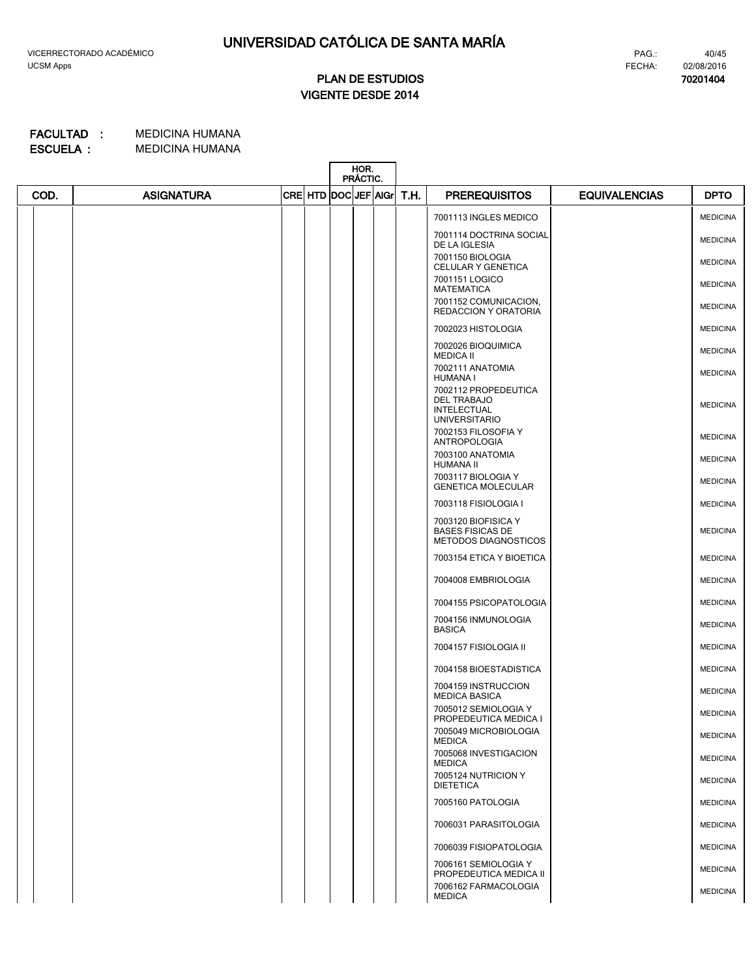**70201404**

# **VIGENTE DESDE 2014 PLAN DE ESTUDIOS**

|      |                   |                           | HOR.<br>PRÁCTIC. |  |      |                                                                                          |                      |                 |
|------|-------------------|---------------------------|------------------|--|------|------------------------------------------------------------------------------------------|----------------------|-----------------|
| COD. | <b>ASIGNATURA</b> | CRE  HTD  DOC  JEF   AIGr |                  |  | T.H. | <b>PREREQUISITOS</b>                                                                     | <b>EQUIVALENCIAS</b> | <b>DPTO</b>     |
|      |                   |                           |                  |  |      | 7001113 INGLES MEDICO                                                                    |                      | <b>MEDICINA</b> |
|      |                   |                           |                  |  |      | 7001114 DOCTRINA SOCIAL<br>DE LA IGLESIA                                                 |                      | <b>MEDICINA</b> |
|      |                   |                           |                  |  |      | 7001150 BIOLOGIA<br>CELULAR Y GENETICA                                                   |                      | <b>MEDICINA</b> |
|      |                   |                           |                  |  |      | 7001151 LOGICO<br><b>MATEMATICA</b>                                                      |                      | <b>MEDICINA</b> |
|      |                   |                           |                  |  |      | 7001152 COMUNICACION,<br>REDACCION Y ORATORIA                                            |                      | <b>MEDICINA</b> |
|      |                   |                           |                  |  |      | 7002023 HISTOLOGIA                                                                       |                      | <b>MEDICINA</b> |
|      |                   |                           |                  |  |      | 7002026 BIOQUIMICA<br><b>MEDICA II</b>                                                   |                      | <b>MEDICINA</b> |
|      |                   |                           |                  |  |      | 7002111 ANATOMIA<br><b>HUMANA I</b>                                                      |                      | <b>MEDICINA</b> |
|      |                   |                           |                  |  |      | 7002112 PROPEDEUTICA<br><b>DEL TRABAJO</b><br><b>INTELECTUAL</b><br><b>UNIVERSITARIO</b> |                      | <b>MEDICINA</b> |
|      |                   |                           |                  |  |      | 7002153 FILOSOFIA Y<br><b>ANTROPOLOGIA</b>                                               |                      | <b>MEDICINA</b> |
|      |                   |                           |                  |  |      | 7003100 ANATOMIA<br>HUMANA II                                                            |                      | <b>MEDICINA</b> |
|      |                   |                           |                  |  |      | 7003117 BIOLOGIA Y<br><b>GENETICA MOLECULAR</b>                                          |                      | <b>MEDICINA</b> |
|      |                   |                           |                  |  |      | 7003118 FISIOLOGIA I                                                                     |                      | <b>MEDICINA</b> |
|      |                   |                           |                  |  |      | 7003120 BIOFISICA Y<br><b>BASES FISICAS DE</b><br>METODOS DIAGNOSTICOS                   |                      | <b>MEDICINA</b> |
|      |                   |                           |                  |  |      | 7003154 ETICA Y BIOETICA                                                                 |                      | <b>MEDICINA</b> |
|      |                   |                           |                  |  |      | 7004008 EMBRIOLOGIA                                                                      |                      | <b>MEDICINA</b> |
|      |                   |                           |                  |  |      | 7004155 PSICOPATOLOGIA                                                                   |                      | <b>MEDICINA</b> |
|      |                   |                           |                  |  |      | 7004156 INMUNOLOGIA<br><b>BASICA</b>                                                     |                      | <b>MEDICINA</b> |
|      |                   |                           |                  |  |      | 7004157 FISIOLOGIA II                                                                    |                      | <b>MEDICINA</b> |
|      |                   |                           |                  |  |      | 7004158 BIOESTADISTICA                                                                   |                      | <b>MEDICINA</b> |
|      |                   |                           |                  |  |      | 7004159 INSTRUCCION<br><b>MEDICA BASICA</b>                                              |                      | <b>MEDICINA</b> |
|      |                   |                           |                  |  |      | 7005012 SEMIOLOGIA Y<br>PROPEDEUTICA MEDICA I                                            |                      | <b>MEDICINA</b> |
|      |                   |                           |                  |  |      | 7005049 MICROBIOLOGIA<br><b>MEDICA</b>                                                   |                      | <b>MEDICINA</b> |
|      |                   |                           |                  |  |      | 7005068 INVESTIGACION<br><b>MEDICA</b>                                                   |                      | <b>MEDICINA</b> |
|      |                   |                           |                  |  |      | 7005124 NUTRICION Y<br><b>DIETETICA</b>                                                  |                      | <b>MEDICINA</b> |
|      |                   |                           |                  |  |      | 7005160 PATOLOGIA                                                                        |                      | <b>MEDICINA</b> |
|      |                   |                           |                  |  |      | 7006031 PARASITOLOGIA                                                                    |                      | <b>MEDICINA</b> |
|      |                   |                           |                  |  |      | 7006039 FISIOPATOLOGIA                                                                   |                      | <b>MEDICINA</b> |
|      |                   |                           |                  |  |      | 7006161 SEMIOLOGIA Y<br>PROPEDEUTICA MEDICA II                                           |                      | <b>MEDICINA</b> |
|      |                   |                           |                  |  |      | 7006162 FARMACOLOGIA<br><b>MEDICA</b>                                                    |                      | <b>MEDICINA</b> |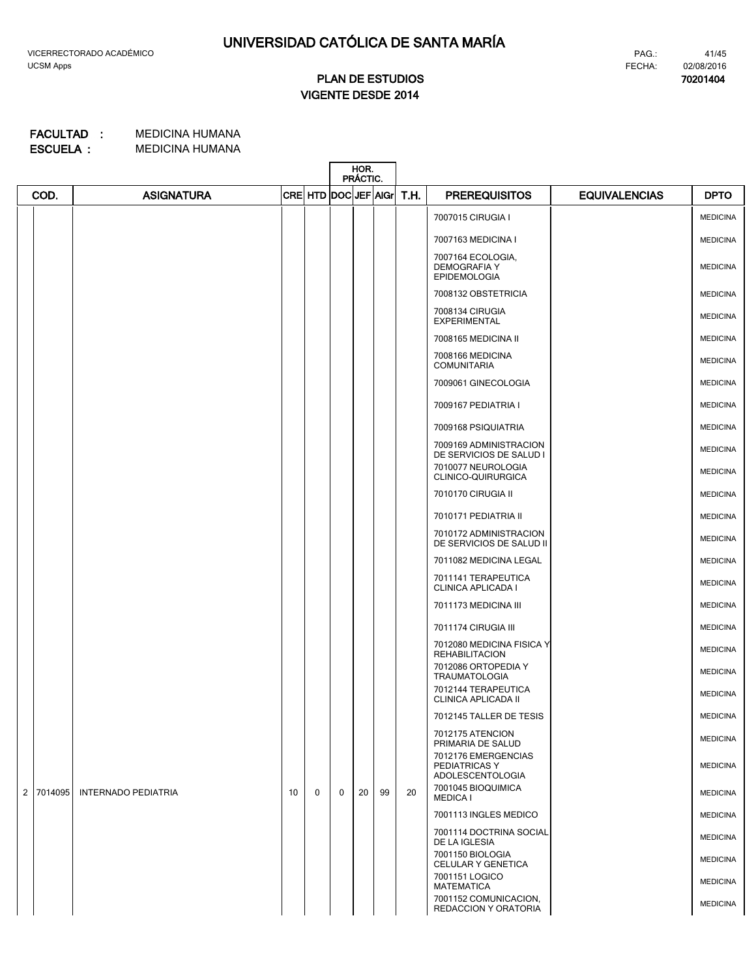**70201404**

# **VIGENTE DESDE 2014 PLAN DE ESTUDIOS**

|                |         |                            |    |                      |             | HOR.<br>PRÁCTIC. |    |      |                                                                 |                      |                 |
|----------------|---------|----------------------------|----|----------------------|-------------|------------------|----|------|-----------------------------------------------------------------|----------------------|-----------------|
|                | COD.    | <b>ASIGNATURA</b>          |    | CRE HTD DOC JEF AIGr |             |                  |    | T.H. | <b>PREREQUISITOS</b>                                            | <b>EQUIVALENCIAS</b> | <b>DPTO</b>     |
|                |         |                            |    |                      |             |                  |    |      | 7007015 CIRUGIA I                                               |                      | <b>MEDICINA</b> |
|                |         |                            |    |                      |             |                  |    |      | 7007163 MEDICINA I                                              |                      | <b>MEDICINA</b> |
|                |         |                            |    |                      |             |                  |    |      | 7007164 ECOLOGIA,<br><b>DEMOGRAFIA Y</b><br><b>EPIDEMOLOGIA</b> |                      | <b>MEDICINA</b> |
|                |         |                            |    |                      |             |                  |    |      | 7008132 OBSTETRICIA                                             |                      | <b>MEDICINA</b> |
|                |         |                            |    |                      |             |                  |    |      | 7008134 CIRUGIA<br><b>EXPERIMENTAL</b>                          |                      | <b>MEDICINA</b> |
|                |         |                            |    |                      |             |                  |    |      | 7008165 MEDICINA II                                             |                      | <b>MEDICINA</b> |
|                |         |                            |    |                      |             |                  |    |      | 7008166 MEDICINA<br><b>COMUNITARIA</b>                          |                      | <b>MEDICINA</b> |
|                |         |                            |    |                      |             |                  |    |      | 7009061 GINECOLOGIA                                             |                      | <b>MEDICINA</b> |
|                |         |                            |    |                      |             |                  |    |      | 7009167 PEDIATRIA I                                             |                      | <b>MEDICINA</b> |
|                |         |                            |    |                      |             |                  |    |      | 7009168 PSIQUIATRIA                                             |                      | <b>MEDICINA</b> |
|                |         |                            |    |                      |             |                  |    |      | 7009169 ADMINISTRACION<br>DE SERVICIOS DE SALUD I               |                      | <b>MEDICINA</b> |
|                |         |                            |    |                      |             |                  |    |      | 7010077 NEUROLOGIA<br>CLINICO-QUIRURGICA                        |                      | <b>MEDICINA</b> |
|                |         |                            |    |                      |             |                  |    |      | 7010170 CIRUGIA II                                              |                      | <b>MEDICINA</b> |
|                |         |                            |    |                      |             |                  |    |      | 7010171 PEDIATRIA II                                            |                      | <b>MEDICINA</b> |
|                |         |                            |    |                      |             |                  |    |      | 7010172 ADMINISTRACION<br>DE SERVICIOS DE SALUD II              |                      | <b>MEDICINA</b> |
|                |         |                            |    |                      |             |                  |    |      | 7011082 MEDICINA LEGAL                                          |                      | <b>MEDICINA</b> |
|                |         |                            |    |                      |             |                  |    |      | 7011141 TERAPEUTICA<br>CLINICA APLICADA I                       |                      | <b>MEDICINA</b> |
|                |         |                            |    |                      |             |                  |    |      | 7011173 MEDICINA III                                            |                      | <b>MEDICINA</b> |
|                |         |                            |    |                      |             |                  |    |      | 7011174 CIRUGIA III                                             |                      | <b>MEDICINA</b> |
|                |         |                            |    |                      |             |                  |    |      | 7012080 MEDICINA FISICA Y<br><b>REHABILITACION</b>              |                      | <b>MEDICINA</b> |
|                |         |                            |    |                      |             |                  |    |      | 7012086 ORTOPEDIA Y<br><b>TRAUMATOLOGIA</b>                     |                      | <b>MEDICINA</b> |
|                |         |                            |    |                      |             |                  |    |      | 7012144 TERAPEUTICA<br>CLINICA APLICADA II                      |                      | <b>MEDICINA</b> |
|                |         |                            |    |                      |             |                  |    |      | 7012145 TALLER DE TESIS                                         |                      | <b>MEDICINA</b> |
|                |         |                            |    |                      |             |                  |    |      | 7012175 ATENCION<br>PRIMARIA DE SALUD                           |                      | <b>MEDICINA</b> |
|                |         |                            |    |                      |             |                  |    |      | 7012176 EMERGENCIAS<br>PEDIATRICAS Y<br><b>ADOLESCENTOLOGIA</b> |                      | <b>MEDICINA</b> |
| $\overline{2}$ | 7014095 | <b>INTERNADO PEDIATRIA</b> | 10 | 0                    | $\mathbf 0$ | 20               | 99 | 20   | 7001045 BIOQUIMICA<br><b>MEDICA I</b>                           |                      | <b>MEDICINA</b> |
|                |         |                            |    |                      |             |                  |    |      | 7001113 INGLES MEDICO                                           |                      | <b>MEDICINA</b> |
|                |         |                            |    |                      |             |                  |    |      | 7001114 DOCTRINA SOCIAL<br>DE LA IGLESIA                        |                      | <b>MEDICINA</b> |
|                |         |                            |    |                      |             |                  |    |      | 7001150 BIOLOGIA<br>CELULAR Y GENETICA                          |                      | <b>MEDICINA</b> |
|                |         |                            |    |                      |             |                  |    |      | 7001151 LOGICO<br><b>MATEMATICA</b>                             |                      | <b>MEDICINA</b> |
|                |         |                            |    |                      |             |                  |    |      | 7001152 COMUNICACION,<br>REDACCION Y ORATORIA                   |                      | <b>MEDICINA</b> |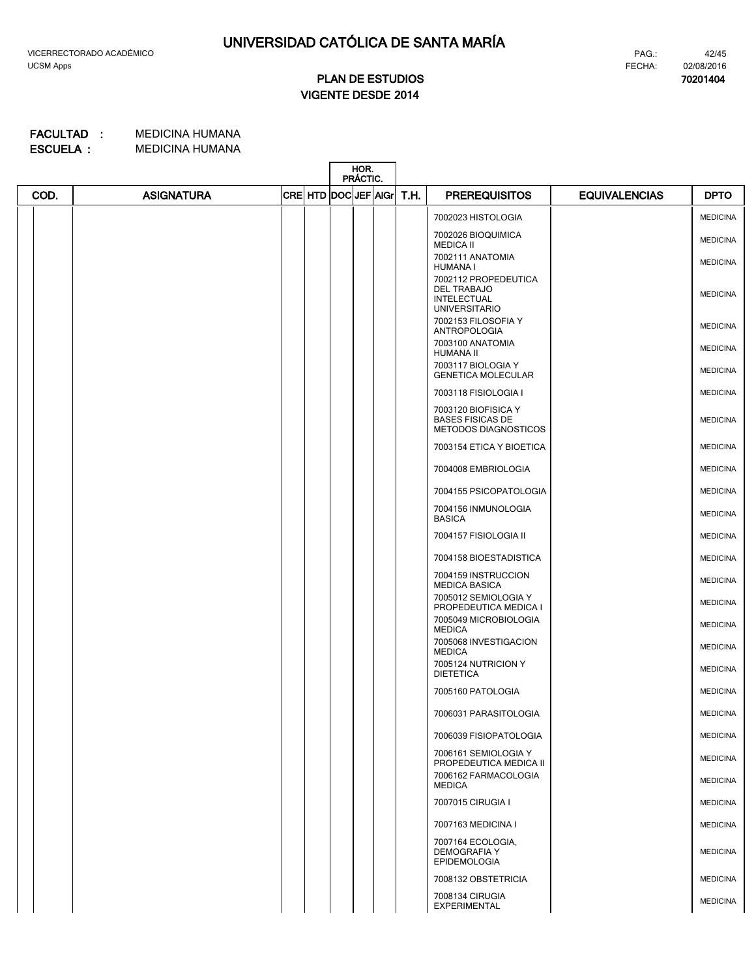**70201404**

# **VIGENTE DESDE 2014 PLAN DE ESTUDIOS**

|      |                   |  |                      | HOR.<br>PRÁCTIC. |  |      |                                                                        |                      |                 |
|------|-------------------|--|----------------------|------------------|--|------|------------------------------------------------------------------------|----------------------|-----------------|
| COD. | <b>ASIGNATURA</b> |  | CRE HTD DOC JEF AIGr |                  |  | T.H. | <b>PREREQUISITOS</b>                                                   | <b>EQUIVALENCIAS</b> | <b>DPTO</b>     |
|      |                   |  |                      |                  |  |      | 7002023 HISTOLOGIA                                                     |                      | <b>MEDICINA</b> |
|      |                   |  |                      |                  |  |      | 7002026 BIOQUIMICA<br><b>MEDICA II</b>                                 |                      | <b>MEDICINA</b> |
|      |                   |  |                      |                  |  |      | 7002111 ANATOMIA<br>HUMANA I                                           |                      | <b>MEDICINA</b> |
|      |                   |  |                      |                  |  |      | 7002112 PROPEDEUTICA<br>DEL TRABAJO<br><b>INTELECTUAL</b>              |                      | <b>MEDICINA</b> |
|      |                   |  |                      |                  |  |      | <b>UNIVERSITARIO</b><br>7002153 FILOSOFIA Y                            |                      | <b>MEDICINA</b> |
|      |                   |  |                      |                  |  |      | <b>ANTROPOLOGIA</b><br>7003100 ANATOMIA<br>HUMANA II                   |                      | <b>MEDICINA</b> |
|      |                   |  |                      |                  |  |      | 7003117 BIOLOGIA Y<br><b>GENETICA MOLECULAR</b>                        |                      | <b>MEDICINA</b> |
|      |                   |  |                      |                  |  |      | 7003118 FISIOLOGIA I                                                   |                      | <b>MEDICINA</b> |
|      |                   |  |                      |                  |  |      | 7003120 BIOFISICA Y<br><b>BASES FISICAS DE</b><br>METODOS DIAGNOSTICOS |                      | <b>MEDICINA</b> |
|      |                   |  |                      |                  |  |      | 7003154 ETICA Y BIOETICA                                               |                      | <b>MEDICINA</b> |
|      |                   |  |                      |                  |  |      | 7004008 EMBRIOLOGIA                                                    |                      | <b>MEDICINA</b> |
|      |                   |  |                      |                  |  |      | 7004155 PSICOPATOLOGIA                                                 |                      | <b>MEDICINA</b> |
|      |                   |  |                      |                  |  |      | 7004156 INMUNOLOGIA<br><b>BASICA</b>                                   |                      | <b>MEDICINA</b> |
|      |                   |  |                      |                  |  |      | 7004157 FISIOLOGIA II                                                  |                      | <b>MEDICINA</b> |
|      |                   |  |                      |                  |  |      | 7004158 BIOESTADISTICA                                                 |                      | <b>MEDICINA</b> |
|      |                   |  |                      |                  |  |      | 7004159 INSTRUCCION<br><b>MEDICA BASICA</b>                            |                      | <b>MEDICINA</b> |
|      |                   |  |                      |                  |  |      | 7005012 SEMIOLOGIA Y<br>PROPEDEUTICA MEDICA I                          |                      | <b>MEDICINA</b> |
|      |                   |  |                      |                  |  |      | 7005049 MICROBIOLOGIA<br><b>MEDICA</b>                                 |                      | <b>MEDICINA</b> |
|      |                   |  |                      |                  |  |      | 7005068 INVESTIGACION<br><b>MEDICA</b>                                 |                      | <b>MEDICINA</b> |
|      |                   |  |                      |                  |  |      | 7005124 NUTRICION Y<br><b>DIETETICA</b>                                |                      | <b>MEDICINA</b> |
|      |                   |  |                      |                  |  |      | 7005160 PATOLOGIA                                                      |                      | <b>MEDICINA</b> |
|      |                   |  |                      |                  |  |      | 7006031 PARASITOLOGIA                                                  |                      | <b>MEDICINA</b> |
|      |                   |  |                      |                  |  |      | 7006039 FISIOPATOLOGIA                                                 |                      | <b>MEDICINA</b> |
|      |                   |  |                      |                  |  |      | 7006161 SEMIOLOGIA Y<br>PROPEDEUTICA MEDICA II                         |                      | <b>MEDICINA</b> |
|      |                   |  |                      |                  |  |      | 7006162 FARMACOLOGIA<br>MEDICA                                         |                      | <b>MEDICINA</b> |
|      |                   |  |                      |                  |  |      | 7007015 CIRUGIA I                                                      |                      | <b>MEDICINA</b> |
|      |                   |  |                      |                  |  |      | 7007163 MEDICINA I                                                     |                      | <b>MEDICINA</b> |
|      |                   |  |                      |                  |  |      | 7007164 ECOLOGIA,<br><b>DEMOGRAFIA Y</b><br><b>EPIDEMOLOGIA</b>        |                      | <b>MEDICINA</b> |
|      |                   |  |                      |                  |  |      | 7008132 OBSTETRICIA                                                    |                      | <b>MEDICINA</b> |
|      |                   |  |                      |                  |  |      | 7008134 CIRUGIA<br><b>EXPERIMENTAL</b>                                 |                      | <b>MEDICINA</b> |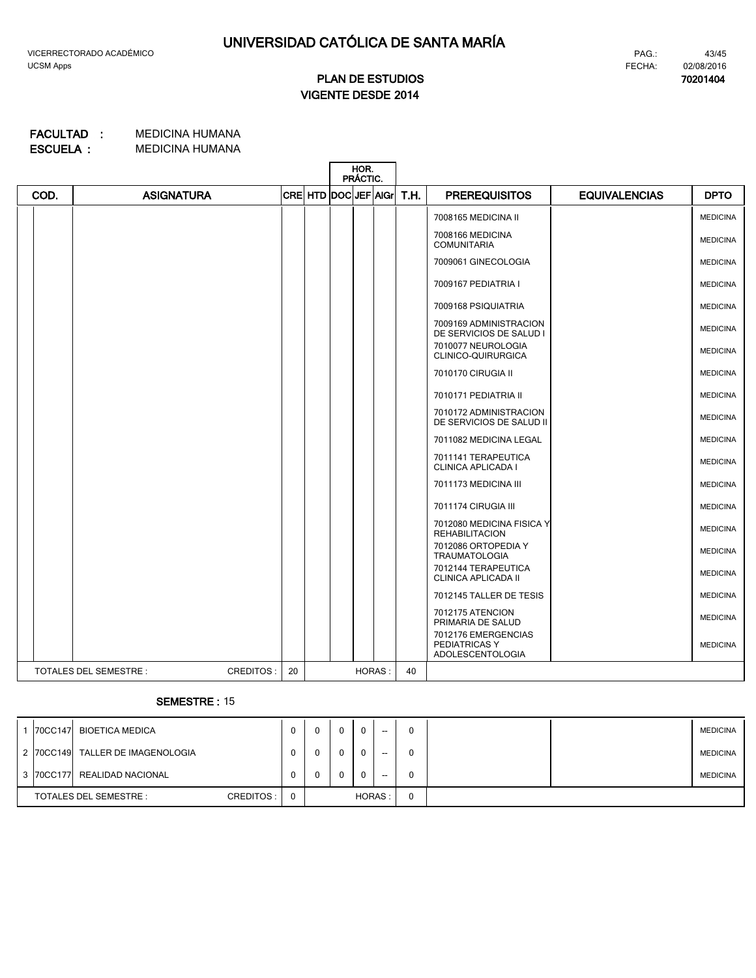#### 43/45 FECHA: 02/08/2016 PAG.:

**70201404**

# **VIGENTE DESDE 2014 PLAN DE ESTUDIOS**

#### MEDICINA HUMANA MEDICINA HUMANA **ESCUELA : FACULTAD :**

|      |                              |                 |                           | HOR.<br>PRÁCTIC. |        |      |                                                                 |                 |
|------|------------------------------|-----------------|---------------------------|------------------|--------|------|-----------------------------------------------------------------|-----------------|
| COD. | <b>ASIGNATURA</b>            |                 | CRE  HTD  DOC  JEF   AIGr |                  |        | T.H. | <b>PREREQUISITOS</b><br><b>EQUIVALENCIAS</b>                    | <b>DPTO</b>     |
|      |                              |                 |                           |                  |        |      | 7008165 MEDICINA II                                             | <b>MEDICINA</b> |
|      |                              |                 |                           |                  |        |      | 7008166 MEDICINA<br><b>COMUNITARIA</b>                          | <b>MEDICINA</b> |
|      |                              |                 |                           |                  |        |      | 7009061 GINECOLOGIA                                             | <b>MEDICINA</b> |
|      |                              |                 |                           |                  |        |      | 7009167 PEDIATRIA I                                             | <b>MEDICINA</b> |
|      |                              |                 |                           |                  |        |      | 7009168 PSIQUIATRIA                                             | <b>MEDICINA</b> |
|      |                              |                 |                           |                  |        |      | 7009169 ADMINISTRACION<br>DE SERVICIOS DE SALUD I               | <b>MEDICINA</b> |
|      |                              |                 |                           |                  |        |      | 7010077 NEUROLOGIA<br>CLINICO-QUIRURGICA                        | <b>MEDICINA</b> |
|      |                              |                 |                           |                  |        |      | 7010170 CIRUGIA II                                              | <b>MEDICINA</b> |
|      |                              |                 |                           |                  |        |      | 7010171 PEDIATRIA II                                            | <b>MEDICINA</b> |
|      |                              |                 |                           |                  |        |      | 7010172 ADMINISTRACION<br>DE SERVICIOS DE SALUD II              | <b>MEDICINA</b> |
|      |                              |                 |                           |                  |        |      | 7011082 MEDICINA LEGAL                                          | <b>MEDICINA</b> |
|      |                              |                 |                           |                  |        |      | 7011141 TERAPEUTICA<br>CLINICA APLICADA I                       | <b>MEDICINA</b> |
|      |                              |                 |                           |                  |        |      | 7011173 MEDICINA III                                            | <b>MEDICINA</b> |
|      |                              |                 |                           |                  |        |      | 7011174 CIRUGIA III                                             | <b>MEDICINA</b> |
|      |                              |                 |                           |                  |        |      | 7012080 MEDICINA FISICA Y<br><b>REHABILITACION</b>              | <b>MEDICINA</b> |
|      |                              |                 |                           |                  |        |      | 7012086 ORTOPEDIA Y<br><b>TRAUMATOLOGIA</b>                     | <b>MEDICINA</b> |
|      |                              |                 |                           |                  |        |      | 7012144 TERAPEUTICA<br>CLINICA APLICADA II                      | <b>MEDICINA</b> |
|      |                              |                 |                           |                  |        |      | 7012145 TALLER DE TESIS                                         | <b>MEDICINA</b> |
|      |                              |                 |                           |                  |        |      | 7012175 ATENCION<br>PRIMARIA DE SALUD                           | <b>MEDICINA</b> |
|      |                              |                 |                           |                  |        |      | 7012176 EMERGENCIAS<br>PEDIATRICAS Y<br><b>ADOLESCENTOLOGIA</b> | <b>MEDICINA</b> |
|      | <b>TOTALES DEL SEMESTRE:</b> | CREDITOS:<br>20 |                           |                  | HORAS: | 40   |                                                                 |                 |

# **SEMESTRE :** 15

|                        |  | 70CC147 BIOETICA MEDICA          |          |  | <sup>0</sup> | $\bf{0}$ | 0 | $- -$                    | 0 |  | <b>MEDICINA</b> |
|------------------------|--|----------------------------------|----------|--|--------------|----------|---|--------------------------|---|--|-----------------|
|                        |  | 2 70CC149 TALLER DE IMAGENOLOGIA |          |  | 0            | $\Omega$ | 0 | $\overline{\phantom{a}}$ | 0 |  | <b>MEDICINA</b> |
|                        |  | 3 70CC177 REALIDAD NACIONAL      |          |  | 0            | $\Omega$ | 0 | $- -$                    | 0 |  | <b>MEDICINA</b> |
| TOTALES DEL SEMESTRE : |  | CREDITOS:                        | $\Omega$ |  |              | HORAS:   |   | 0                        |   |  |                 |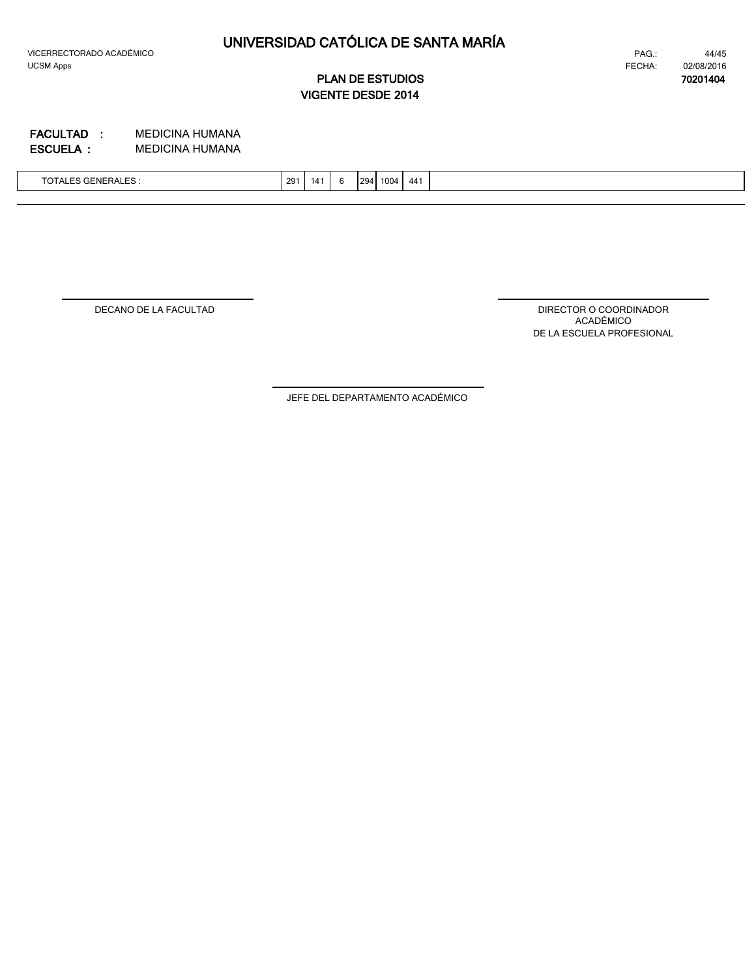$\mathsf{l}$ 

# **UNIVERSIDAD CATÓLICA DE SANTA MARÍA**

44/45 FECHA: **70201404** 02/08/2016 PAG.:

**VIGENTE DESDE 2014 PLAN DE ESTUDIOS**

MEDICINA HUMANA MEDICINA HUMANA **ESCUELA : FACULTAD :**

| $\tau$<br>$\sim$<br><b>TOTALES GENERALES:</b> | 291 | 14 | 294 | 1004 | 44 <sup>1</sup> |  |
|-----------------------------------------------|-----|----|-----|------|-----------------|--|
|                                               |     |    |     |      |                 |  |

DECANO DE LA FACULTAD

DIRECTOR O COORDINADOR ACADÉMICO DE LA ESCUELA PROFESIONAL

JEFE DEL DEPARTAMENTO ACADÉMICO